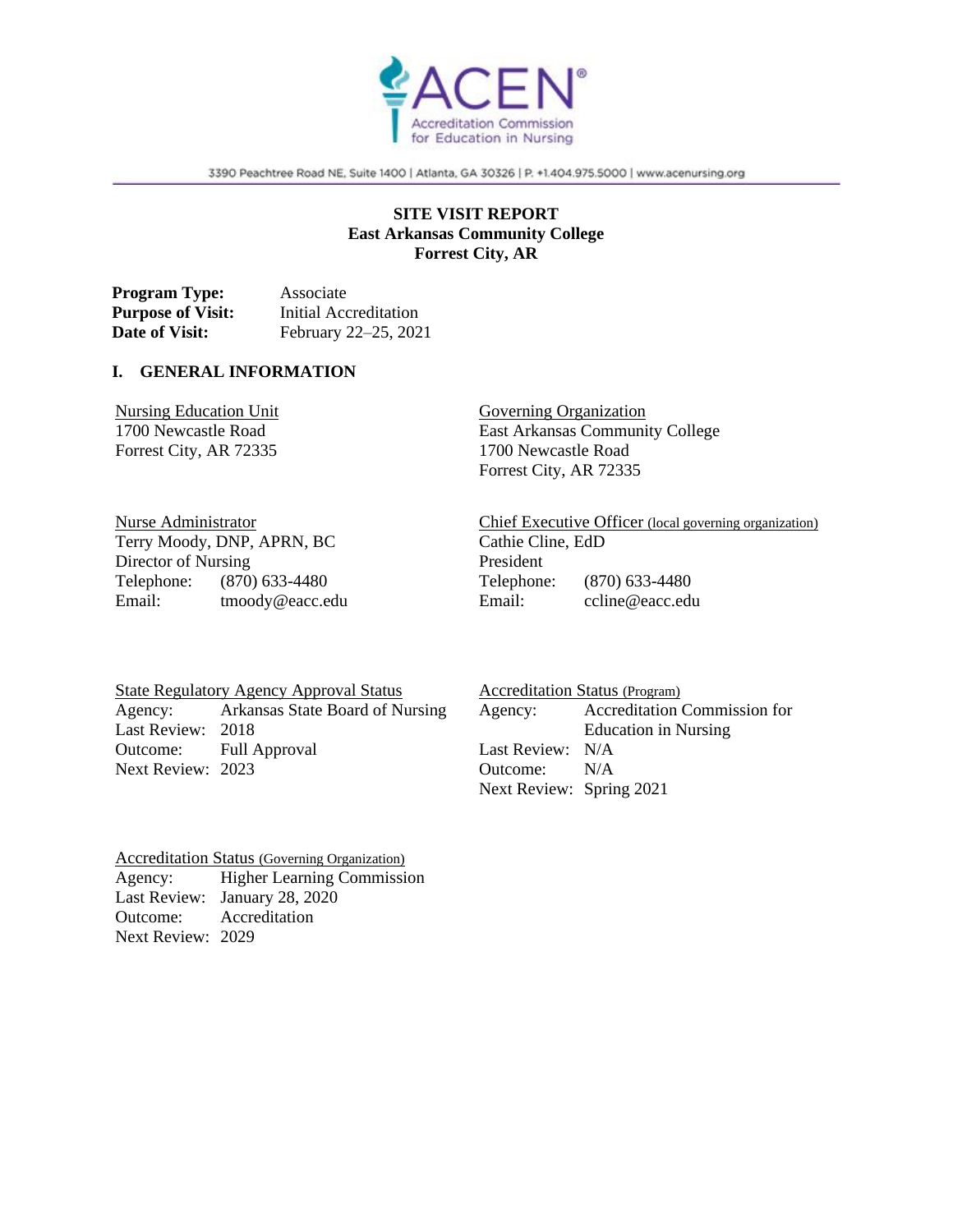

3390 Peachtree Road NE, Suite 1400 | Atlanta, GA 30326 | P. +1.404.975.5000 | www.acenursing.org

## **SITE VISIT REPORT East Arkansas Community College Forrest City, AR**

**Program Type:** Associate **Purpose of Visit:** Initial Accreditation **Date of Visit:** February 22–25, 2021

#### **I. GENERAL INFORMATION**

Nursing Education Unit 1700 Newcastle Road Forrest City, AR 72335

Governing Organization East Arkansas Community College 1700 Newcastle Road Forrest City, AR 72335

Nurse Administrator Terry Moody, DNP, APRN, BC Director of Nursing Telephone: (870) 633-4480 Email: tmoody@eacc.edu Chief Executive Officer (local governing organization) Cathie Cline, EdD President Telephone: (870) 633-4480 Email: ccline@eacc.edu

State Regulatory Agency Approval Status Agency: Arkansas State Board of Nursing Last Review: 2018 Outcome: Full Approval Next Review: 2023

Accreditation Status (Program) Agency: Accreditation Commission for Education in Nursing Last Review: N/A Outcome: N/A Next Review: Spring 2021

Accreditation Status (Governing Organization) Agency: Higher Learning Commission Last Review: January 28, 2020 Outcome: Accreditation Next Review: 2029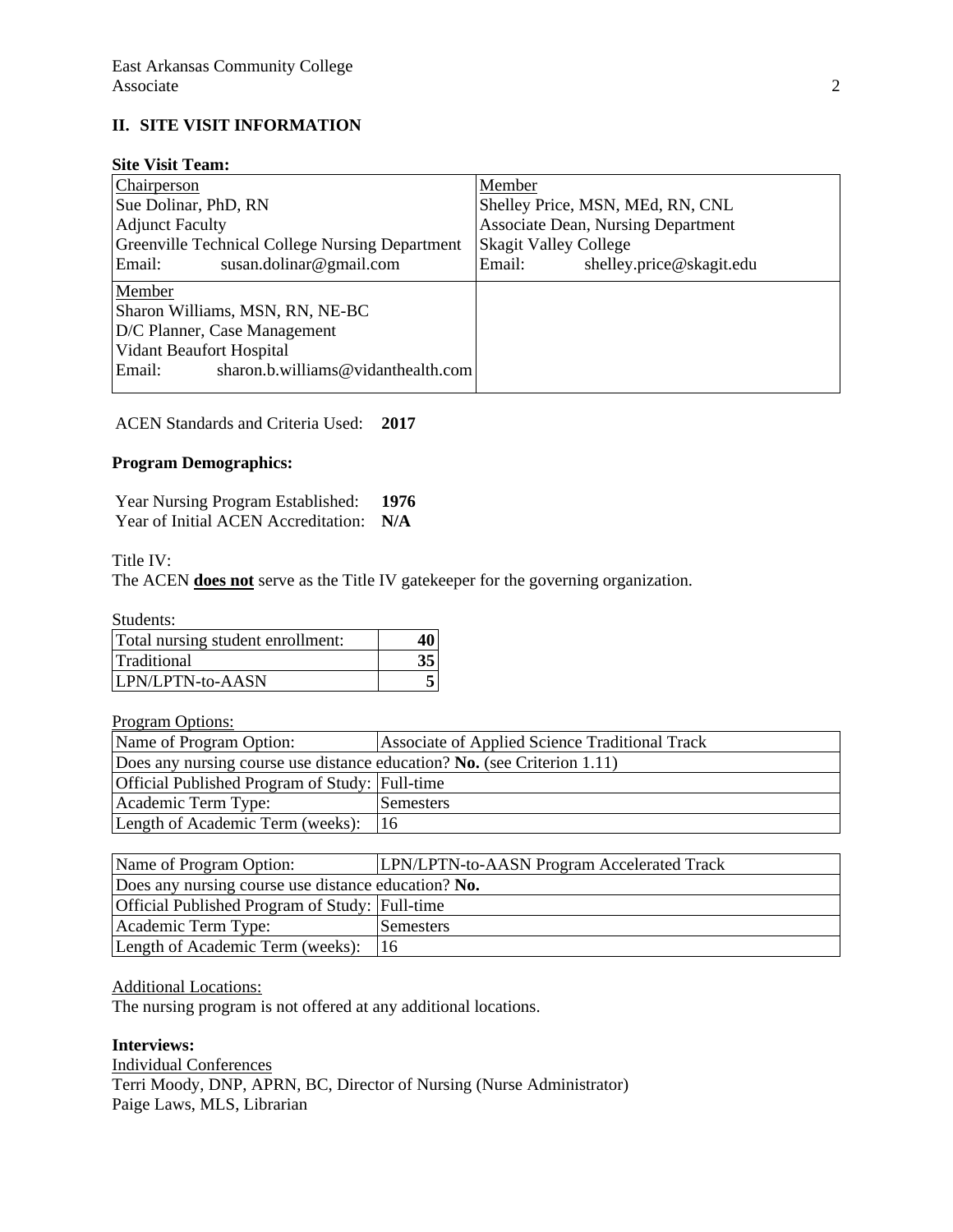## **II. SITE VISIT INFORMATION**

## **Site Visit Team:**

| Chairperson                                                                                 | Member                                    |  |  |
|---------------------------------------------------------------------------------------------|-------------------------------------------|--|--|
| Sue Dolinar, PhD, RN                                                                        | Shelley Price, MSN, MEd, RN, CNL          |  |  |
| <b>Adjunct Faculty</b>                                                                      | <b>Associate Dean, Nursing Department</b> |  |  |
| Greenville Technical College Nursing Department                                             | <b>Skagit Valley College</b>              |  |  |
| Email:<br>susan.dolinar@gmail.com                                                           | shelley.price@skagit.edu<br>Email:        |  |  |
|                                                                                             |                                           |  |  |
| Member                                                                                      |                                           |  |  |
|                                                                                             |                                           |  |  |
|                                                                                             |                                           |  |  |
| Sharon Williams, MSN, RN, NE-BC<br>D/C Planner, Case Management<br>Vidant Beaufort Hospital |                                           |  |  |
| sharon.b.williams@vidanthealth.com<br>Email:                                                |                                           |  |  |

ACEN Standards and Criteria Used: **2017**

## **Program Demographics:**

Year Nursing Program Established: **1976** Year of Initial ACEN Accreditation: **N/A**

Title IV:

The ACEN **does not** serve as the Title IV gatekeeper for the governing organization.

Students:

| Total nursing student enrollment: |  |
|-----------------------------------|--|
| Traditional                       |  |
| LPN/LPTN-to-AASN                  |  |

Program Options:

| Name of Program Option:                                                  | Associate of Applied Science Traditional Track |  |  |  |
|--------------------------------------------------------------------------|------------------------------------------------|--|--|--|
| Does any nursing course use distance education? No. (see Criterion 1.11) |                                                |  |  |  |
| Official Published Program of Study: Full-time                           |                                                |  |  |  |
| Academic Term Type:                                                      | Semesters                                      |  |  |  |
| Length of Academic Term (weeks):                                         | 116                                            |  |  |  |

| Name of Program Option:                             | LPN/LPTN-to-AASN Program Accelerated Track |
|-----------------------------------------------------|--------------------------------------------|
| Does any nursing course use distance education? No. |                                            |
| Official Published Program of Study: Full-time      |                                            |
| Academic Term Type:                                 | Semesters                                  |
| Length of Academic Term (weeks):                    | 16                                         |

#### Additional Locations:

The nursing program is not offered at any additional locations.

## **Interviews:**

Individual Conferences Terri Moody, DNP, APRN, BC, Director of Nursing (Nurse Administrator) Paige Laws, MLS, Librarian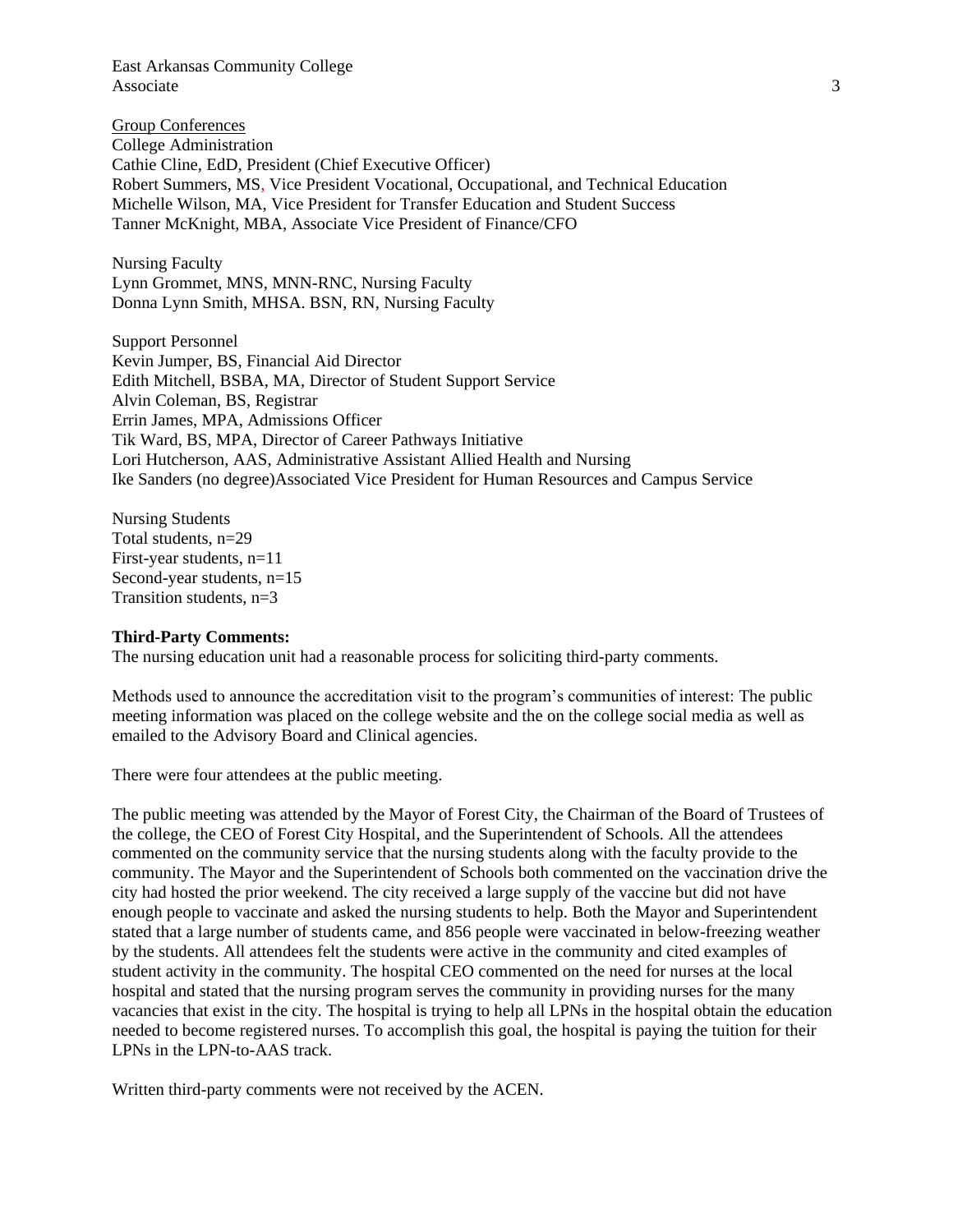East Arkansas Community College Associate 3

Group Conferences College Administration Cathie Cline, EdD, President (Chief Executive Officer) Robert Summers, MS, Vice President Vocational, Occupational, and Technical Education Michelle Wilson, MA, Vice President for Transfer Education and Student Success Tanner McKnight, MBA, Associate Vice President of Finance/CFO

Nursing Faculty Lynn Grommet, MNS, MNN-RNC, Nursing Faculty Donna Lynn Smith, MHSA. BSN, RN, Nursing Faculty

Support Personnel Kevin Jumper, BS, Financial Aid Director Edith Mitchell, BSBA, MA, Director of Student Support Service Alvin Coleman, BS, Registrar Errin James, MPA, Admissions Officer Tik Ward, BS, MPA, Director of Career Pathways Initiative Lori Hutcherson, AAS, Administrative Assistant Allied Health and Nursing Ike Sanders (no degree)Associated Vice President for Human Resources and Campus Service

Nursing Students Total students, n=29 First-year students, n=11 Second-year students, n=15 Transition students, n=3

#### **Third-Party Comments:**

The nursing education unit had a reasonable process for soliciting third-party comments.

Methods used to announce the accreditation visit to the program's communities of interest: The public meeting information was placed on the college website and the on the college social media as well as emailed to the Advisory Board and Clinical agencies.

There were four attendees at the public meeting.

The public meeting was attended by the Mayor of Forest City, the Chairman of the Board of Trustees of the college, the CEO of Forest City Hospital, and the Superintendent of Schools. All the attendees commented on the community service that the nursing students along with the faculty provide to the community. The Mayor and the Superintendent of Schools both commented on the vaccination drive the city had hosted the prior weekend. The city received a large supply of the vaccine but did not have enough people to vaccinate and asked the nursing students to help. Both the Mayor and Superintendent stated that a large number of students came, and 856 people were vaccinated in below-freezing weather by the students. All attendees felt the students were active in the community and cited examples of student activity in the community. The hospital CEO commented on the need for nurses at the local hospital and stated that the nursing program serves the community in providing nurses for the many vacancies that exist in the city. The hospital is trying to help all LPNs in the hospital obtain the education needed to become registered nurses. To accomplish this goal, the hospital is paying the tuition for their LPNs in the LPN-to-AAS track.

Written third-party comments were not received by the ACEN.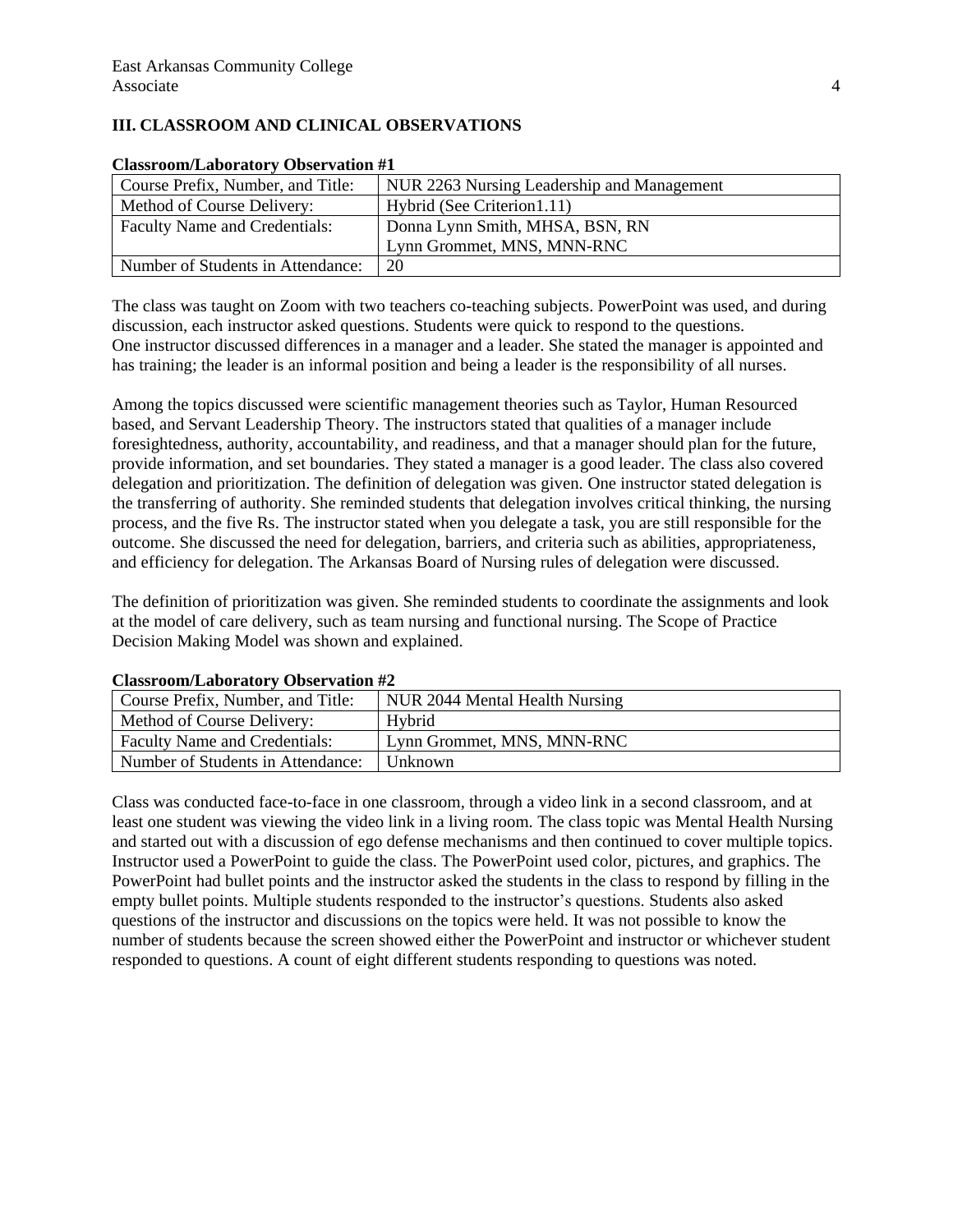## **III. CLASSROOM AND CLINICAL OBSERVATIONS**

| Crassi comp Eason atory Observation #1 |                                            |  |  |  |
|----------------------------------------|--------------------------------------------|--|--|--|
| Course Prefix, Number, and Title:      | NUR 2263 Nursing Leadership and Management |  |  |  |
| Method of Course Delivery:             | Hybrid (See Criterion 1.11)                |  |  |  |
| Faculty Name and Credentials:          | Donna Lynn Smith, MHSA, BSN, RN            |  |  |  |
|                                        | Lynn Grommet, MNS, MNN-RNC                 |  |  |  |
| Number of Students in Attendance:      | 20                                         |  |  |  |

#### **Classroom/Laboratory Observation #1**

The class was taught on Zoom with two teachers co-teaching subjects. PowerPoint was used, and during discussion, each instructor asked questions. Students were quick to respond to the questions. One instructor discussed differences in a manager and a leader. She stated the manager is appointed and has training; the leader is an informal position and being a leader is the responsibility of all nurses.

Among the topics discussed were scientific management theories such as Taylor, Human Resourced based, and Servant Leadership Theory. The instructors stated that qualities of a manager include foresightedness, authority, accountability, and readiness, and that a manager should plan for the future, provide information, and set boundaries. They stated a manager is a good leader. The class also covered delegation and prioritization. The definition of delegation was given. One instructor stated delegation is the transferring of authority. She reminded students that delegation involves critical thinking, the nursing process, and the five Rs. The instructor stated when you delegate a task, you are still responsible for the outcome. She discussed the need for delegation, barriers, and criteria such as abilities, appropriateness, and efficiency for delegation. The Arkansas Board of Nursing rules of delegation were discussed.

The definition of prioritization was given. She reminded students to coordinate the assignments and look at the model of care delivery, such as team nursing and functional nursing. The Scope of Practice Decision Making Model was shown and explained.

| Course Prefix, Number, and Title:    | NUR 2044 Mental Health Nursing |
|--------------------------------------|--------------------------------|
| Method of Course Delivery:           | Hybrid                         |
| <b>Faculty Name and Credentials:</b> | Lynn Grommet, MNS, MNN-RNC     |
| Number of Students in Attendance:    | Unknown                        |

### **Classroom/Laboratory Observation #2**

Class was conducted face-to-face in one classroom, through a video link in a second classroom, and at least one student was viewing the video link in a living room. The class topic was Mental Health Nursing and started out with a discussion of ego defense mechanisms and then continued to cover multiple topics. Instructor used a PowerPoint to guide the class. The PowerPoint used color, pictures, and graphics. The PowerPoint had bullet points and the instructor asked the students in the class to respond by filling in the empty bullet points. Multiple students responded to the instructor's questions. Students also asked questions of the instructor and discussions on the topics were held. It was not possible to know the number of students because the screen showed either the PowerPoint and instructor or whichever student responded to questions. A count of eight different students responding to questions was noted.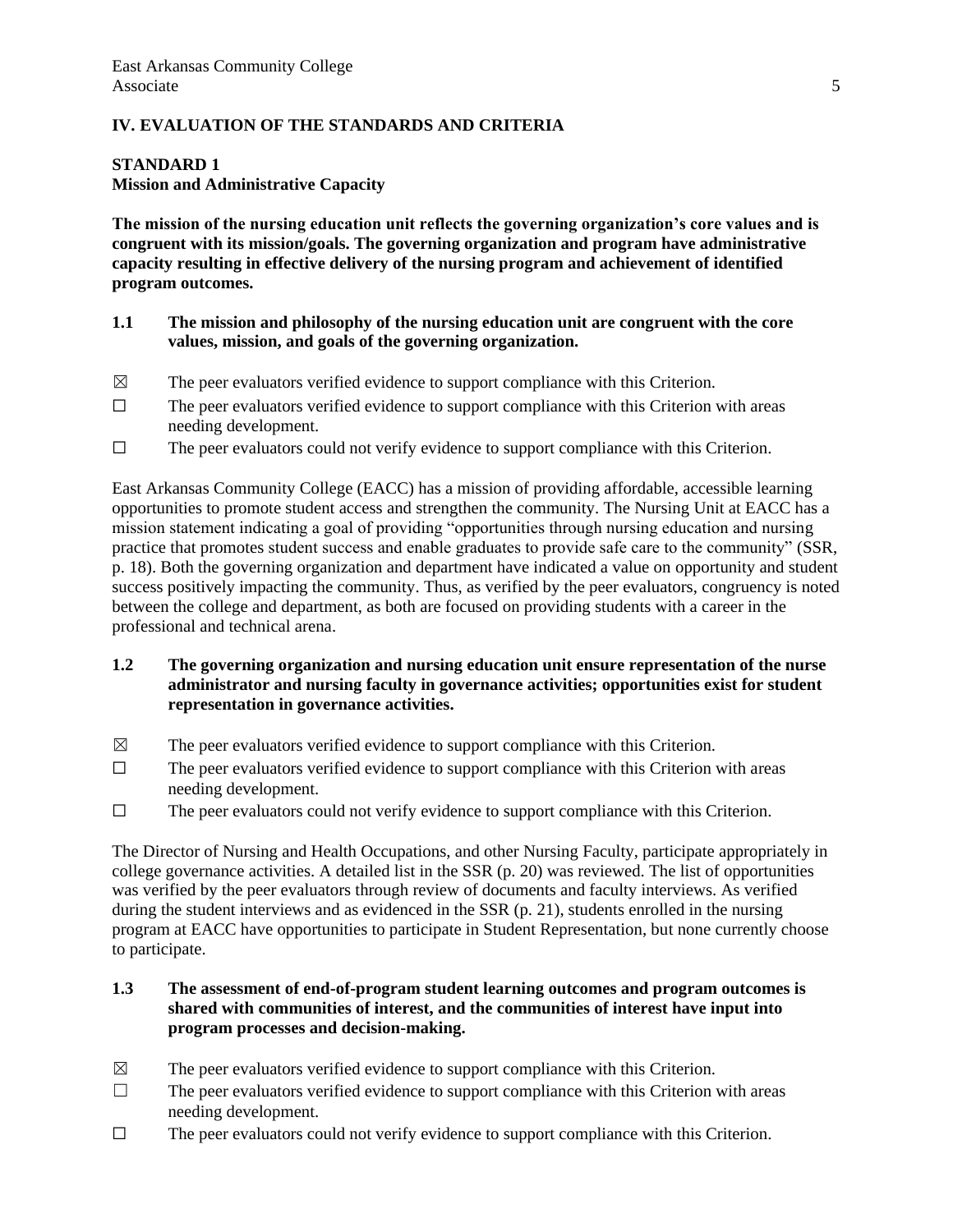### **IV. EVALUATION OF THE STANDARDS AND CRITERIA**

#### **STANDARD 1**

## **Mission and Administrative Capacity**

**The mission of the nursing education unit reflects the governing organization's core values and is congruent with its mission/goals. The governing organization and program have administrative capacity resulting in effective delivery of the nursing program and achievement of identified program outcomes.**

### **1.1 The mission and philosophy of the nursing education unit are congruent with the core values, mission, and goals of the governing organization.**

- $\boxtimes$  The peer evaluators verified evidence to support compliance with this Criterion.
- $\Box$  The peer evaluators verified evidence to support compliance with this Criterion with areas needing development.
- ☐ The peer evaluators could not verify evidence to support compliance with this Criterion.

East Arkansas Community College (EACC) has a mission of providing affordable, accessible learning opportunities to promote student access and strengthen the community. The Nursing Unit at EACC has a mission statement indicating a goal of providing "opportunities through nursing education and nursing practice that promotes student success and enable graduates to provide safe care to the community" (SSR, p. 18). Both the governing organization and department have indicated a value on opportunity and student success positively impacting the community. Thus, as verified by the peer evaluators, congruency is noted between the college and department, as both are focused on providing students with a career in the professional and technical arena.

- **1.2 The governing organization and nursing education unit ensure representation of the nurse administrator and nursing faculty in governance activities; opportunities exist for student representation in governance activities.**
- $\boxtimes$  The peer evaluators verified evidence to support compliance with this Criterion.
- ☐ The peer evaluators verified evidence to support compliance with this Criterion with areas needing development.
- ☐ The peer evaluators could not verify evidence to support compliance with this Criterion.

The Director of Nursing and Health Occupations, and other Nursing Faculty, participate appropriately in college governance activities. A detailed list in the SSR (p. 20) was reviewed. The list of opportunities was verified by the peer evaluators through review of documents and faculty interviews. As verified during the student interviews and as evidenced in the SSR (p. 21), students enrolled in the nursing program at EACC have opportunities to participate in Student Representation, but none currently choose to participate.

## **1.3 The assessment of end-of-program student learning outcomes and program outcomes is shared with communities of interest, and the communities of interest have input into program processes and decision-making.**

- $\boxtimes$  The peer evaluators verified evidence to support compliance with this Criterion.
- $\Box$  The peer evaluators verified evidence to support compliance with this Criterion with areas needing development.
- $\Box$  The peer evaluators could not verify evidence to support compliance with this Criterion.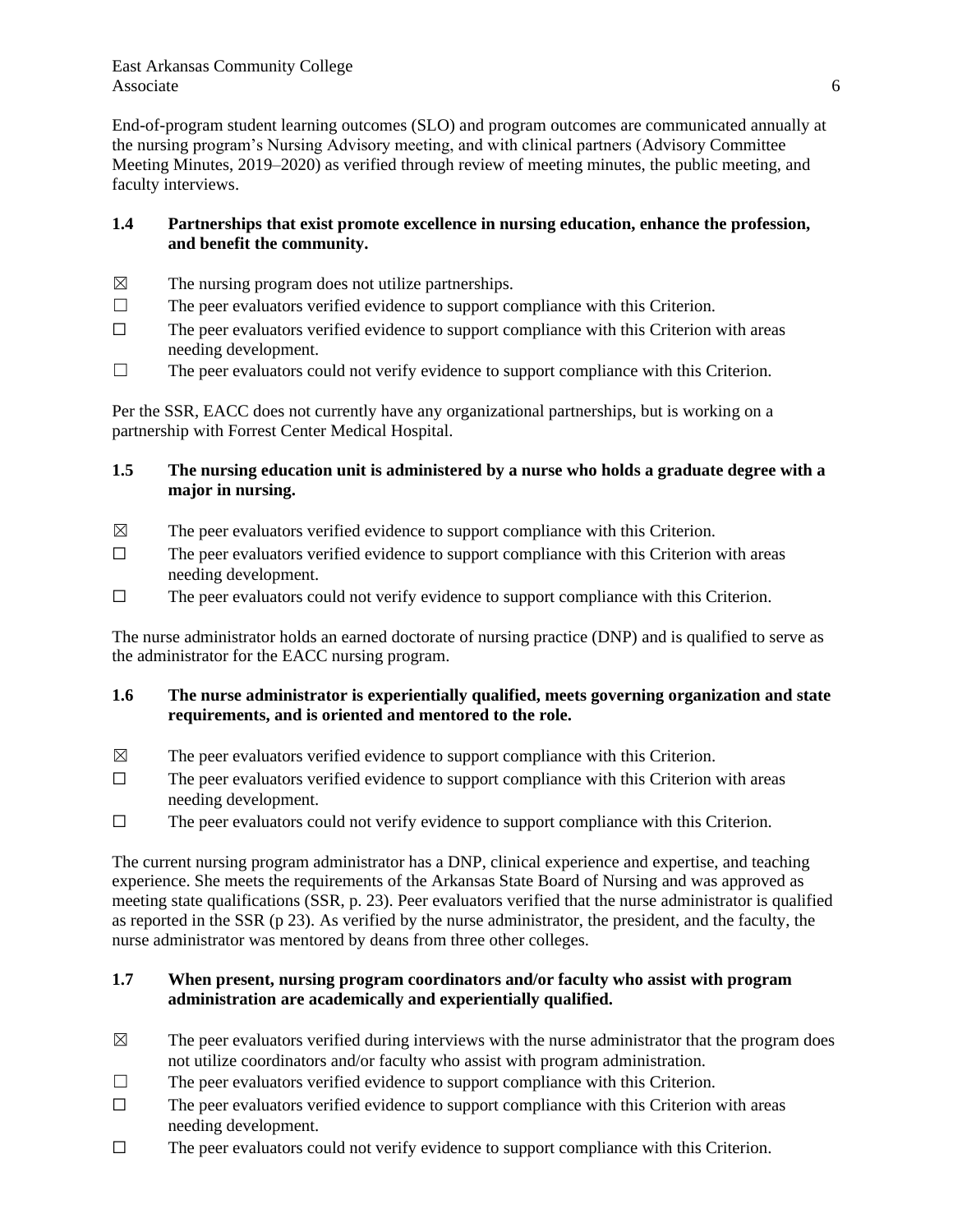End-of-program student learning outcomes (SLO) and program outcomes are communicated annually at the nursing program's Nursing Advisory meeting, and with clinical partners (Advisory Committee Meeting Minutes, 2019–2020) as verified through review of meeting minutes, the public meeting, and faculty interviews.

## **1.4 Partnerships that exist promote excellence in nursing education, enhance the profession, and benefit the community.**

- $\boxtimes$  The nursing program does not utilize partnerships.
- $\Box$  The peer evaluators verified evidence to support compliance with this Criterion.
- $\Box$  The peer evaluators verified evidence to support compliance with this Criterion with areas needing development.
- $\Box$  The peer evaluators could not verify evidence to support compliance with this Criterion.

Per the SSR, EACC does not currently have any organizational partnerships, but is working on a partnership with Forrest Center Medical Hospital.

## **1.5 The nursing education unit is administered by a nurse who holds a graduate degree with a major in nursing.**

- $\boxtimes$  The peer evaluators verified evidence to support compliance with this Criterion.
- $\Box$  The peer evaluators verified evidence to support compliance with this Criterion with areas needing development.
- $\Box$  The peer evaluators could not verify evidence to support compliance with this Criterion.

The nurse administrator holds an earned doctorate of nursing practice (DNP) and is qualified to serve as the administrator for the EACC nursing program.

## **1.6 The nurse administrator is experientially qualified, meets governing organization and state requirements, and is oriented and mentored to the role.**

- $\boxtimes$  The peer evaluators verified evidence to support compliance with this Criterion.
- $\Box$  The peer evaluators verified evidence to support compliance with this Criterion with areas needing development.
- $\Box$  The peer evaluators could not verify evidence to support compliance with this Criterion.

The current nursing program administrator has a DNP, clinical experience and expertise, and teaching experience. She meets the requirements of the Arkansas State Board of Nursing and was approved as meeting state qualifications (SSR, p. 23). Peer evaluators verified that the nurse administrator is qualified as reported in the SSR (p 23). As verified by the nurse administrator, the president, and the faculty, the nurse administrator was mentored by deans from three other colleges.

### **1.7 When present, nursing program coordinators and/or faculty who assist with program administration are academically and experientially qualified.**

- $\boxtimes$  The peer evaluators verified during interviews with the nurse administrator that the program does not utilize coordinators and/or faculty who assist with program administration.
- $\Box$  The peer evaluators verified evidence to support compliance with this Criterion.
- $\Box$  The peer evaluators verified evidence to support compliance with this Criterion with areas needing development.
- $\Box$  The peer evaluators could not verify evidence to support compliance with this Criterion.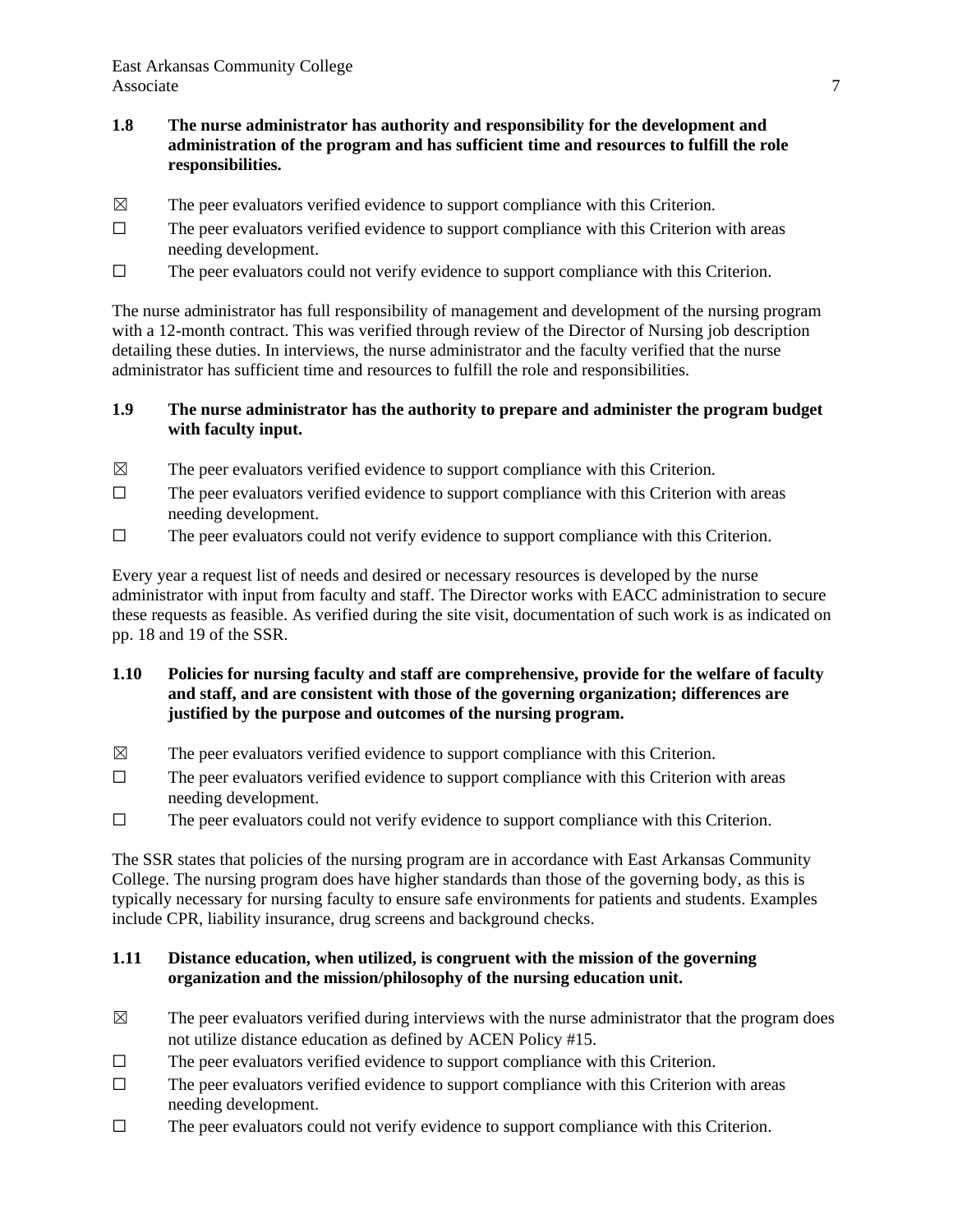- **1.8 The nurse administrator has authority and responsibility for the development and administration of the program and has sufficient time and resources to fulfill the role responsibilities.**
- $\boxtimes$  The peer evaluators verified evidence to support compliance with this Criterion.
- $\Box$  The peer evaluators verified evidence to support compliance with this Criterion with areas needing development.
- $\Box$  The peer evaluators could not verify evidence to support compliance with this Criterion.

The nurse administrator has full responsibility of management and development of the nursing program with a 12-month contract. This was verified through review of the Director of Nursing job description detailing these duties. In interviews, the nurse administrator and the faculty verified that the nurse administrator has sufficient time and resources to fulfill the role and responsibilities.

#### **1.9 The nurse administrator has the authority to prepare and administer the program budget with faculty input.**

- $\boxtimes$  The peer evaluators verified evidence to support compliance with this Criterion.
- $\Box$  The peer evaluators verified evidence to support compliance with this Criterion with areas needing development.
- ☐ The peer evaluators could not verify evidence to support compliance with this Criterion.

Every year a request list of needs and desired or necessary resources is developed by the nurse administrator with input from faculty and staff. The Director works with EACC administration to secure these requests as feasible. As verified during the site visit, documentation of such work is as indicated on pp. 18 and 19 of the SSR.

### **1.10 Policies for nursing faculty and staff are comprehensive, provide for the welfare of faculty and staff, and are consistent with those of the governing organization; differences are justified by the purpose and outcomes of the nursing program.**

- $\boxtimes$  The peer evaluators verified evidence to support compliance with this Criterion.
- ☐ The peer evaluators verified evidence to support compliance with this Criterion with areas needing development.
- ☐ The peer evaluators could not verify evidence to support compliance with this Criterion.

The SSR states that policies of the nursing program are in accordance with East Arkansas Community College. The nursing program does have higher standards than those of the governing body, as this is typically necessary for nursing faculty to ensure safe environments for patients and students. Examples include CPR, liability insurance, drug screens and background checks.

### **1.11 Distance education, when utilized, is congruent with the mission of the governing organization and the mission/philosophy of the nursing education unit.**

- $\boxtimes$  The peer evaluators verified during interviews with the nurse administrator that the program does not utilize distance education as defined by ACEN Policy #15.
- $\Box$  The peer evaluators verified evidence to support compliance with this Criterion.
- $\Box$  The peer evaluators verified evidence to support compliance with this Criterion with areas needing development.
- ☐ The peer evaluators could not verify evidence to support compliance with this Criterion.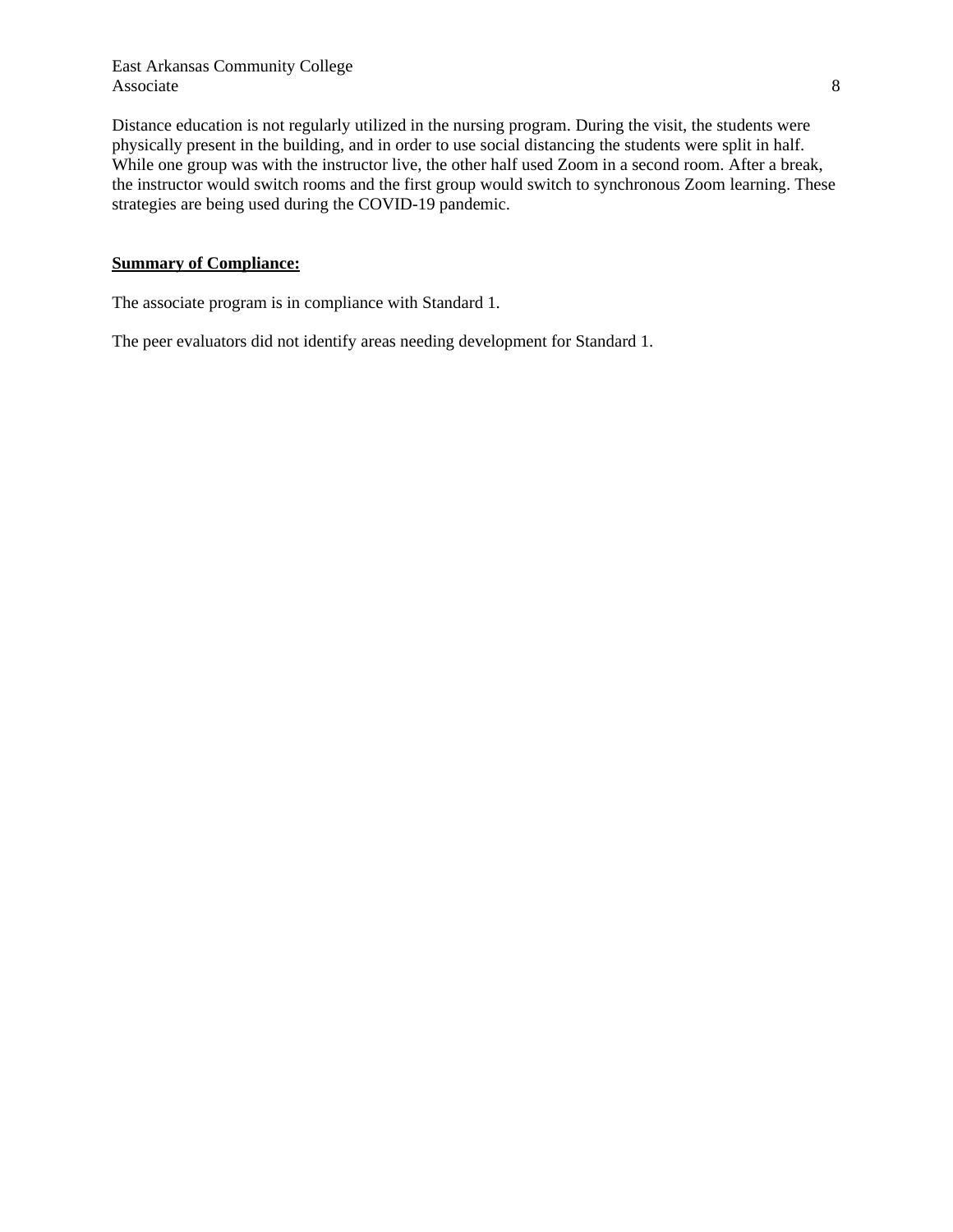East Arkansas Community College Associate 8

Distance education is not regularly utilized in the nursing program. During the visit, the students were physically present in the building, and in order to use social distancing the students were split in half. While one group was with the instructor live, the other half used Zoom in a second room. After a break, the instructor would switch rooms and the first group would switch to synchronous Zoom learning. These strategies are being used during the COVID-19 pandemic.

#### **Summary of Compliance:**

The associate program is in compliance with Standard 1.

The peer evaluators did not identify areas needing development for Standard 1.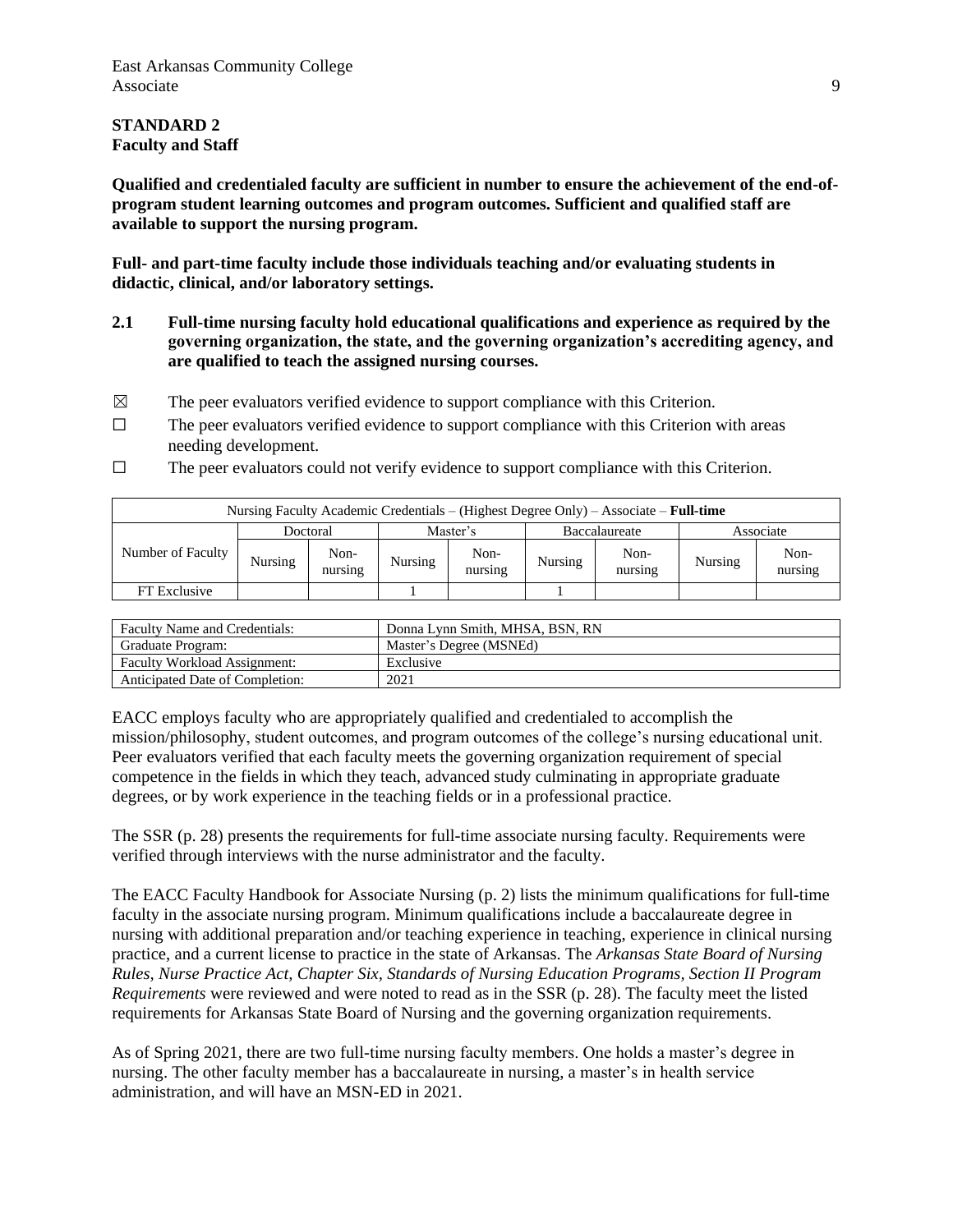## **STANDARD 2 Faculty and Staff**

**Qualified and credentialed faculty are sufficient in number to ensure the achievement of the end-ofprogram student learning outcomes and program outcomes. Sufficient and qualified staff are available to support the nursing program.**

**Full- and part-time faculty include those individuals teaching and/or evaluating students in didactic, clinical, and/or laboratory settings.**

- **2.1 Full-time nursing faculty hold educational qualifications and experience as required by the governing organization, the state, and the governing organization's accrediting agency, and are qualified to teach the assigned nursing courses.**
- $\boxtimes$  The peer evaluators verified evidence to support compliance with this Criterion.
- $\Box$  The peer evaluators verified evidence to support compliance with this Criterion with areas needing development.
- ☐ The peer evaluators could not verify evidence to support compliance with this Criterion.

| Nursing Faculty Academic Credentials – (Highest Degree Only) – Associate – <b>Full-time</b> |         |                 |         |                 |         |                 |         |                 |
|---------------------------------------------------------------------------------------------|---------|-----------------|---------|-----------------|---------|-----------------|---------|-----------------|
| Doctoral                                                                                    |         | Master's        |         | Baccalaureate   |         | Associate       |         |                 |
| Number of Faculty                                                                           | Nursing | Non-<br>nursing | Nursing | Non-<br>nursing | Nursing | Non-<br>nursing | Nursing | Non-<br>nursing |
| FT Exclusive                                                                                |         |                 |         |                 |         |                 |         |                 |

| <b>Faculty Name and Credentials:</b> | Donna Lynn Smith, MHSA, BSN, RN |
|--------------------------------------|---------------------------------|
| Graduate Program:                    | Master's Degree (MSNEd)         |
| <b>Faculty Workload Assignment:</b>  | Exclusive                       |
| Anticipated Date of Completion:      | 2021                            |

EACC employs faculty who are appropriately qualified and credentialed to accomplish the mission/philosophy, student outcomes, and program outcomes of the college's nursing educational unit. Peer evaluators verified that each faculty meets the governing organization requirement of special competence in the fields in which they teach, advanced study culminating in appropriate graduate degrees, or by work experience in the teaching fields or in a professional practice.

The SSR (p. 28) presents the requirements for full-time associate nursing faculty. Requirements were verified through interviews with the nurse administrator and the faculty.

The EACC Faculty Handbook for Associate Nursing (p. 2) lists the minimum qualifications for full-time faculty in the associate nursing program. Minimum qualifications include a baccalaureate degree in nursing with additional preparation and/or teaching experience in teaching, experience in clinical nursing practice, and a current license to practice in the state of Arkansas. The *Arkansas State Board of Nursing Rules, Nurse Practice Act, Chapter Six, Standards of Nursing Education Programs, Section II Program Requirements* were reviewed and were noted to read as in the SSR (p. 28). The faculty meet the listed requirements for Arkansas State Board of Nursing and the governing organization requirements.

As of Spring 2021, there are two full-time nursing faculty members. One holds a master's degree in nursing. The other faculty member has a baccalaureate in nursing, a master's in health service administration, and will have an MSN-ED in 2021.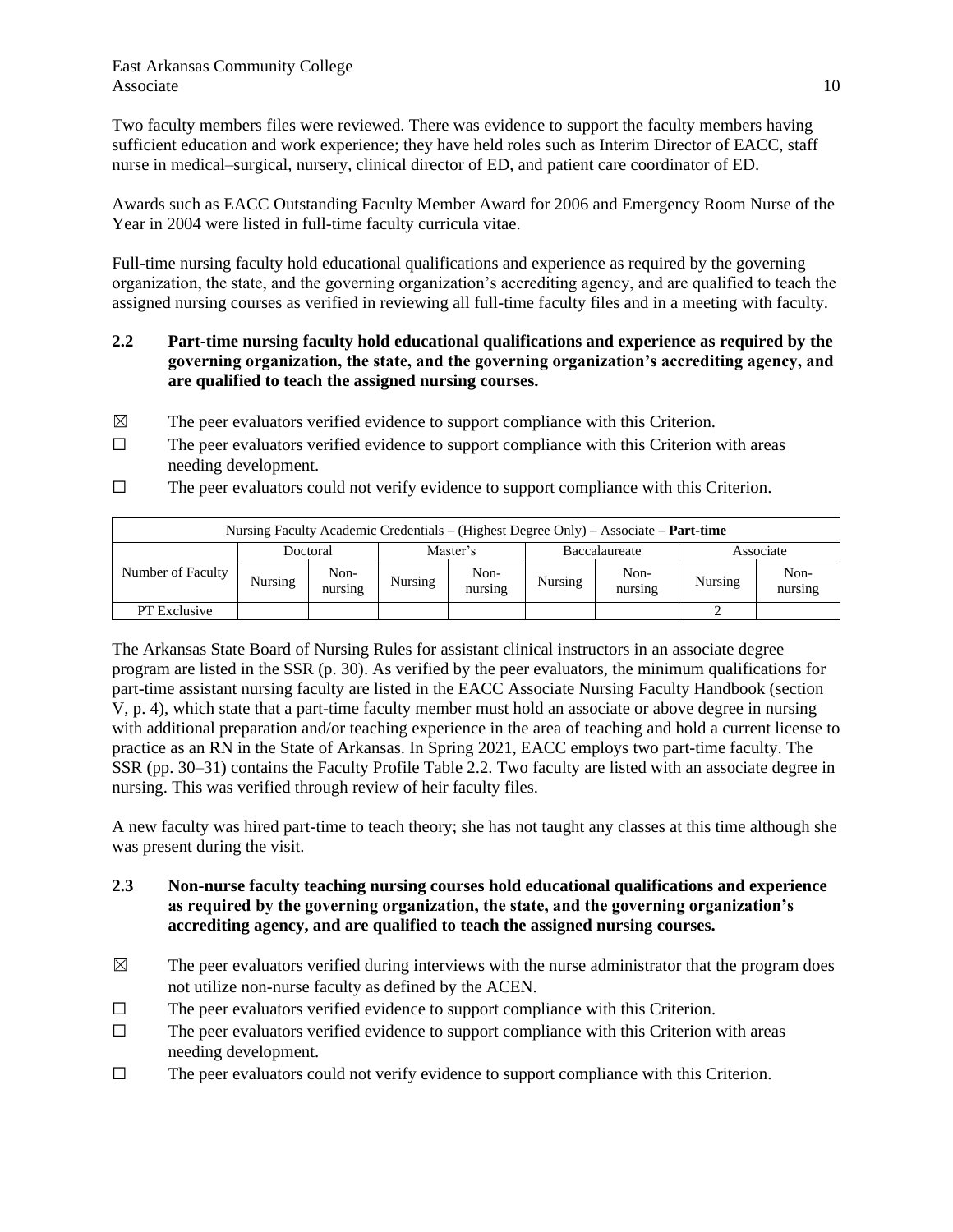Two faculty members files were reviewed. There was evidence to support the faculty members having sufficient education and work experience; they have held roles such as Interim Director of EACC, staff nurse in medical–surgical, nursery, clinical director of ED, and patient care coordinator of ED.

Awards such as EACC Outstanding Faculty Member Award for 2006 and Emergency Room Nurse of the Year in 2004 were listed in full-time faculty curricula vitae.

Full-time nursing faculty hold educational qualifications and experience as required by the governing organization, the state, and the governing organization's accrediting agency, and are qualified to teach the assigned nursing courses as verified in reviewing all full-time faculty files and in a meeting with faculty.

- **2.2 Part-time nursing faculty hold educational qualifications and experience as required by the governing organization, the state, and the governing organization's accrediting agency, and are qualified to teach the assigned nursing courses.**
- $\boxtimes$  The peer evaluators verified evidence to support compliance with this Criterion.
- $\Box$  The peer evaluators verified evidence to support compliance with this Criterion with areas needing development.
- ☐ The peer evaluators could not verify evidence to support compliance with this Criterion.

| Nursing Faculty Academic Credentials – (Highest Degree Only) – Associate – <b>Part-time</b> |         |                 |         |                 |         |                 |         |                 |
|---------------------------------------------------------------------------------------------|---------|-----------------|---------|-----------------|---------|-----------------|---------|-----------------|
| Doctoral                                                                                    |         | Master's        |         | Baccalaureate   |         | Associate       |         |                 |
| Number of Faculty                                                                           | Nursing | Non-<br>nursing | Nursing | Non-<br>nursing | Nursing | Non-<br>nursing | Nursing | Non-<br>nursing |
| <b>PT</b> Exclusive                                                                         |         |                 |         |                 |         |                 |         |                 |

The Arkansas State Board of Nursing Rules for assistant clinical instructors in an associate degree program are listed in the SSR (p. 30). As verified by the peer evaluators, the minimum qualifications for part-time assistant nursing faculty are listed in the EACC Associate Nursing Faculty Handbook (section V, p. 4), which state that a part-time faculty member must hold an associate or above degree in nursing with additional preparation and/or teaching experience in the area of teaching and hold a current license to practice as an RN in the State of Arkansas. In Spring 2021, EACC employs two part-time faculty. The SSR (pp. 30‒31) contains the Faculty Profile Table 2.2. Two faculty are listed with an associate degree in nursing. This was verified through review of heir faculty files.

A new faculty was hired part-time to teach theory; she has not taught any classes at this time although she was present during the visit.

- **2.3 Non-nurse faculty teaching nursing courses hold educational qualifications and experience as required by the governing organization, the state, and the governing organization's accrediting agency, and are qualified to teach the assigned nursing courses.**
- $\boxtimes$  The peer evaluators verified during interviews with the nurse administrator that the program does not utilize non-nurse faculty as defined by the ACEN.
- ☐ The peer evaluators verified evidence to support compliance with this Criterion.
- $\Box$  The peer evaluators verified evidence to support compliance with this Criterion with areas needing development.
- $\Box$  The peer evaluators could not verify evidence to support compliance with this Criterion.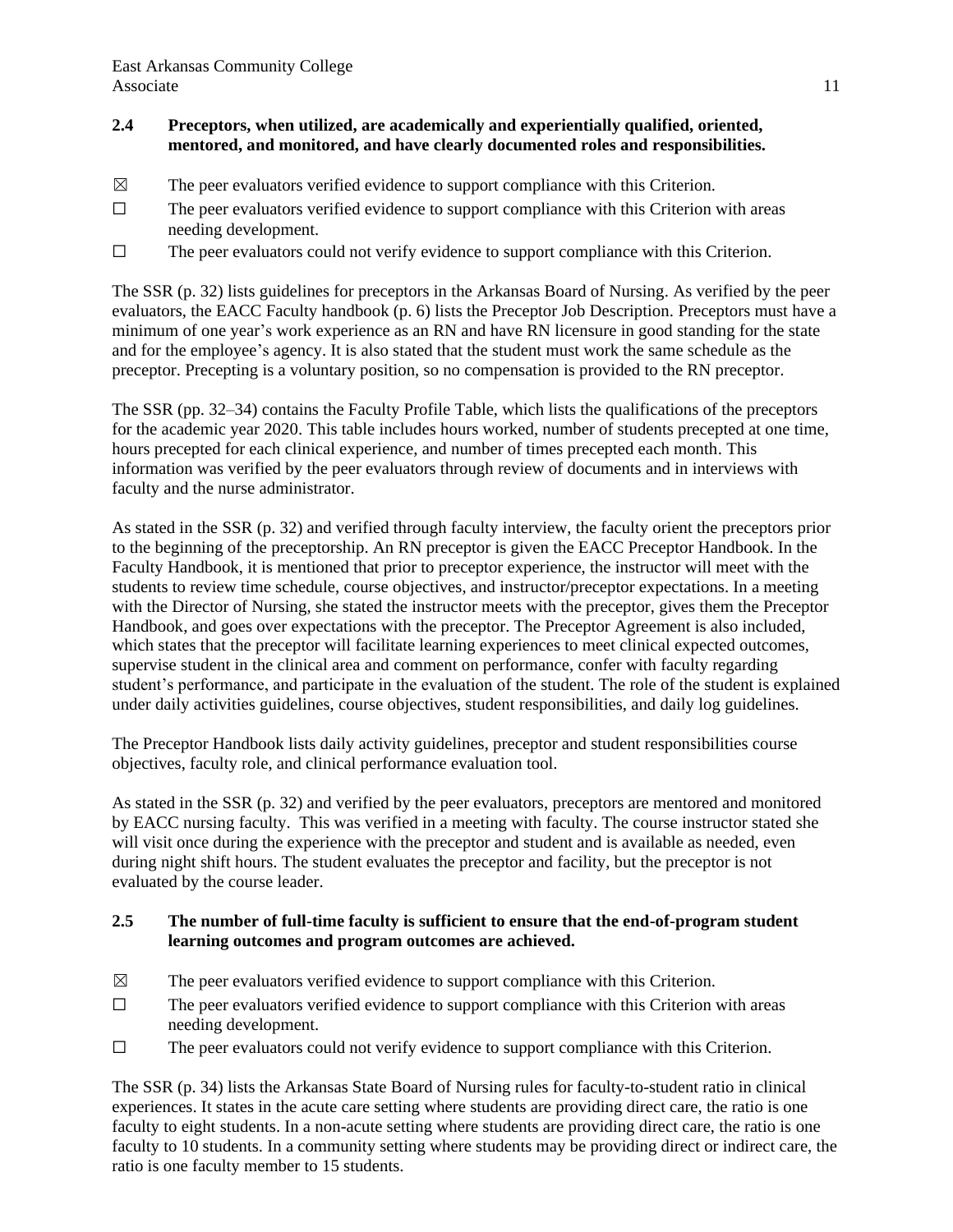## **2.4 Preceptors, when utilized, are academically and experientially qualified, oriented, mentored, and monitored, and have clearly documented roles and responsibilities.**

- $\boxtimes$  The peer evaluators verified evidence to support compliance with this Criterion.
- ☐ The peer evaluators verified evidence to support compliance with this Criterion with areas needing development.
- $\Box$  The peer evaluators could not verify evidence to support compliance with this Criterion.

The SSR (p. 32) lists guidelines for preceptors in the Arkansas Board of Nursing. As verified by the peer evaluators, the EACC Faculty handbook (p. 6) lists the Preceptor Job Description. Preceptors must have a minimum of one year's work experience as an RN and have RN licensure in good standing for the state and for the employee's agency. It is also stated that the student must work the same schedule as the preceptor. Precepting is a voluntary position, so no compensation is provided to the RN preceptor.

The SSR (pp. 32‒34) contains the Faculty Profile Table, which lists the qualifications of the preceptors for the academic year 2020. This table includes hours worked, number of students precepted at one time, hours precepted for each clinical experience, and number of times precepted each month. This information was verified by the peer evaluators through review of documents and in interviews with faculty and the nurse administrator.

As stated in the SSR (p. 32) and verified through faculty interview, the faculty orient the preceptors prior to the beginning of the preceptorship. An RN preceptor is given the EACC Preceptor Handbook. In the Faculty Handbook, it is mentioned that prior to preceptor experience, the instructor will meet with the students to review time schedule, course objectives, and instructor/preceptor expectations. In a meeting with the Director of Nursing, she stated the instructor meets with the preceptor, gives them the Preceptor Handbook, and goes over expectations with the preceptor. The Preceptor Agreement is also included, which states that the preceptor will facilitate learning experiences to meet clinical expected outcomes, supervise student in the clinical area and comment on performance, confer with faculty regarding student's performance, and participate in the evaluation of the student. The role of the student is explained under daily activities guidelines, course objectives, student responsibilities, and daily log guidelines.

The Preceptor Handbook lists daily activity guidelines, preceptor and student responsibilities course objectives, faculty role, and clinical performance evaluation tool.

As stated in the SSR (p. 32) and verified by the peer evaluators, preceptors are mentored and monitored by EACC nursing faculty. This was verified in a meeting with faculty. The course instructor stated she will visit once during the experience with the preceptor and student and is available as needed, even during night shift hours. The student evaluates the preceptor and facility, but the preceptor is not evaluated by the course leader.

### **2.5 The number of full-time faculty is sufficient to ensure that the end-of-program student learning outcomes and program outcomes are achieved.**

- $\boxtimes$  The peer evaluators verified evidence to support compliance with this Criterion.
- $\Box$  The peer evaluators verified evidence to support compliance with this Criterion with areas needing development.
- $\Box$  The peer evaluators could not verify evidence to support compliance with this Criterion.

The SSR (p. 34) lists the Arkansas State Board of Nursing rules for faculty-to-student ratio in clinical experiences. It states in the acute care setting where students are providing direct care, the ratio is one faculty to eight students. In a non-acute setting where students are providing direct care, the ratio is one faculty to 10 students. In a community setting where students may be providing direct or indirect care, the ratio is one faculty member to 15 students.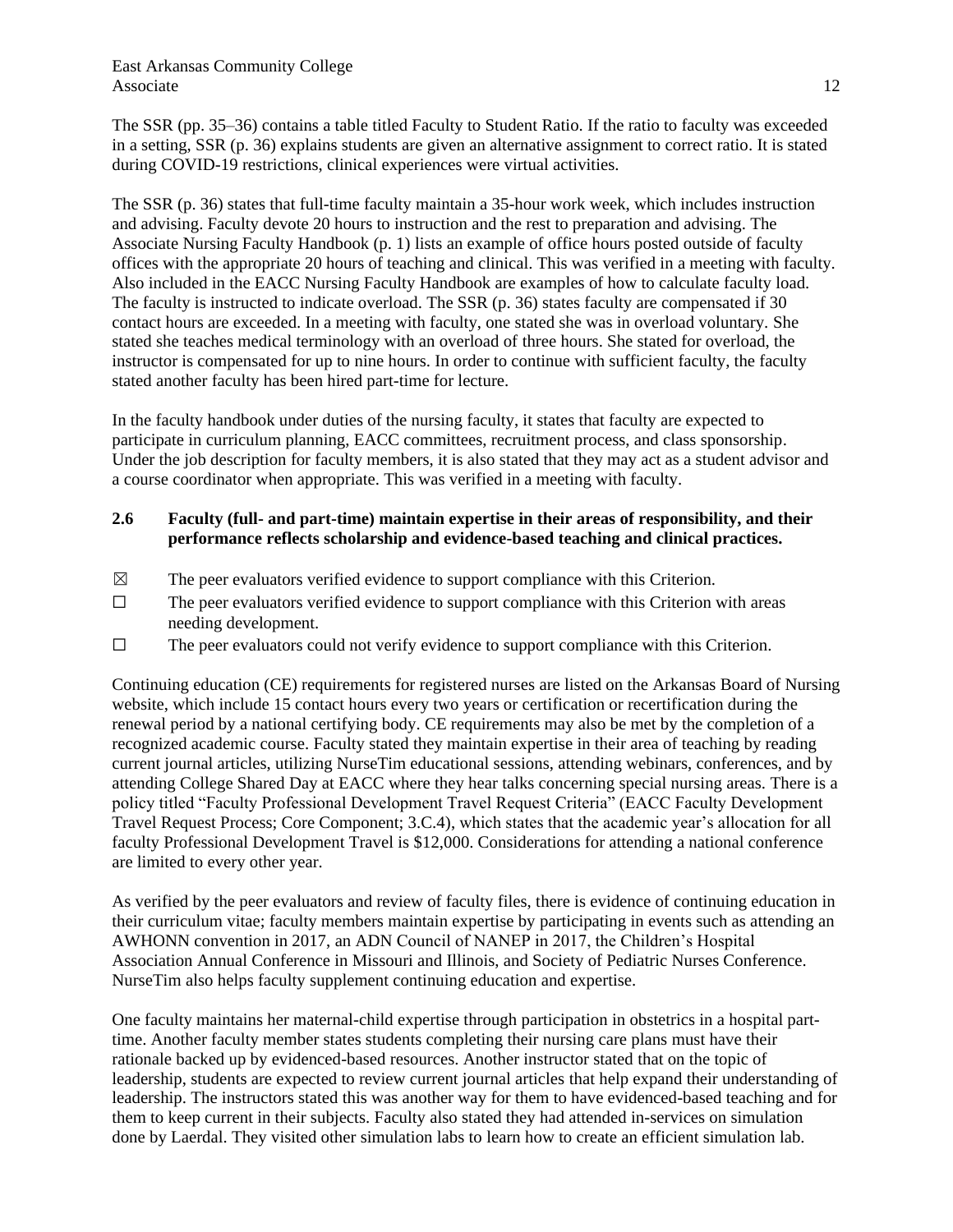East Arkansas Community College Associate 12

The SSR (pp. 35–36) contains a table titled Faculty to Student Ratio. If the ratio to faculty was exceeded in a setting, SSR (p. 36) explains students are given an alternative assignment to correct ratio. It is stated during COVID-19 restrictions, clinical experiences were virtual activities.

The SSR (p. 36) states that full-time faculty maintain a 35-hour work week, which includes instruction and advising. Faculty devote 20 hours to instruction and the rest to preparation and advising. The Associate Nursing Faculty Handbook (p. 1) lists an example of office hours posted outside of faculty offices with the appropriate 20 hours of teaching and clinical. This was verified in a meeting with faculty. Also included in the EACC Nursing Faculty Handbook are examples of how to calculate faculty load. The faculty is instructed to indicate overload. The SSR (p. 36) states faculty are compensated if 30 contact hours are exceeded. In a meeting with faculty, one stated she was in overload voluntary. She stated she teaches medical terminology with an overload of three hours. She stated for overload, the instructor is compensated for up to nine hours. In order to continue with sufficient faculty, the faculty stated another faculty has been hired part-time for lecture.

In the faculty handbook under duties of the nursing faculty, it states that faculty are expected to participate in curriculum planning, EACC committees, recruitment process, and class sponsorship. Under the job description for faculty members, it is also stated that they may act as a student advisor and a course coordinator when appropriate. This was verified in a meeting with faculty.

#### **2.6 Faculty (full- and part-time) maintain expertise in their areas of responsibility, and their performance reflects scholarship and evidence-based teaching and clinical practices.**

- $\boxtimes$  The peer evaluators verified evidence to support compliance with this Criterion.
- $\Box$  The peer evaluators verified evidence to support compliance with this Criterion with areas needing development.
- $\Box$  The peer evaluators could not verify evidence to support compliance with this Criterion.

Continuing education (CE) requirements for registered nurses are listed on the Arkansas Board of Nursing website, which include 15 contact hours every two years or certification or recertification during the renewal period by a national certifying body. CE requirements may also be met by the completion of a recognized academic course. Faculty stated they maintain expertise in their area of teaching by reading current journal articles, utilizing NurseTim educational sessions, attending webinars, conferences, and by attending College Shared Day at EACC where they hear talks concerning special nursing areas. There is a policy titled "Faculty Professional Development Travel Request Criteria" (EACC Faculty Development Travel Request Process; Core Component; 3.C.4), which states that the academic year's allocation for all faculty Professional Development Travel is \$12,000. Considerations for attending a national conference are limited to every other year.

As verified by the peer evaluators and review of faculty files, there is evidence of continuing education in their curriculum vitae; faculty members maintain expertise by participating in events such as attending an AWHONN convention in 2017, an ADN Council of NANEP in 2017, the Children's Hospital Association Annual Conference in Missouri and Illinois, and Society of Pediatric Nurses Conference. NurseTim also helps faculty supplement continuing education and expertise.

One faculty maintains her maternal-child expertise through participation in obstetrics in a hospital parttime. Another faculty member states students completing their nursing care plans must have their rationale backed up by evidenced-based resources. Another instructor stated that on the topic of leadership, students are expected to review current journal articles that help expand their understanding of leadership. The instructors stated this was another way for them to have evidenced-based teaching and for them to keep current in their subjects. Faculty also stated they had attended in-services on simulation done by Laerdal. They visited other simulation labs to learn how to create an efficient simulation lab.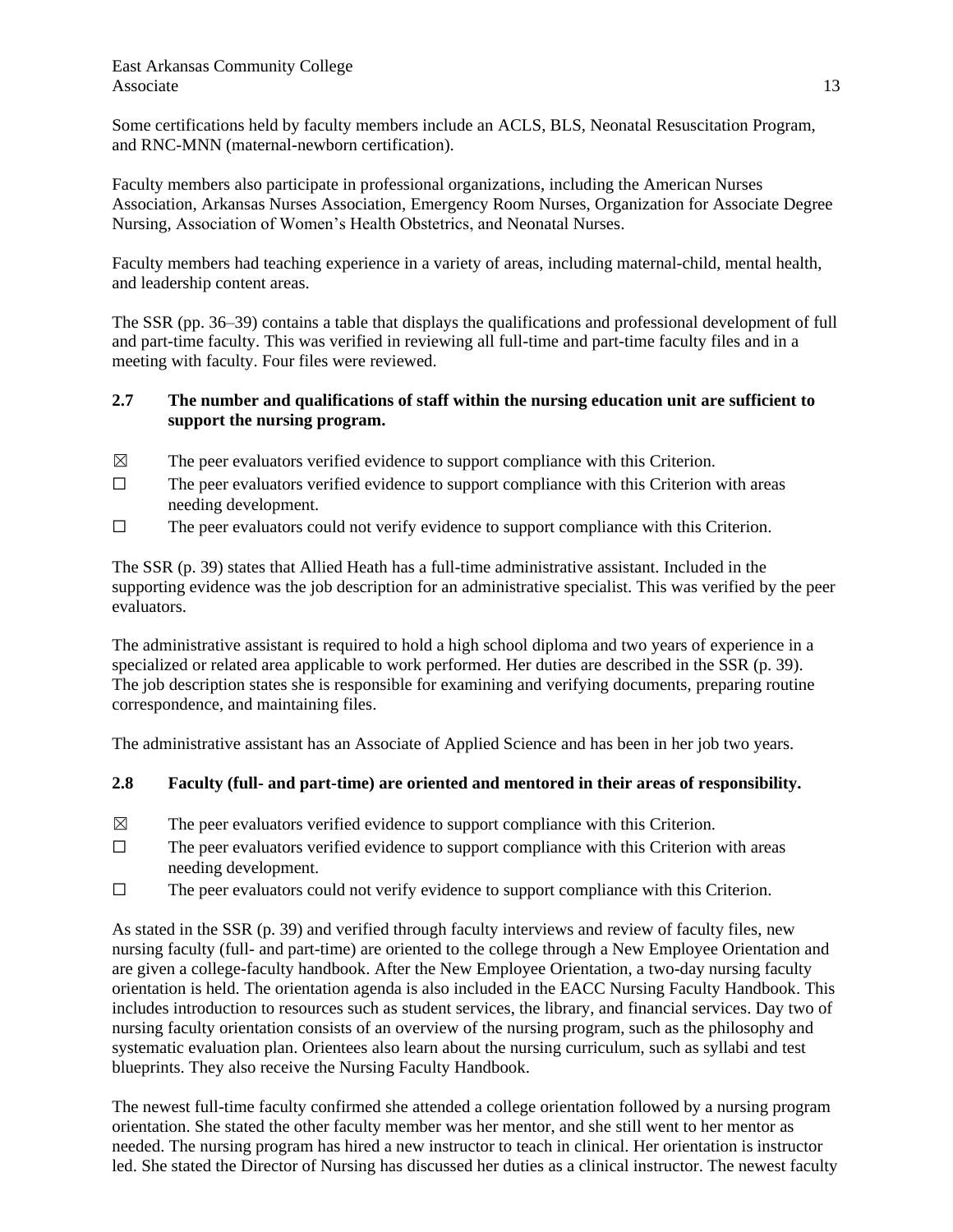Some certifications held by faculty members include an ACLS, BLS, Neonatal Resuscitation Program, and RNC-MNN (maternal-newborn certification).

Faculty members also participate in professional organizations, including the American Nurses Association, Arkansas Nurses Association, Emergency Room Nurses, Organization for Associate Degree Nursing, Association of Women's Health Obstetrics, and Neonatal Nurses.

Faculty members had teaching experience in a variety of areas, including maternal-child, mental health, and leadership content areas.

The SSR (pp. 36‒39) contains a table that displays the qualifications and professional development of full and part-time faculty. This was verified in reviewing all full-time and part-time faculty files and in a meeting with faculty. Four files were reviewed.

## **2.7 The number and qualifications of staff within the nursing education unit are sufficient to support the nursing program.**

- $\boxtimes$  The peer evaluators verified evidence to support compliance with this Criterion.
- $\Box$  The peer evaluators verified evidence to support compliance with this Criterion with areas needing development.
- $\Box$  The peer evaluators could not verify evidence to support compliance with this Criterion.

The SSR (p. 39) states that Allied Heath has a full-time administrative assistant. Included in the supporting evidence was the job description for an administrative specialist. This was verified by the peer evaluators.

The administrative assistant is required to hold a high school diploma and two years of experience in a specialized or related area applicable to work performed. Her duties are described in the SSR (p. 39). The job description states she is responsible for examining and verifying documents, preparing routine correspondence, and maintaining files.

The administrative assistant has an Associate of Applied Science and has been in her job two years.

## **2.8 Faculty (full- and part-time) are oriented and mentored in their areas of responsibility.**

- $\boxtimes$  The peer evaluators verified evidence to support compliance with this Criterion.
- $\Box$  The peer evaluators verified evidence to support compliance with this Criterion with areas needing development.
- ☐ The peer evaluators could not verify evidence to support compliance with this Criterion.

As stated in the SSR (p. 39) and verified through faculty interviews and review of faculty files, new nursing faculty (full- and part-time) are oriented to the college through a New Employee Orientation and are given a college-faculty handbook. After the New Employee Orientation, a two-day nursing faculty orientation is held. The orientation agenda is also included in the EACC Nursing Faculty Handbook. This includes introduction to resources such as student services, the library, and financial services. Day two of nursing faculty orientation consists of an overview of the nursing program, such as the philosophy and systematic evaluation plan. Orientees also learn about the nursing curriculum, such as syllabi and test blueprints. They also receive the Nursing Faculty Handbook.

The newest full-time faculty confirmed she attended a college orientation followed by a nursing program orientation. She stated the other faculty member was her mentor, and she still went to her mentor as needed. The nursing program has hired a new instructor to teach in clinical. Her orientation is instructor led. She stated the Director of Nursing has discussed her duties as a clinical instructor. The newest faculty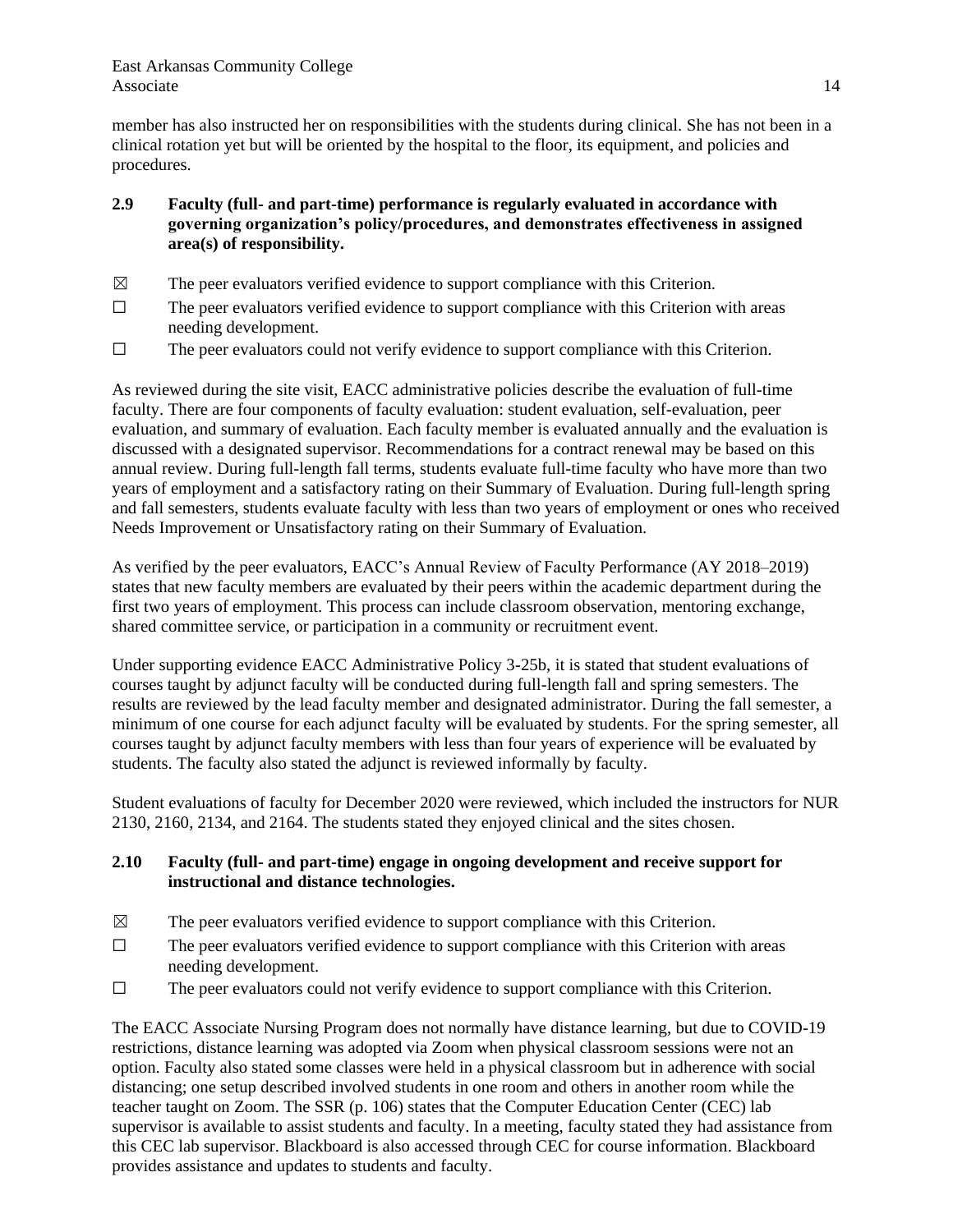member has also instructed her on responsibilities with the students during clinical. She has not been in a clinical rotation yet but will be oriented by the hospital to the floor, its equipment, and policies and procedures.

- **2.9 Faculty (full- and part-time) performance is regularly evaluated in accordance with governing organization's policy/procedures, and demonstrates effectiveness in assigned area(s) of responsibility.**
- $\boxtimes$  The peer evaluators verified evidence to support compliance with this Criterion.
- $\Box$  The peer evaluators verified evidence to support compliance with this Criterion with areas needing development.
- ☐ The peer evaluators could not verify evidence to support compliance with this Criterion.

As reviewed during the site visit, EACC administrative policies describe the evaluation of full-time faculty. There are four components of faculty evaluation: student evaluation, self-evaluation, peer evaluation, and summary of evaluation. Each faculty member is evaluated annually and the evaluation is discussed with a designated supervisor. Recommendations for a contract renewal may be based on this annual review. During full-length fall terms, students evaluate full-time faculty who have more than two years of employment and a satisfactory rating on their Summary of Evaluation. During full-length spring and fall semesters, students evaluate faculty with less than two years of employment or ones who received Needs Improvement or Unsatisfactory rating on their Summary of Evaluation.

As verified by the peer evaluators, EACC's Annual Review of Faculty Performance (AY 2018–2019) states that new faculty members are evaluated by their peers within the academic department during the first two years of employment. This process can include classroom observation, mentoring exchange, shared committee service, or participation in a community or recruitment event.

Under supporting evidence EACC Administrative Policy 3-25b, it is stated that student evaluations of courses taught by adjunct faculty will be conducted during full-length fall and spring semesters. The results are reviewed by the lead faculty member and designated administrator. During the fall semester, a minimum of one course for each adjunct faculty will be evaluated by students. For the spring semester, all courses taught by adjunct faculty members with less than four years of experience will be evaluated by students. The faculty also stated the adjunct is reviewed informally by faculty.

Student evaluations of faculty for December 2020 were reviewed, which included the instructors for NUR 2130, 2160, 2134, and 2164. The students stated they enjoyed clinical and the sites chosen.

## **2.10 Faculty (full- and part-time) engage in ongoing development and receive support for instructional and distance technologies.**

- $\boxtimes$  The peer evaluators verified evidence to support compliance with this Criterion.
- $\Box$  The peer evaluators verified evidence to support compliance with this Criterion with areas needing development.
- $\Box$  The peer evaluators could not verify evidence to support compliance with this Criterion.

The EACC Associate Nursing Program does not normally have distance learning, but due to COVID-19 restrictions, distance learning was adopted via Zoom when physical classroom sessions were not an option. Faculty also stated some classes were held in a physical classroom but in adherence with social distancing; one setup described involved students in one room and others in another room while the teacher taught on Zoom. The SSR (p. 106) states that the Computer Education Center (CEC) lab supervisor is available to assist students and faculty. In a meeting, faculty stated they had assistance from this CEC lab supervisor. Blackboard is also accessed through CEC for course information. Blackboard provides assistance and updates to students and faculty.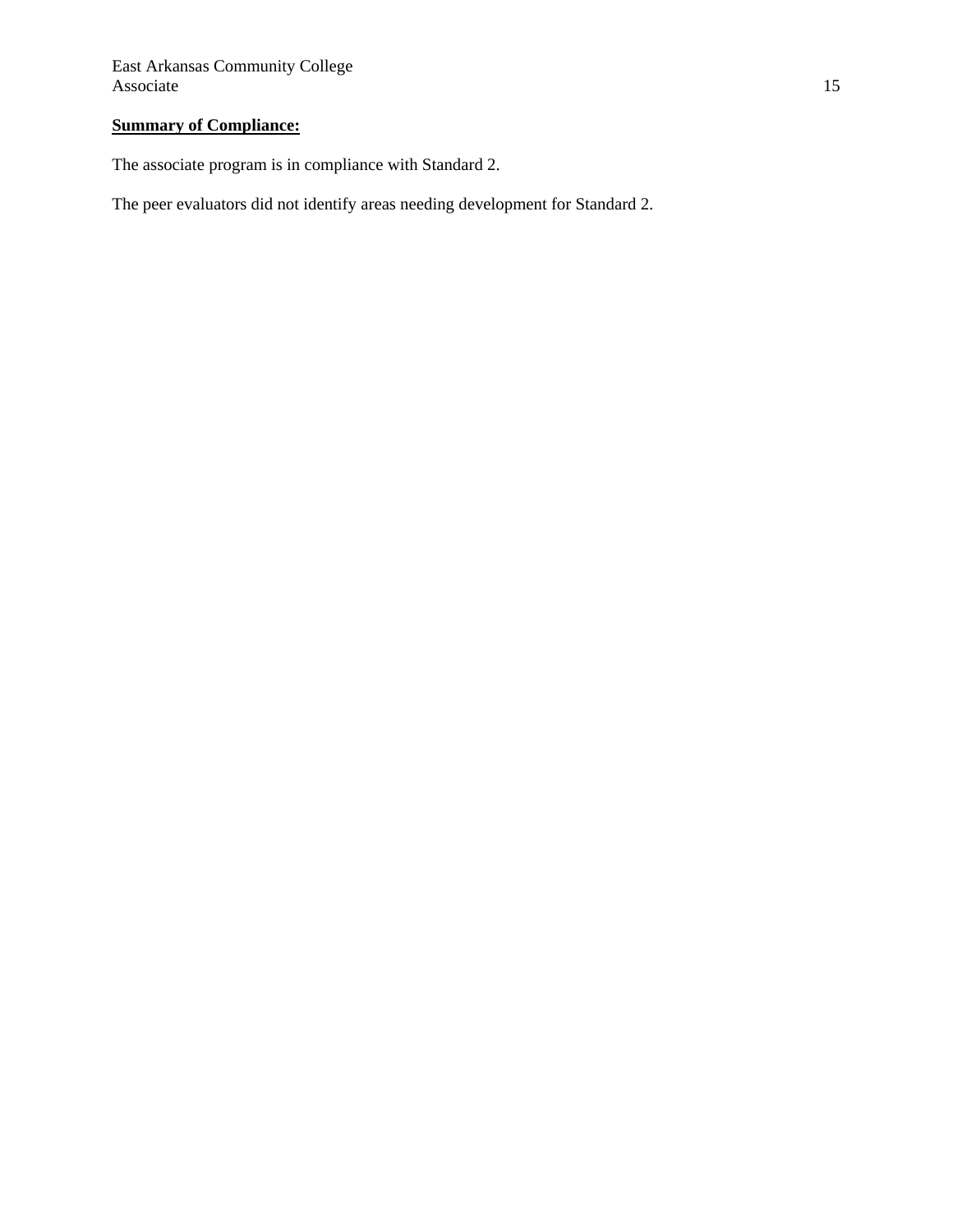# **Summary of Compliance:**

The associate program is in compliance with Standard 2.

The peer evaluators did not identify areas needing development for Standard 2.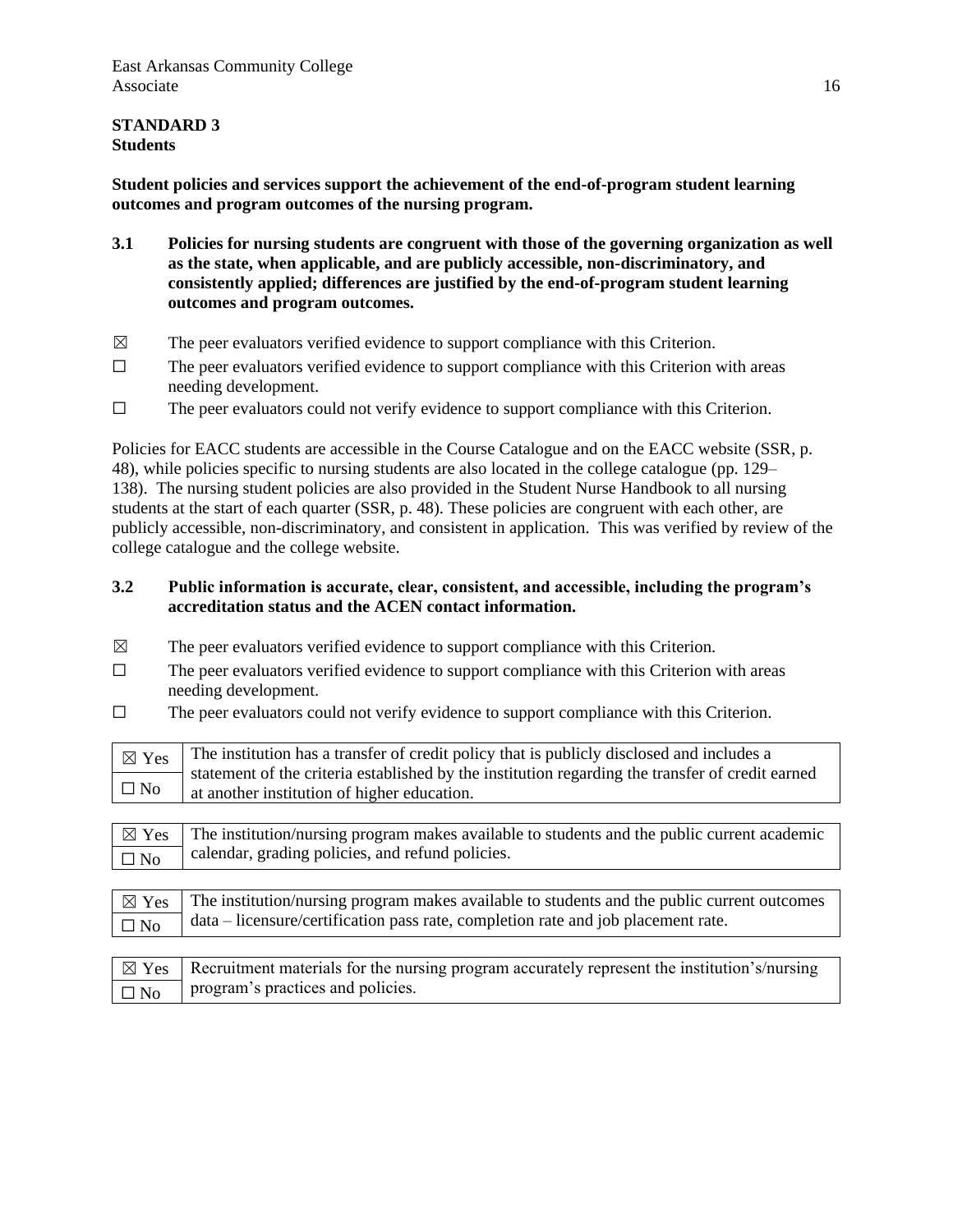## **STANDARD 3 Students**

**Student policies and services support the achievement of the end-of-program student learning outcomes and program outcomes of the nursing program.**

- **3.1 Policies for nursing students are congruent with those of the governing organization as well as the state, when applicable, and are publicly accessible, non-discriminatory, and consistently applied; differences are justified by the end-of-program student learning outcomes and program outcomes.**
- $\boxtimes$  The peer evaluators verified evidence to support compliance with this Criterion.
- $\Box$  The peer evaluators verified evidence to support compliance with this Criterion with areas needing development.
- ☐ The peer evaluators could not verify evidence to support compliance with this Criterion.

Policies for EACC students are accessible in the Course Catalogue and on the EACC website (SSR, p. 48), while policies specific to nursing students are also located in the college catalogue (pp. 129– 138). The nursing student policies are also provided in the Student Nurse Handbook to all nursing students at the start of each quarter (SSR, p. 48). These policies are congruent with each other, are publicly accessible, non-discriminatory, and consistent in application. This was verified by review of the college catalogue and the college website.

#### **3.2 Public information is accurate, clear, consistent, and accessible, including the program's accreditation status and the ACEN contact information.**

- $\boxtimes$  The peer evaluators verified evidence to support compliance with this Criterion.
- $\Box$  The peer evaluators verified evidence to support compliance with this Criterion with areas needing development.
- $\Box$  The peer evaluators could not verify evidence to support compliance with this Criterion.

| $\boxtimes$ Yes | The institution has a transfer of credit policy that is publicly disclosed and includes a                                                       |
|-----------------|-------------------------------------------------------------------------------------------------------------------------------------------------|
| $\square$ No    | statement of the criteria established by the institution regarding the transfer of credit earned<br>at another institution of higher education. |
|                 |                                                                                                                                                 |
| $\boxtimes$ Yes | The institution/nursing program makes available to students and the public current academic                                                     |
| $\square$ No    | calendar, grading policies, and refund policies.                                                                                                |
|                 |                                                                                                                                                 |
| $\boxtimes$ Yes | The institution/nursing program makes available to students and the public current outcomes                                                     |
| $\square$ No    | data – licensure/certification pass rate, completion rate and job placement rate.                                                               |
|                 |                                                                                                                                                 |

| $\boxtimes$ Yes Recruitment materials for the nursing program accurately represent the institution's/nursing |
|--------------------------------------------------------------------------------------------------------------|
| $\boxed{\Box N_0}$ program's practices and policies.                                                         |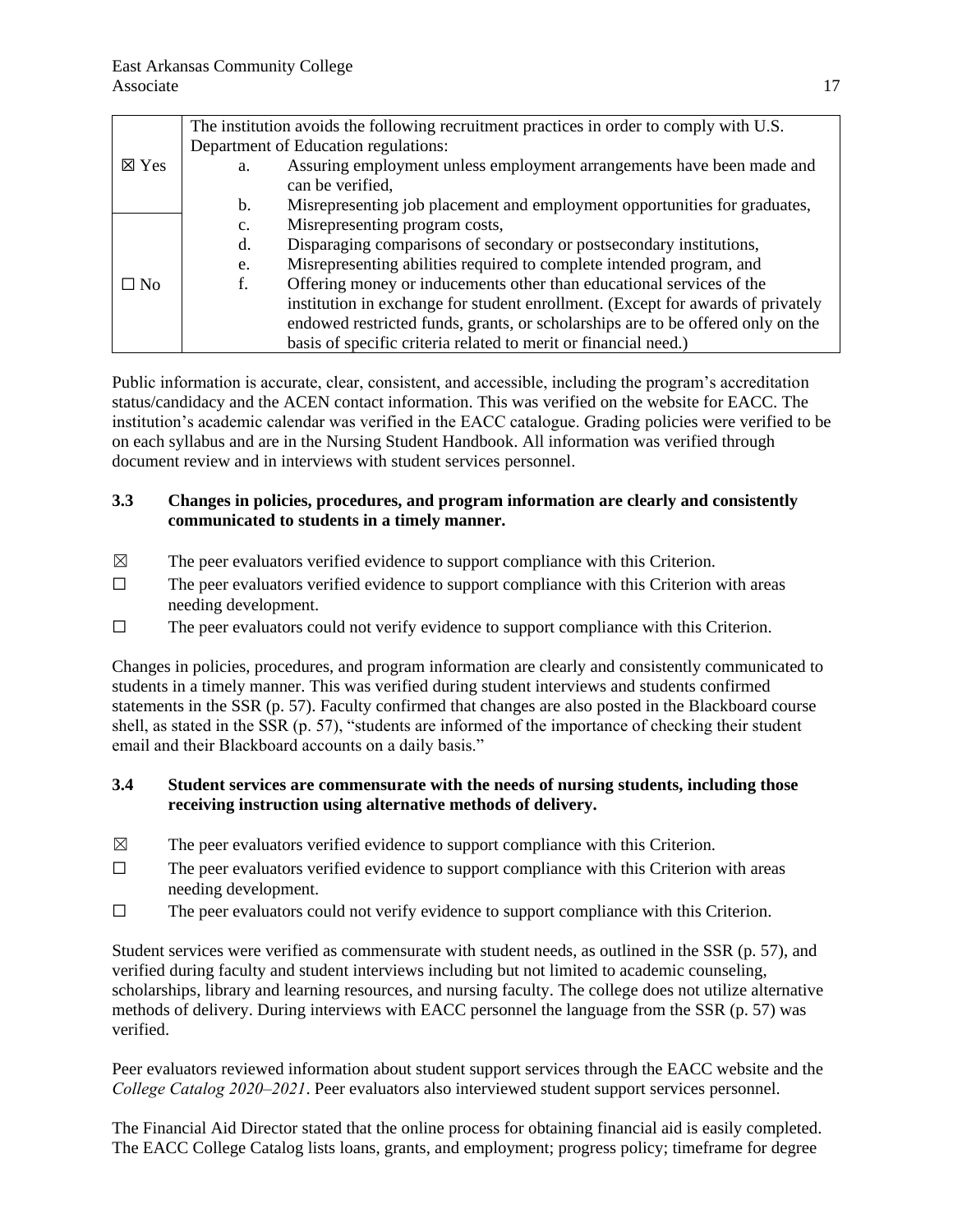|                 | The institution avoids the following recruitment practices in order to comply with U.S. |
|-----------------|-----------------------------------------------------------------------------------------|
|                 | Department of Education regulations:                                                    |
| $\boxtimes$ Yes | Assuring employment unless employment arrangements have been made and<br>a.             |
|                 | can be verified,                                                                        |
|                 | Misrepresenting job placement and employment opportunities for graduates,<br>b.         |
|                 | Misrepresenting program costs,<br>$\mathbf{c}$ .                                        |
|                 | Disparaging comparisons of secondary or postsecondary institutions,<br>d.               |
|                 | Misrepresenting abilities required to complete intended program, and<br>e.              |
| $\Box$ No       | Offering money or inducements other than educational services of the                    |
|                 | institution in exchange for student enrollment. (Except for awards of privately         |
|                 | endowed restricted funds, grants, or scholarships are to be offered only on the         |
|                 | basis of specific criteria related to merit or financial need.)                         |

Public information is accurate, clear, consistent, and accessible, including the program's accreditation status/candidacy and the ACEN contact information. This was verified on the website for EACC. The institution's academic calendar was verified in the EACC catalogue. Grading policies were verified to be on each syllabus and are in the Nursing Student Handbook. All information was verified through document review and in interviews with student services personnel.

## **3.3 Changes in policies, procedures, and program information are clearly and consistently communicated to students in a timely manner.**

- $\boxtimes$  The peer evaluators verified evidence to support compliance with this Criterion.
- $\Box$  The peer evaluators verified evidence to support compliance with this Criterion with areas needing development.
- $\Box$  The peer evaluators could not verify evidence to support compliance with this Criterion.

Changes in policies, procedures, and program information are clearly and consistently communicated to students in a timely manner. This was verified during student interviews and students confirmed statements in the SSR (p. 57). Faculty confirmed that changes are also posted in the Blackboard course shell, as stated in the SSR (p. 57), "students are informed of the importance of checking their student email and their Blackboard accounts on a daily basis."

## **3.4 Student services are commensurate with the needs of nursing students, including those receiving instruction using alternative methods of delivery.**

- $\boxtimes$  The peer evaluators verified evidence to support compliance with this Criterion.
- $\Box$  The peer evaluators verified evidence to support compliance with this Criterion with areas needing development.
- $\Box$  The peer evaluators could not verify evidence to support compliance with this Criterion.

Student services were verified as commensurate with student needs, as outlined in the SSR (p. 57), and verified during faculty and student interviews including but not limited to academic counseling, scholarships, library and learning resources, and nursing faculty. The college does not utilize alternative methods of delivery. During interviews with EACC personnel the language from the SSR (p. 57) was verified.

Peer evaluators reviewed information about student support services through the EACC website and the *College Catalog 2020‒2021*. Peer evaluators also interviewed student support services personnel.

The Financial Aid Director stated that the online process for obtaining financial aid is easily completed. The EACC College Catalog lists loans, grants, and employment; progress policy; timeframe for degree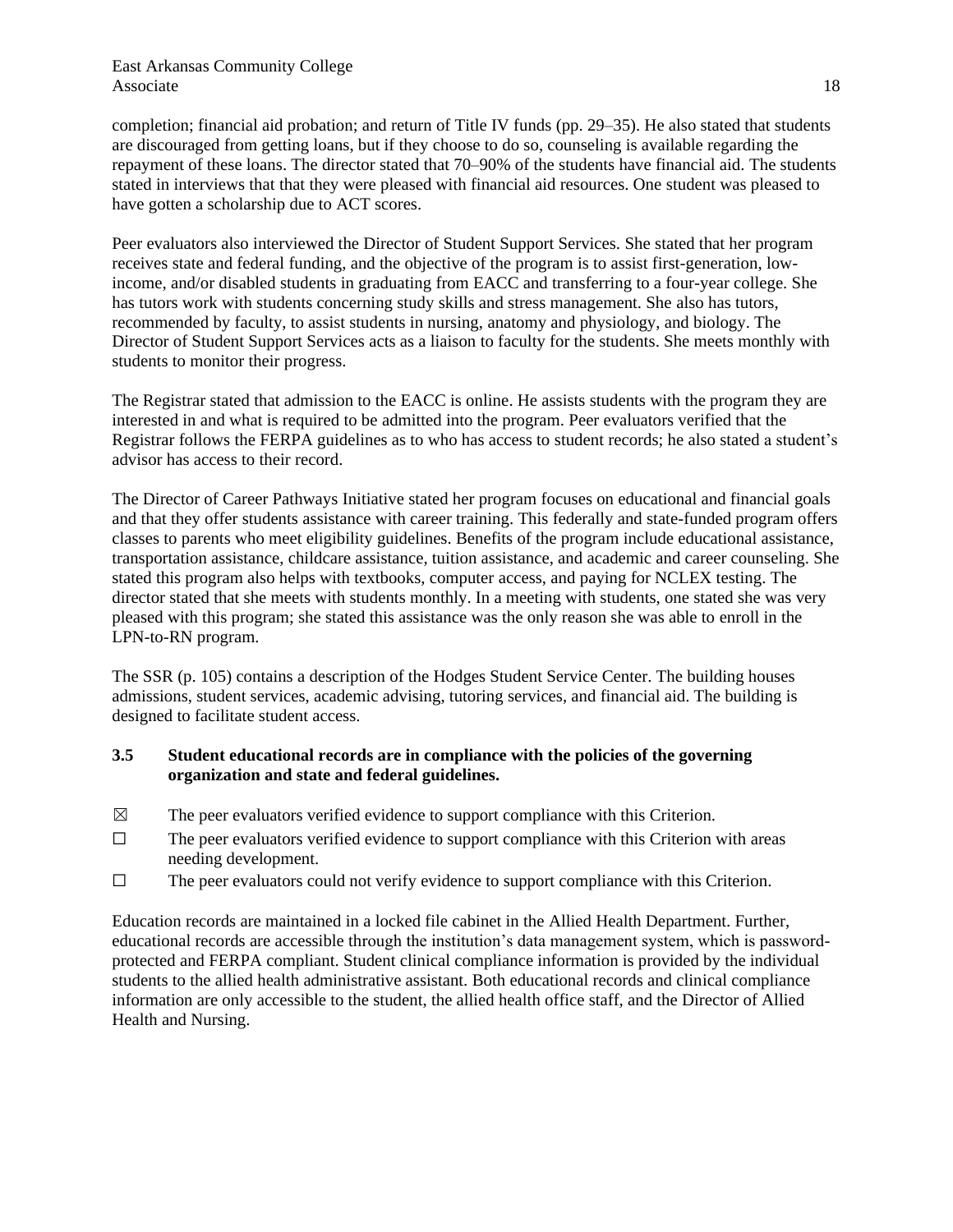#### East Arkansas Community College Associate 18

completion; financial aid probation; and return of Title IV funds (pp. 29-35). He also stated that students are discouraged from getting loans, but if they choose to do so, counseling is available regarding the repayment of these loans. The director stated that 70–90% of the students have financial aid. The students stated in interviews that that they were pleased with financial aid resources. One student was pleased to have gotten a scholarship due to ACT scores.

Peer evaluators also interviewed the Director of Student Support Services. She stated that her program receives state and federal funding, and the objective of the program is to assist first-generation, lowincome, and/or disabled students in graduating from EACC and transferring to a four-year college. She has tutors work with students concerning study skills and stress management. She also has tutors, recommended by faculty, to assist students in nursing, anatomy and physiology, and biology. The Director of Student Support Services acts as a liaison to faculty for the students. She meets monthly with students to monitor their progress.

The Registrar stated that admission to the EACC is online. He assists students with the program they are interested in and what is required to be admitted into the program. Peer evaluators verified that the Registrar follows the FERPA guidelines as to who has access to student records; he also stated a student's advisor has access to their record.

The Director of Career Pathways Initiative stated her program focuses on educational and financial goals and that they offer students assistance with career training. This federally and state-funded program offers classes to parents who meet eligibility guidelines. Benefits of the program include educational assistance, transportation assistance, childcare assistance, tuition assistance, and academic and career counseling. She stated this program also helps with textbooks, computer access, and paying for NCLEX testing. The director stated that she meets with students monthly. In a meeting with students, one stated she was very pleased with this program; she stated this assistance was the only reason she was able to enroll in the LPN-to-RN program.

The SSR (p. 105) contains a description of the Hodges Student Service Center. The building houses admissions, student services, academic advising, tutoring services, and financial aid. The building is designed to facilitate student access.

## **3.5 Student educational records are in compliance with the policies of the governing organization and state and federal guidelines.**

- $\boxtimes$  The peer evaluators verified evidence to support compliance with this Criterion.
- ☐ The peer evaluators verified evidence to support compliance with this Criterion with areas needing development.
- ☐ The peer evaluators could not verify evidence to support compliance with this Criterion.

Education records are maintained in a locked file cabinet in the Allied Health Department. Further, educational records are accessible through the institution's data management system, which is passwordprotected and FERPA compliant. Student clinical compliance information is provided by the individual students to the allied health administrative assistant. Both educational records and clinical compliance information are only accessible to the student, the allied health office staff, and the Director of Allied Health and Nursing.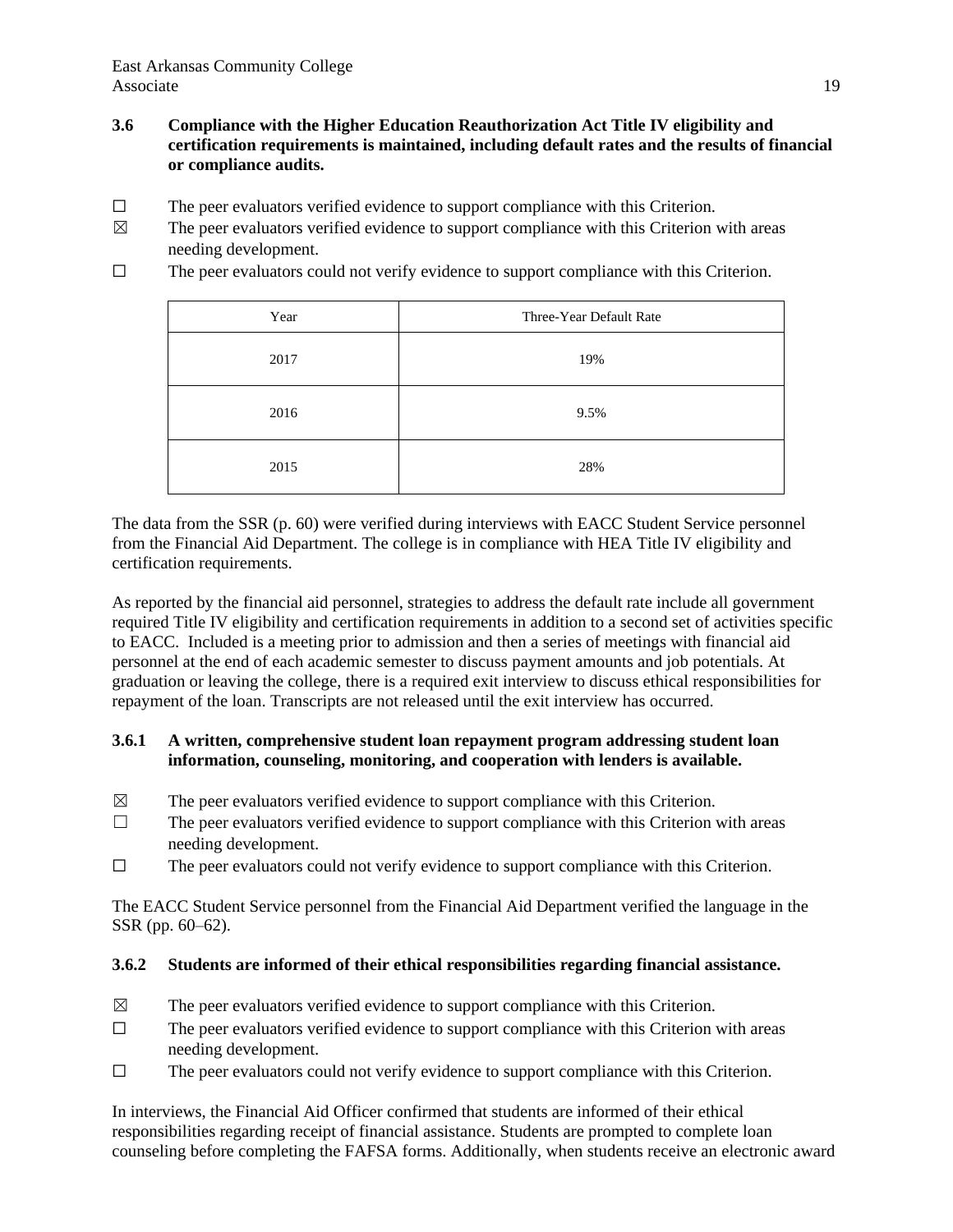- **3.6 Compliance with the Higher Education Reauthorization Act Title IV eligibility and certification requirements is maintained, including default rates and the results of financial or compliance audits.**
- $\Box$  The peer evaluators verified evidence to support compliance with this Criterion.
- $\boxtimes$  The peer evaluators verified evidence to support compliance with this Criterion with areas needing development.
- ☐ The peer evaluators could not verify evidence to support compliance with this Criterion.

| Year | Three-Year Default Rate |  |  |
|------|-------------------------|--|--|
| 2017 | 19%                     |  |  |
| 2016 | 9.5%                    |  |  |
| 2015 | 28%                     |  |  |

The data from the SSR (p. 60) were verified during interviews with EACC Student Service personnel from the Financial Aid Department. The college is in compliance with HEA Title IV eligibility and certification requirements.

As reported by the financial aid personnel, strategies to address the default rate include all government required Title IV eligibility and certification requirements in addition to a second set of activities specific to EACC. Included is a meeting prior to admission and then a series of meetings with financial aid personnel at the end of each academic semester to discuss payment amounts and job potentials. At graduation or leaving the college, there is a required exit interview to discuss ethical responsibilities for repayment of the loan. Transcripts are not released until the exit interview has occurred.

### **3.6.1 A written, comprehensive student loan repayment program addressing student loan information, counseling, monitoring, and cooperation with lenders is available.**

- $\boxtimes$  The peer evaluators verified evidence to support compliance with this Criterion.
- $\Box$  The peer evaluators verified evidence to support compliance with this Criterion with areas needing development.
- ☐ The peer evaluators could not verify evidence to support compliance with this Criterion.

The EACC Student Service personnel from the Financial Aid Department verified the language in the SSR (pp. 60–62).

### **3.6.2 Students are informed of their ethical responsibilities regarding financial assistance.**

- $\boxtimes$  The peer evaluators verified evidence to support compliance with this Criterion.
- $\Box$  The peer evaluators verified evidence to support compliance with this Criterion with areas needing development.
- $\Box$  The peer evaluators could not verify evidence to support compliance with this Criterion.

In interviews, the Financial Aid Officer confirmed that students are informed of their ethical responsibilities regarding receipt of financial assistance. Students are prompted to complete loan counseling before completing the FAFSA forms. Additionally, when students receive an electronic award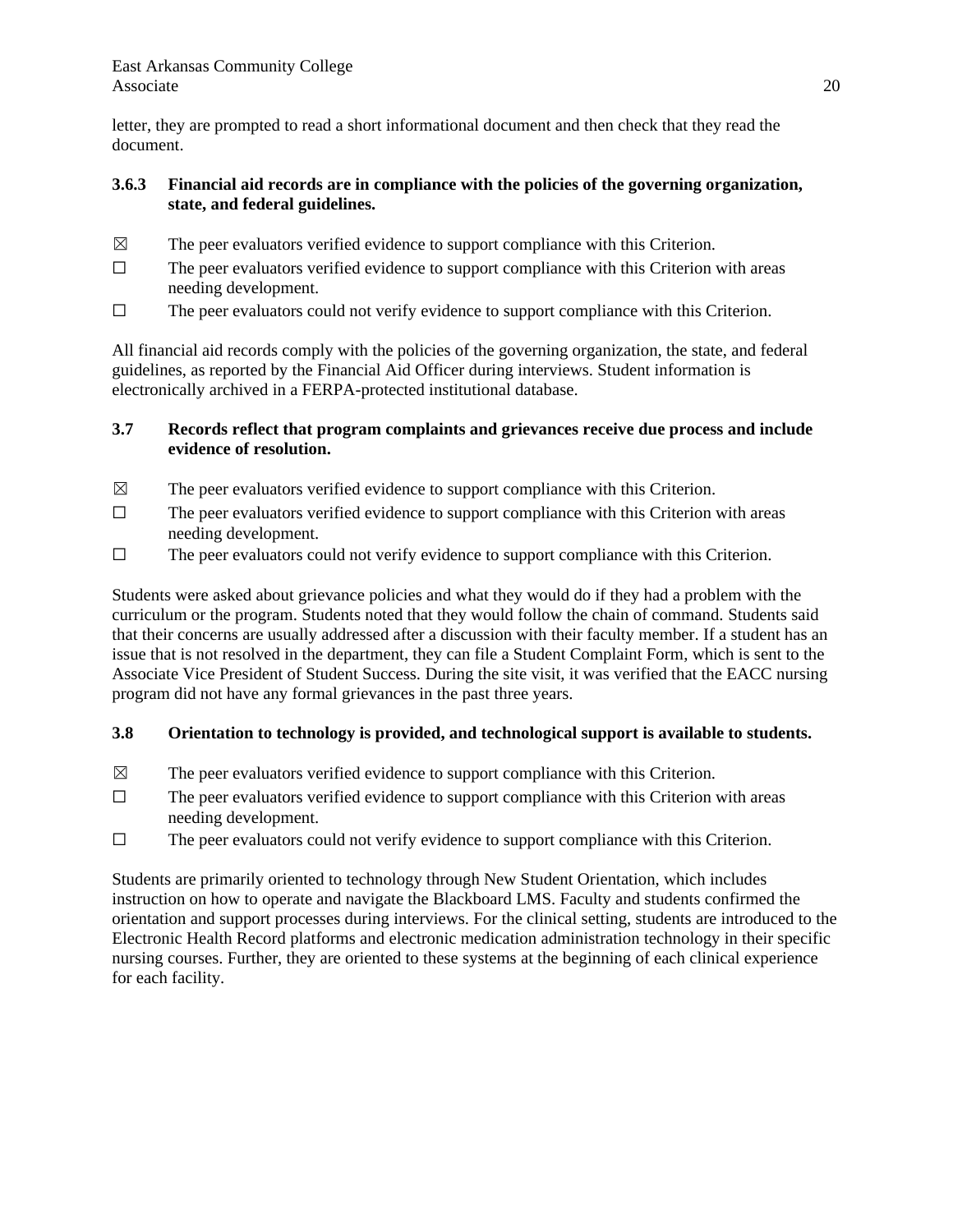letter, they are prompted to read a short informational document and then check that they read the document.

## **3.6.3 Financial aid records are in compliance with the policies of the governing organization, state, and federal guidelines.**

- $\boxtimes$  The peer evaluators verified evidence to support compliance with this Criterion.
- $\Box$  The peer evaluators verified evidence to support compliance with this Criterion with areas needing development.
- $\Box$  The peer evaluators could not verify evidence to support compliance with this Criterion.

All financial aid records comply with the policies of the governing organization, the state, and federal guidelines, as reported by the Financial Aid Officer during interviews. Student information is electronically archived in a FERPA-protected institutional database.

## **3.7 Records reflect that program complaints and grievances receive due process and include evidence of resolution.**

- $\boxtimes$  The peer evaluators verified evidence to support compliance with this Criterion.
- $\Box$  The peer evaluators verified evidence to support compliance with this Criterion with areas needing development.
- ☐ The peer evaluators could not verify evidence to support compliance with this Criterion.

Students were asked about grievance policies and what they would do if they had a problem with the curriculum or the program. Students noted that they would follow the chain of command. Students said that their concerns are usually addressed after a discussion with their faculty member. If a student has an issue that is not resolved in the department, they can file a Student Complaint Form, which is sent to the Associate Vice President of Student Success. During the site visit, it was verified that the EACC nursing program did not have any formal grievances in the past three years.

# **3.8 Orientation to technology is provided, and technological support is available to students.**

- $\boxtimes$  The peer evaluators verified evidence to support compliance with this Criterion.
- $\Box$  The peer evaluators verified evidence to support compliance with this Criterion with areas needing development.
- $\Box$  The peer evaluators could not verify evidence to support compliance with this Criterion.

Students are primarily oriented to technology through New Student Orientation, which includes instruction on how to operate and navigate the Blackboard LMS. Faculty and students confirmed the orientation and support processes during interviews. For the clinical setting, students are introduced to the Electronic Health Record platforms and electronic medication administration technology in their specific nursing courses. Further, they are oriented to these systems at the beginning of each clinical experience for each facility.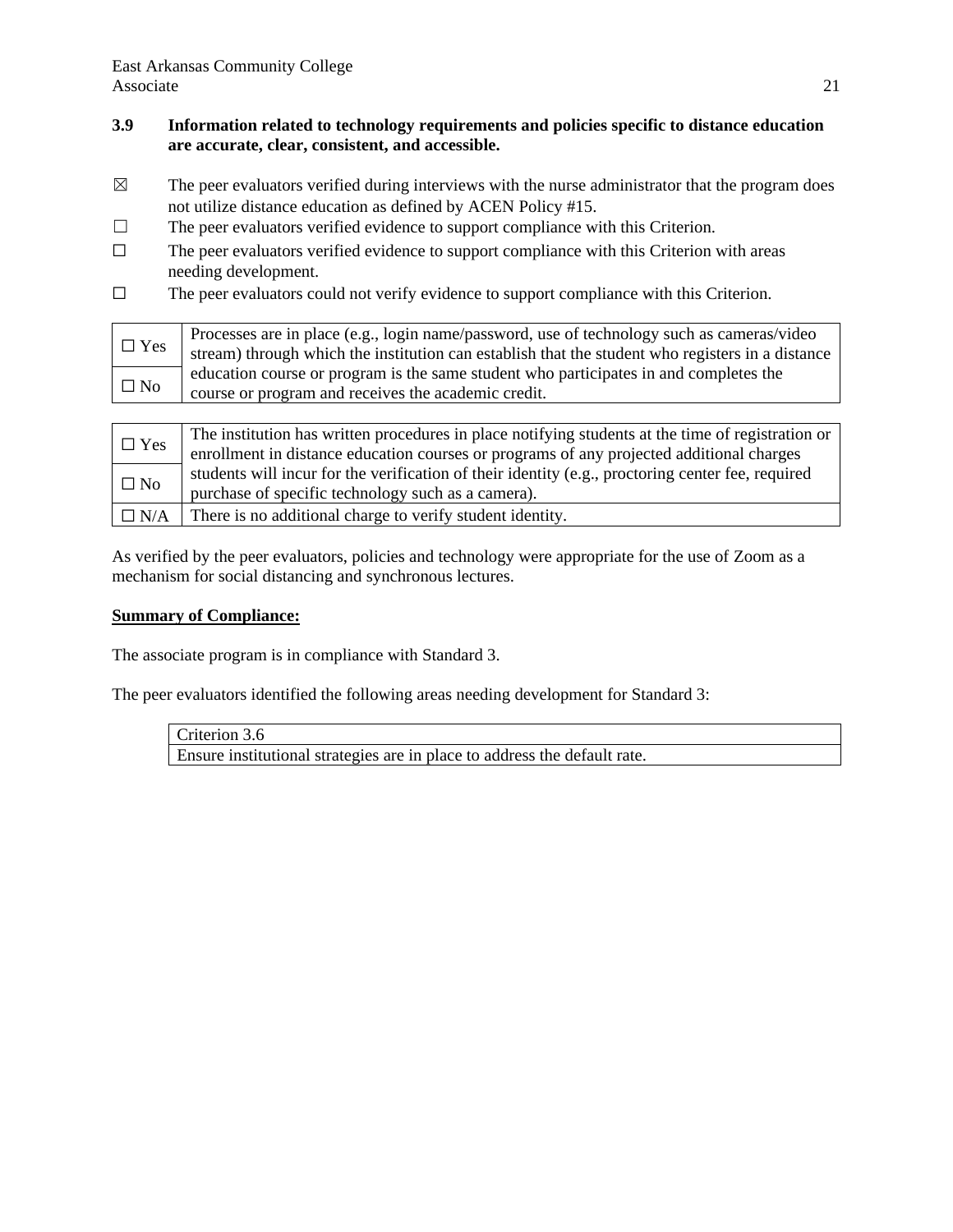## **3.9 Information related to technology requirements and policies specific to distance education are accurate, clear, consistent, and accessible.**

- $\boxtimes$  The peer evaluators verified during interviews with the nurse administrator that the program does not utilize distance education as defined by ACEN Policy #15.
- $\Box$  The peer evaluators verified evidence to support compliance with this Criterion.
- $\Box$  The peer evaluators verified evidence to support compliance with this Criterion with areas needing development.
- $\Box$  The peer evaluators could not verify evidence to support compliance with this Criterion.

| $\Box$ Yes | Processes are in place (e.g., login name/password, use of technology such as cameras/video<br>stream) through which the institution can establish that the student who registers in a distance |
|------------|------------------------------------------------------------------------------------------------------------------------------------------------------------------------------------------------|
|            | education course or program is the same student who participates in and completes the                                                                                                          |
| $\Box$ No  | course or program and receives the academic credit.                                                                                                                                            |
|            |                                                                                                                                                                                                |

| $\Box$ Yes   | The institution has written procedures in place notifying students at the time of registration or |
|--------------|---------------------------------------------------------------------------------------------------|
|              | enrollment in distance education courses or programs of any projected additional charges          |
|              | students will incur for the verification of their identity (e.g., proctoring center fee, required |
| $\square$ No | purchase of specific technology such as a camera).                                                |
| $\Box$ N/A   | There is no additional charge to verify student identity.                                         |

As verified by the peer evaluators, policies and technology were appropriate for the use of Zoom as a mechanism for social distancing and synchronous lectures.

### **Summary of Compliance:**

The associate program is in compliance with Standard 3.

The peer evaluators identified the following areas needing development for Standard 3:

Criterion 3.6 Ensure institutional strategies are in place to address the default rate.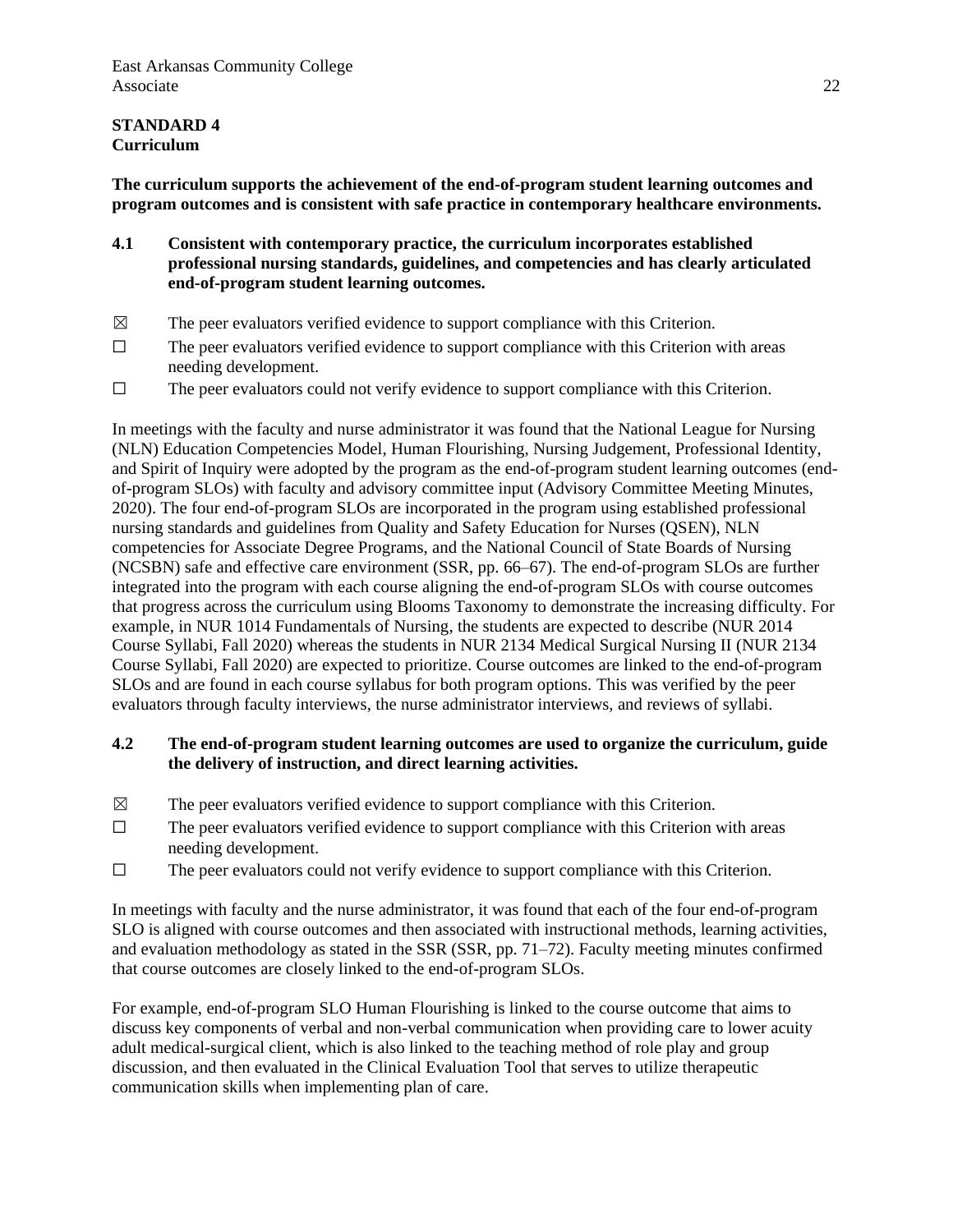## **STANDARD 4 Curriculum**

**The curriculum supports the achievement of the end-of-program student learning outcomes and program outcomes and is consistent with safe practice in contemporary healthcare environments.**

- **4.1 Consistent with contemporary practice, the curriculum incorporates established professional nursing standards, guidelines, and competencies and has clearly articulated end-of-program student learning outcomes.**
- $\boxtimes$  The peer evaluators verified evidence to support compliance with this Criterion.
- $\Box$  The peer evaluators verified evidence to support compliance with this Criterion with areas needing development.
- $\Box$  The peer evaluators could not verify evidence to support compliance with this Criterion.

In meetings with the faculty and nurse administrator it was found that the National League for Nursing (NLN) Education Competencies Model, Human Flourishing, Nursing Judgement, Professional Identity, and Spirit of Inquiry were adopted by the program as the end-of-program student learning outcomes (endof-program SLOs) with faculty and advisory committee input (Advisory Committee Meeting Minutes, 2020). The four end-of-program SLOs are incorporated in the program using established professional nursing standards and guidelines from Quality and Safety Education for Nurses (QSEN), NLN competencies for Associate Degree Programs, and the National Council of State Boards of Nursing (NCSBN) safe and effective care environment (SSR, pp. 66–67). The end-of-program SLOs are further integrated into the program with each course aligning the end-of-program SLOs with course outcomes that progress across the curriculum using Blooms Taxonomy to demonstrate the increasing difficulty. For example, in NUR 1014 Fundamentals of Nursing, the students are expected to describe (NUR 2014 Course Syllabi, Fall 2020) whereas the students in NUR 2134 Medical Surgical Nursing II (NUR 2134 Course Syllabi, Fall 2020) are expected to prioritize. Course outcomes are linked to the end-of-program SLOs and are found in each course syllabus for both program options. This was verified by the peer evaluators through faculty interviews, the nurse administrator interviews, and reviews of syllabi.

#### **4.2 The end-of-program student learning outcomes are used to organize the curriculum, guide the delivery of instruction, and direct learning activities.**

- $\boxtimes$  The peer evaluators verified evidence to support compliance with this Criterion.
- $\Box$  The peer evaluators verified evidence to support compliance with this Criterion with areas needing development.
- $\Box$  The peer evaluators could not verify evidence to support compliance with this Criterion.

In meetings with faculty and the nurse administrator, it was found that each of the four end-of-program SLO is aligned with course outcomes and then associated with instructional methods, learning activities, and evaluation methodology as stated in the SSR (SSR, pp. 71–72). Faculty meeting minutes confirmed that course outcomes are closely linked to the end-of-program SLOs.

For example, end-of-program SLO Human Flourishing is linked to the course outcome that aims to discuss key components of verbal and non-verbal communication when providing care to lower acuity adult medical-surgical client, which is also linked to the teaching method of role play and group discussion, and then evaluated in the Clinical Evaluation Tool that serves to utilize therapeutic communication skills when implementing plan of care.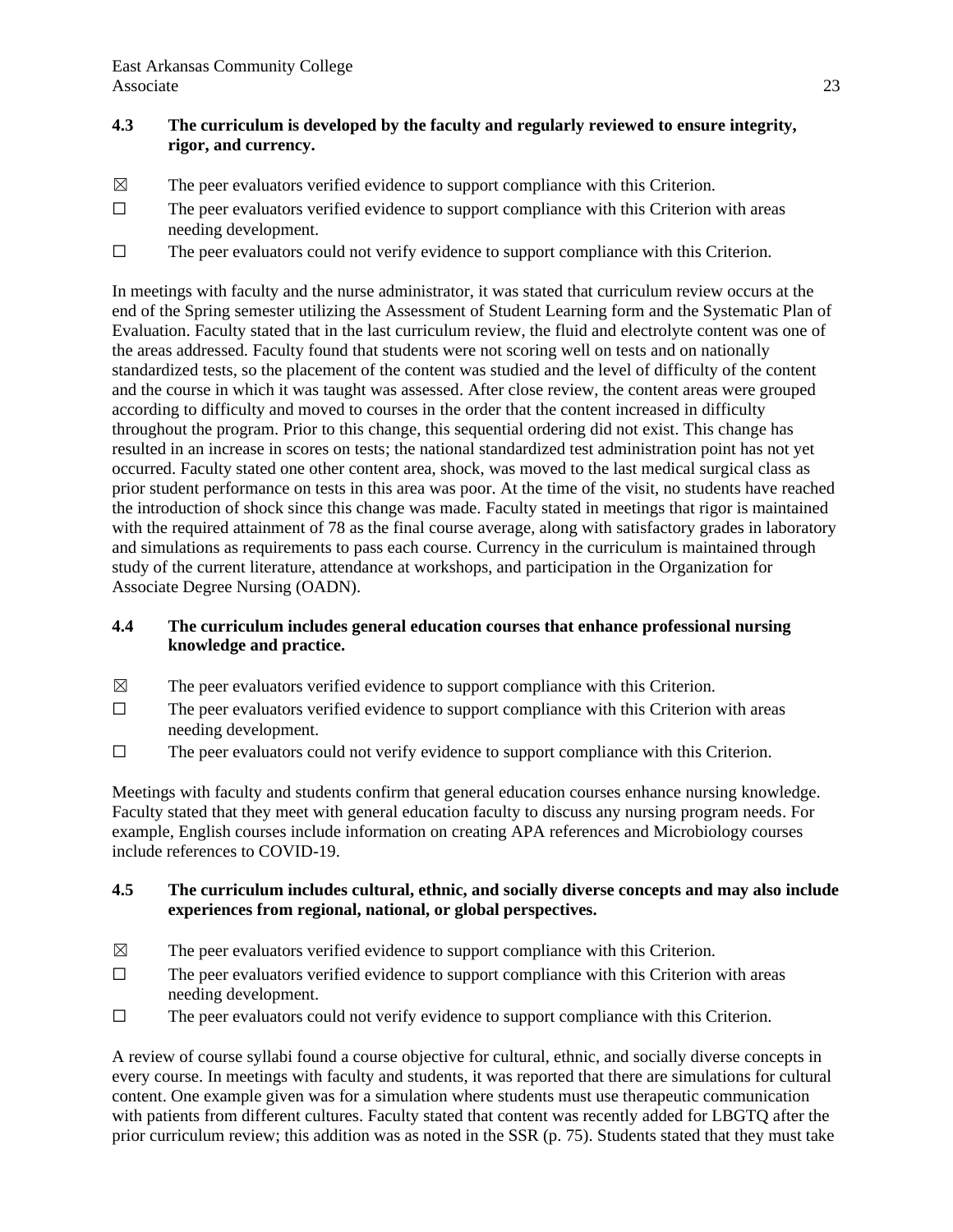## **4.3 The curriculum is developed by the faculty and regularly reviewed to ensure integrity, rigor, and currency.**

- $\boxtimes$  The peer evaluators verified evidence to support compliance with this Criterion.
- $\Box$  The peer evaluators verified evidence to support compliance with this Criterion with areas needing development.
- ☐ The peer evaluators could not verify evidence to support compliance with this Criterion.

In meetings with faculty and the nurse administrator, it was stated that curriculum review occurs at the end of the Spring semester utilizing the Assessment of Student Learning form and the Systematic Plan of Evaluation. Faculty stated that in the last curriculum review, the fluid and electrolyte content was one of the areas addressed. Faculty found that students were not scoring well on tests and on nationally standardized tests, so the placement of the content was studied and the level of difficulty of the content and the course in which it was taught was assessed. After close review, the content areas were grouped according to difficulty and moved to courses in the order that the content increased in difficulty throughout the program. Prior to this change, this sequential ordering did not exist. This change has resulted in an increase in scores on tests; the national standardized test administration point has not yet occurred. Faculty stated one other content area, shock, was moved to the last medical surgical class as prior student performance on tests in this area was poor. At the time of the visit, no students have reached the introduction of shock since this change was made. Faculty stated in meetings that rigor is maintained with the required attainment of 78 as the final course average, along with satisfactory grades in laboratory and simulations as requirements to pass each course. Currency in the curriculum is maintained through study of the current literature, attendance at workshops, and participation in the Organization for Associate Degree Nursing (OADN).

## **4.4 The curriculum includes general education courses that enhance professional nursing knowledge and practice.**

- $\boxtimes$  The peer evaluators verified evidence to support compliance with this Criterion.
- $\Box$  The peer evaluators verified evidence to support compliance with this Criterion with areas needing development.
- ☐ The peer evaluators could not verify evidence to support compliance with this Criterion.

Meetings with faculty and students confirm that general education courses enhance nursing knowledge. Faculty stated that they meet with general education faculty to discuss any nursing program needs. For example, English courses include information on creating APA references and Microbiology courses include references to COVID-19.

### **4.5 The curriculum includes cultural, ethnic, and socially diverse concepts and may also include experiences from regional, national, or global perspectives.**

- $\boxtimes$  The peer evaluators verified evidence to support compliance with this Criterion.
- ☐ The peer evaluators verified evidence to support compliance with this Criterion with areas needing development.
- ☐ The peer evaluators could not verify evidence to support compliance with this Criterion.

A review of course syllabi found a course objective for cultural, ethnic, and socially diverse concepts in every course. In meetings with faculty and students, it was reported that there are simulations for cultural content. One example given was for a simulation where students must use therapeutic communication with patients from different cultures. Faculty stated that content was recently added for LBGTQ after the prior curriculum review; this addition was as noted in the SSR (p. 75). Students stated that they must take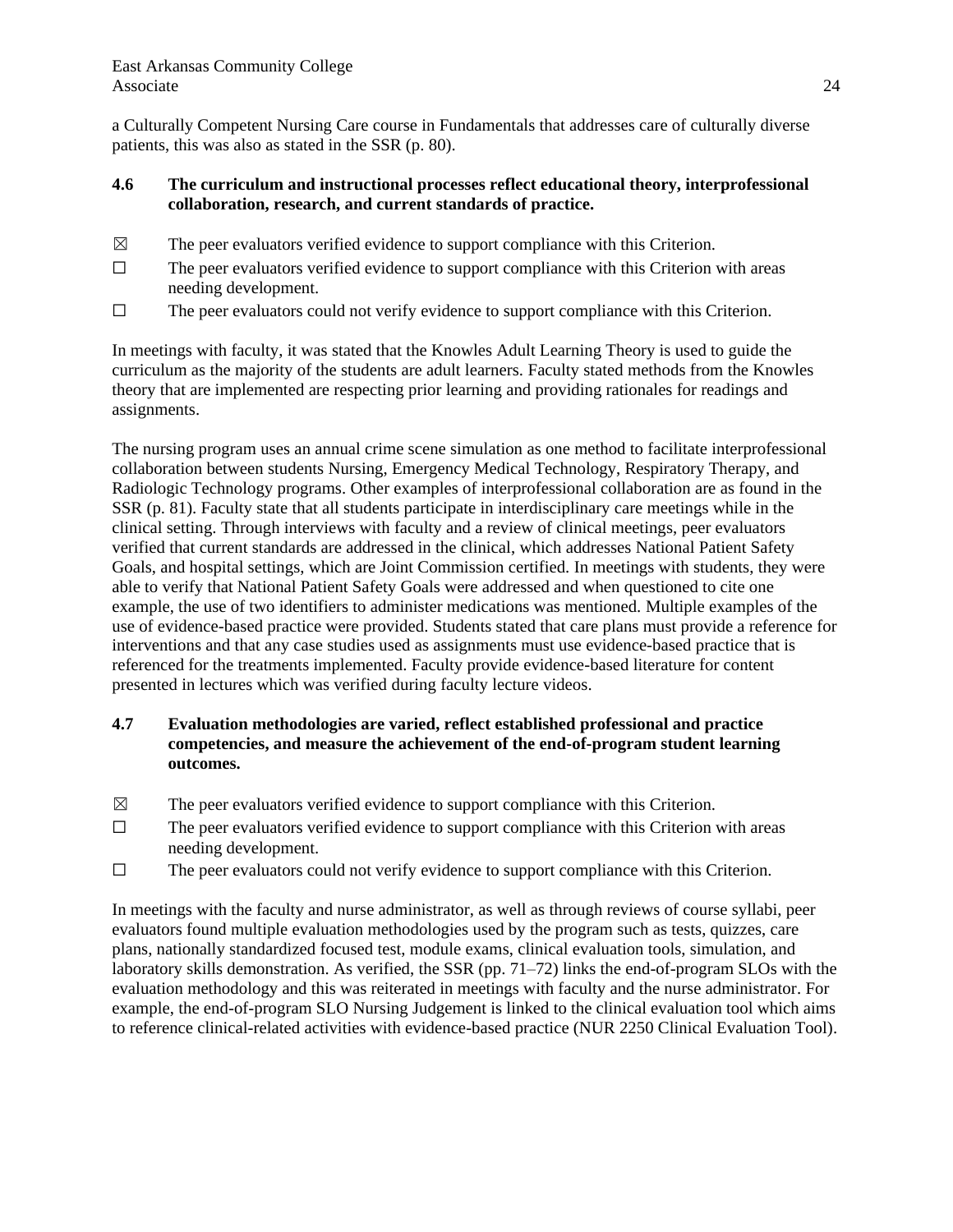a Culturally Competent Nursing Care course in Fundamentals that addresses care of culturally diverse patients, this was also as stated in the SSR (p. 80).

## **4.6 The curriculum and instructional processes reflect educational theory, interprofessional collaboration, research, and current standards of practice.**

- $\boxtimes$  The peer evaluators verified evidence to support compliance with this Criterion.
- $\Box$  The peer evaluators verified evidence to support compliance with this Criterion with areas needing development.
- $\Box$  The peer evaluators could not verify evidence to support compliance with this Criterion.

In meetings with faculty, it was stated that the Knowles Adult Learning Theory is used to guide the curriculum as the majority of the students are adult learners. Faculty stated methods from the Knowles theory that are implemented are respecting prior learning and providing rationales for readings and assignments.

The nursing program uses an annual crime scene simulation as one method to facilitate interprofessional collaboration between students Nursing, Emergency Medical Technology, Respiratory Therapy, and Radiologic Technology programs. Other examples of interprofessional collaboration are as found in the SSR (p. 81). Faculty state that all students participate in interdisciplinary care meetings while in the clinical setting. Through interviews with faculty and a review of clinical meetings, peer evaluators verified that current standards are addressed in the clinical, which addresses National Patient Safety Goals, and hospital settings, which are Joint Commission certified. In meetings with students, they were able to verify that National Patient Safety Goals were addressed and when questioned to cite one example, the use of two identifiers to administer medications was mentioned. Multiple examples of the use of evidence-based practice were provided. Students stated that care plans must provide a reference for interventions and that any case studies used as assignments must use evidence-based practice that is referenced for the treatments implemented. Faculty provide evidence-based literature for content presented in lectures which was verified during faculty lecture videos.

## **4.7 Evaluation methodologies are varied, reflect established professional and practice competencies, and measure the achievement of the end-of-program student learning outcomes.**

- $\boxtimes$  The peer evaluators verified evidence to support compliance with this Criterion.
- $\Box$  The peer evaluators verified evidence to support compliance with this Criterion with areas needing development.
- ☐ The peer evaluators could not verify evidence to support compliance with this Criterion.

In meetings with the faculty and nurse administrator, as well as through reviews of course syllabi, peer evaluators found multiple evaluation methodologies used by the program such as tests, quizzes, care plans, nationally standardized focused test, module exams, clinical evaluation tools, simulation, and laboratory skills demonstration. As verified, the  $SSR$  (pp. 71–72) links the end-of-program  $SLOs$  with the evaluation methodology and this was reiterated in meetings with faculty and the nurse administrator. For example, the end-of-program SLO Nursing Judgement is linked to the clinical evaluation tool which aims to reference clinical-related activities with evidence-based practice (NUR 2250 Clinical Evaluation Tool).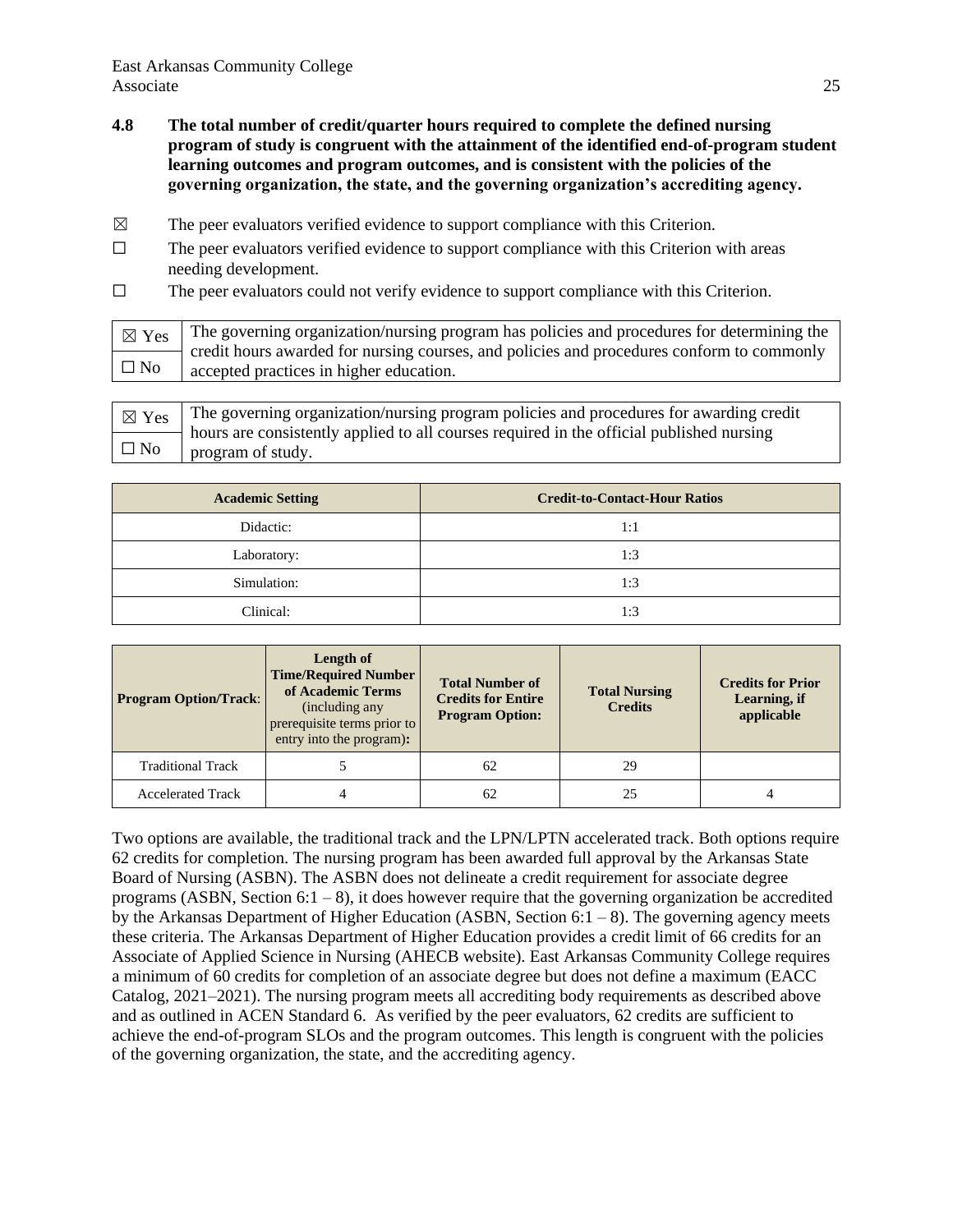- **4.8 The total number of credit/quarter hours required to complete the defined nursing program of study is congruent with the attainment of the identified end-of-program student learning outcomes and program outcomes, and is consistent with the policies of the governing organization, the state, and the governing organization's accrediting agency.**
- $\boxtimes$  The peer evaluators verified evidence to support compliance with this Criterion.
- ☐ The peer evaluators verified evidence to support compliance with this Criterion with areas needing development.
- ☐ The peer evaluators could not verify evidence to support compliance with this Criterion.

| $\boxtimes$ Yes | The governing organization/nursing program has policies and procedures for determining the                                           |
|-----------------|--------------------------------------------------------------------------------------------------------------------------------------|
| $\Box$ No       | credit hours awarded for nursing courses, and policies and procedures conform to commonly<br>accepted practices in higher education. |
|                 |                                                                                                                                      |

| $\gamma_{\text{ex}}$ The governing organization/nursing program policies and procedures for awarding credit |
|-------------------------------------------------------------------------------------------------------------|
| $\leftarrow$ hours are consistently applied to all courses required in the official published nursing       |
| $\Box$ No $\Box$ program of study.                                                                          |

| <b>Academic Setting</b> | <b>Credit-to-Contact-Hour Ratios</b> |  |
|-------------------------|--------------------------------------|--|
| Didactic:               | 1:1                                  |  |
| Laboratory:             | 1:3                                  |  |
| Simulation:             | 1:3                                  |  |
| Clinical:               | 1:3                                  |  |

| <b>Program Option/Track:</b> | Length of<br><b>Time/Required Number</b><br>of Academic Terms<br>(including any)<br>prerequisite terms prior to<br>entry into the program): | <b>Total Number of</b><br><b>Credits for Entire</b><br><b>Program Option:</b> | <b>Total Nursing</b><br><b>Credits</b> | <b>Credits for Prior</b><br>Learning, if<br>applicable |
|------------------------------|---------------------------------------------------------------------------------------------------------------------------------------------|-------------------------------------------------------------------------------|----------------------------------------|--------------------------------------------------------|
| <b>Traditional Track</b>     |                                                                                                                                             | 62                                                                            | 29                                     |                                                        |
| <b>Accelerated Track</b>     |                                                                                                                                             | 62                                                                            |                                        |                                                        |

Two options are available, the traditional track and the LPN/LPTN accelerated track. Both options require 62 credits for completion. The nursing program has been awarded full approval by the Arkansas State Board of Nursing (ASBN). The ASBN does not delineate a credit requirement for associate degree programs (ASBN, Section  $6:1 - 8$ ), it does however require that the governing organization be accredited by the Arkansas Department of Higher Education (ASBN, Section  $6:1 - 8$ ). The governing agency meets these criteria. The Arkansas Department of Higher Education provides a credit limit of 66 credits for an Associate of Applied Science in Nursing (AHECB website). East Arkansas Community College requires a minimum of 60 credits for completion of an associate degree but does not define a maximum (EACC Catalog,  $2021-2021$ ). The nursing program meets all accrediting body requirements as described above and as outlined in ACEN Standard 6. As verified by the peer evaluators, 62 credits are sufficient to achieve the end-of-program SLOs and the program outcomes. This length is congruent with the policies of the governing organization, the state, and the accrediting agency.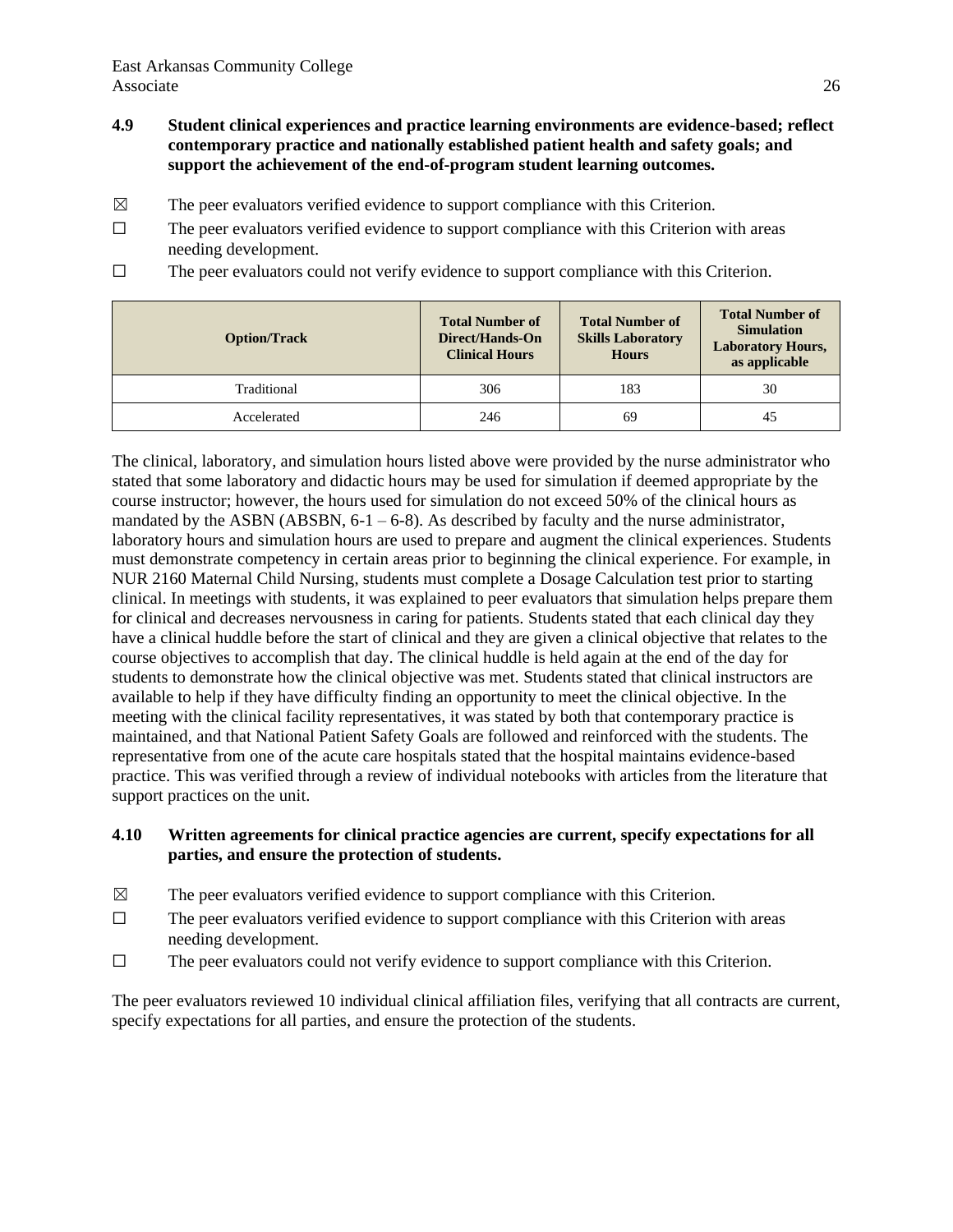- **4.9 Student clinical experiences and practice learning environments are evidence-based; reflect contemporary practice and nationally established patient health and safety goals; and support the achievement of the end-of-program student learning outcomes.**
- $\boxtimes$  The peer evaluators verified evidence to support compliance with this Criterion.
- $\Box$  The peer evaluators verified evidence to support compliance with this Criterion with areas needing development.
- $\Box$  The peer evaluators could not verify evidence to support compliance with this Criterion.

| <b>Option/Track</b> | <b>Total Number of</b><br>Direct/Hands-On<br><b>Clinical Hours</b> | <b>Total Number of</b><br><b>Skills Laboratory</b><br><b>Hours</b> | <b>Total Number of</b><br><b>Simulation</b><br><b>Laboratory Hours,</b><br>as applicable |
|---------------------|--------------------------------------------------------------------|--------------------------------------------------------------------|------------------------------------------------------------------------------------------|
| Traditional         | 306                                                                | 183                                                                | 30                                                                                       |
| Accelerated         | 246                                                                | 69                                                                 | 45                                                                                       |

The clinical, laboratory, and simulation hours listed above were provided by the nurse administrator who stated that some laboratory and didactic hours may be used for simulation if deemed appropriate by the course instructor; however, the hours used for simulation do not exceed 50% of the clinical hours as mandated by the ASBN (ABSBN, 6-1 – 6-8). As described by faculty and the nurse administrator, laboratory hours and simulation hours are used to prepare and augment the clinical experiences. Students must demonstrate competency in certain areas prior to beginning the clinical experience. For example, in NUR 2160 Maternal Child Nursing, students must complete a Dosage Calculation test prior to starting clinical. In meetings with students, it was explained to peer evaluators that simulation helps prepare them for clinical and decreases nervousness in caring for patients. Students stated that each clinical day they have a clinical huddle before the start of clinical and they are given a clinical objective that relates to the course objectives to accomplish that day. The clinical huddle is held again at the end of the day for students to demonstrate how the clinical objective was met. Students stated that clinical instructors are available to help if they have difficulty finding an opportunity to meet the clinical objective. In the meeting with the clinical facility representatives, it was stated by both that contemporary practice is maintained, and that National Patient Safety Goals are followed and reinforced with the students. The representative from one of the acute care hospitals stated that the hospital maintains evidence-based practice. This was verified through a review of individual notebooks with articles from the literature that support practices on the unit.

### **4.10 Written agreements for clinical practice agencies are current, specify expectations for all parties, and ensure the protection of students.**

- $\boxtimes$  The peer evaluators verified evidence to support compliance with this Criterion.
- $\Box$  The peer evaluators verified evidence to support compliance with this Criterion with areas needing development.
- $\Box$  The peer evaluators could not verify evidence to support compliance with this Criterion.

The peer evaluators reviewed 10 individual clinical affiliation files, verifying that all contracts are current, specify expectations for all parties, and ensure the protection of the students.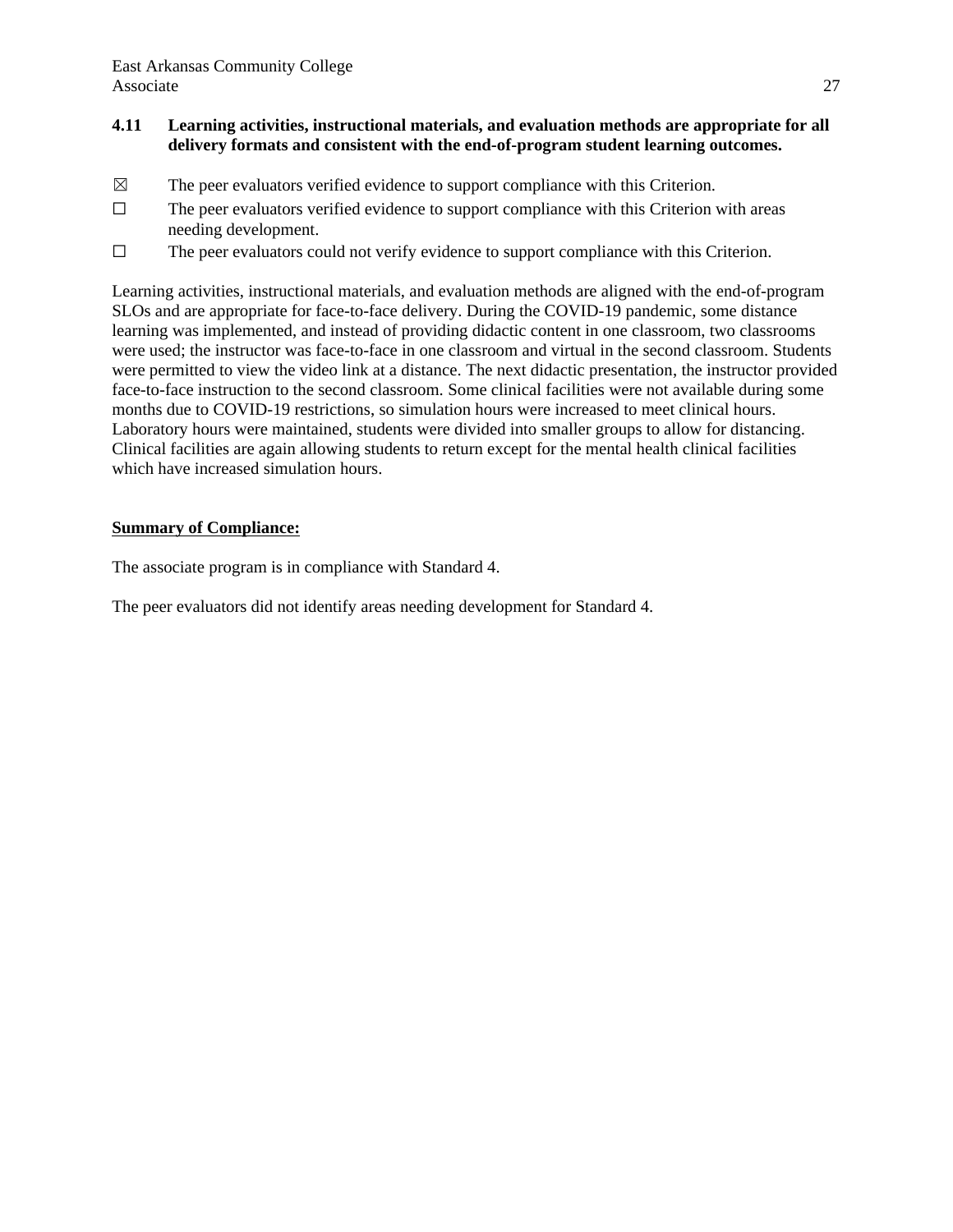## **4.11 Learning activities, instructional materials, and evaluation methods are appropriate for all delivery formats and consistent with the end-of-program student learning outcomes.**

- $\boxtimes$  The peer evaluators verified evidence to support compliance with this Criterion.
- $\Box$  The peer evaluators verified evidence to support compliance with this Criterion with areas needing development.
- ☐ The peer evaluators could not verify evidence to support compliance with this Criterion.

Learning activities, instructional materials, and evaluation methods are aligned with the end-of-program SLOs and are appropriate for face-to-face delivery. During the COVID-19 pandemic, some distance learning was implemented, and instead of providing didactic content in one classroom, two classrooms were used; the instructor was face-to-face in one classroom and virtual in the second classroom. Students were permitted to view the video link at a distance. The next didactic presentation, the instructor provided face-to-face instruction to the second classroom. Some clinical facilities were not available during some months due to COVID-19 restrictions, so simulation hours were increased to meet clinical hours. Laboratory hours were maintained, students were divided into smaller groups to allow for distancing. Clinical facilities are again allowing students to return except for the mental health clinical facilities which have increased simulation hours.

#### **Summary of Compliance:**

The associate program is in compliance with Standard 4.

The peer evaluators did not identify areas needing development for Standard 4.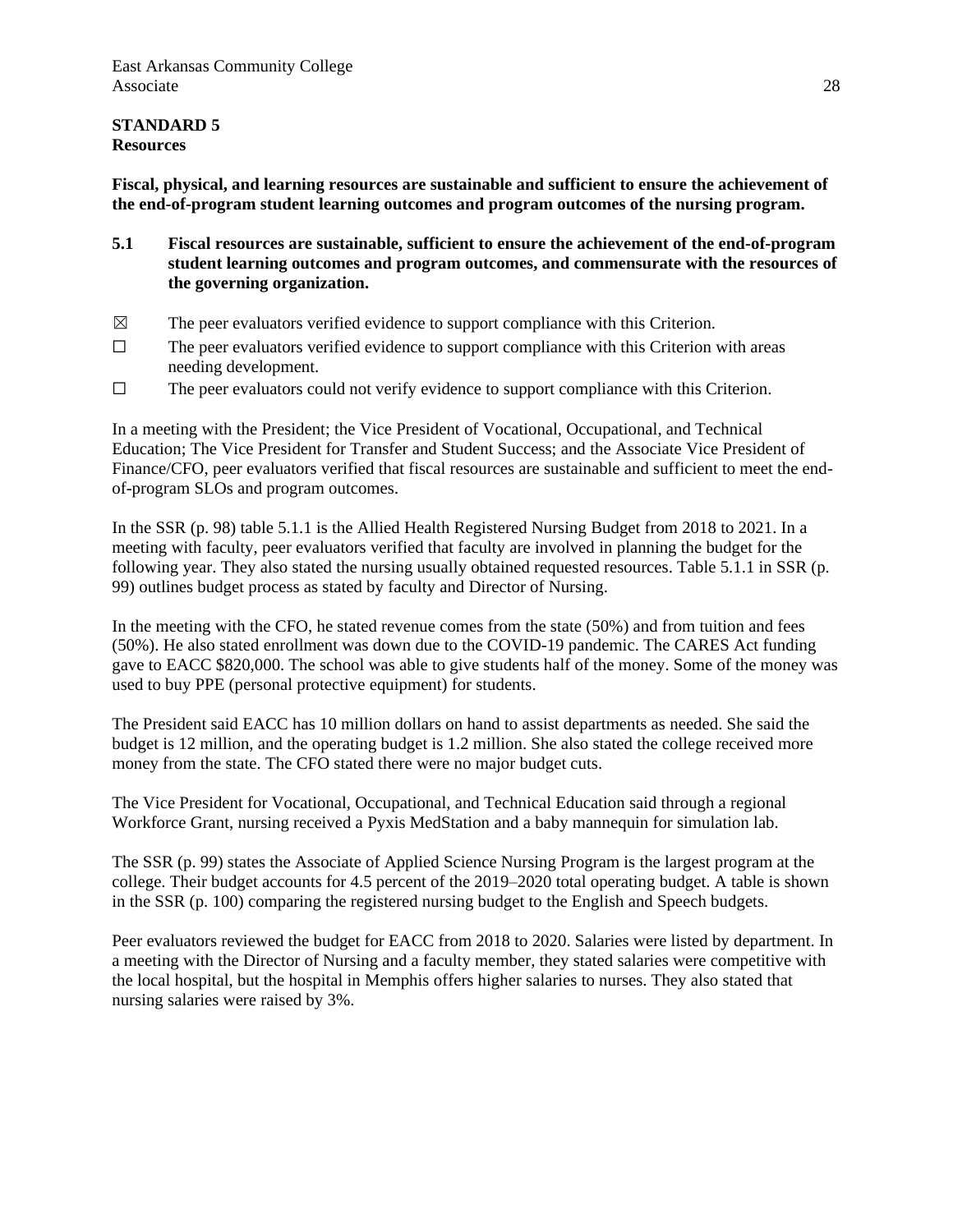#### **STANDARD 5 Resources**

**Fiscal, physical, and learning resources are sustainable and sufficient to ensure the achievement of the end-of-program student learning outcomes and program outcomes of the nursing program.**

- **5.1 Fiscal resources are sustainable, sufficient to ensure the achievement of the end-of-program student learning outcomes and program outcomes, and commensurate with the resources of the governing organization.**
- $\boxtimes$  The peer evaluators verified evidence to support compliance with this Criterion.
- $\Box$  The peer evaluators verified evidence to support compliance with this Criterion with areas needing development.
- $\Box$  The peer evaluators could not verify evidence to support compliance with this Criterion.

In a meeting with the President; the Vice President of Vocational, Occupational, and Technical Education; The Vice President for Transfer and Student Success; and the Associate Vice President of Finance/CFO, peer evaluators verified that fiscal resources are sustainable and sufficient to meet the endof-program SLOs and program outcomes.

In the SSR (p. 98) table 5.1.1 is the Allied Health Registered Nursing Budget from 2018 to 2021. In a meeting with faculty, peer evaluators verified that faculty are involved in planning the budget for the following year. They also stated the nursing usually obtained requested resources. Table 5.1.1 in SSR (p. 99) outlines budget process as stated by faculty and Director of Nursing.

In the meeting with the CFO, he stated revenue comes from the state (50%) and from tuition and fees (50%). He also stated enrollment was down due to the COVID-19 pandemic. The CARES Act funding gave to EACC \$820,000. The school was able to give students half of the money. Some of the money was used to buy PPE (personal protective equipment) for students.

The President said EACC has 10 million dollars on hand to assist departments as needed. She said the budget is 12 million, and the operating budget is 1.2 million. She also stated the college received more money from the state. The CFO stated there were no major budget cuts.

The Vice President for Vocational, Occupational, and Technical Education said through a regional Workforce Grant, nursing received a Pyxis MedStation and a baby mannequin for simulation lab.

The SSR (p. 99) states the Associate of Applied Science Nursing Program is the largest program at the college. Their budget accounts for 4.5 percent of the 2019–2020 total operating budget. A table is shown in the SSR (p. 100) comparing the registered nursing budget to the English and Speech budgets.

Peer evaluators reviewed the budget for EACC from 2018 to 2020. Salaries were listed by department. In a meeting with the Director of Nursing and a faculty member, they stated salaries were competitive with the local hospital, but the hospital in Memphis offers higher salaries to nurses. They also stated that nursing salaries were raised by 3%.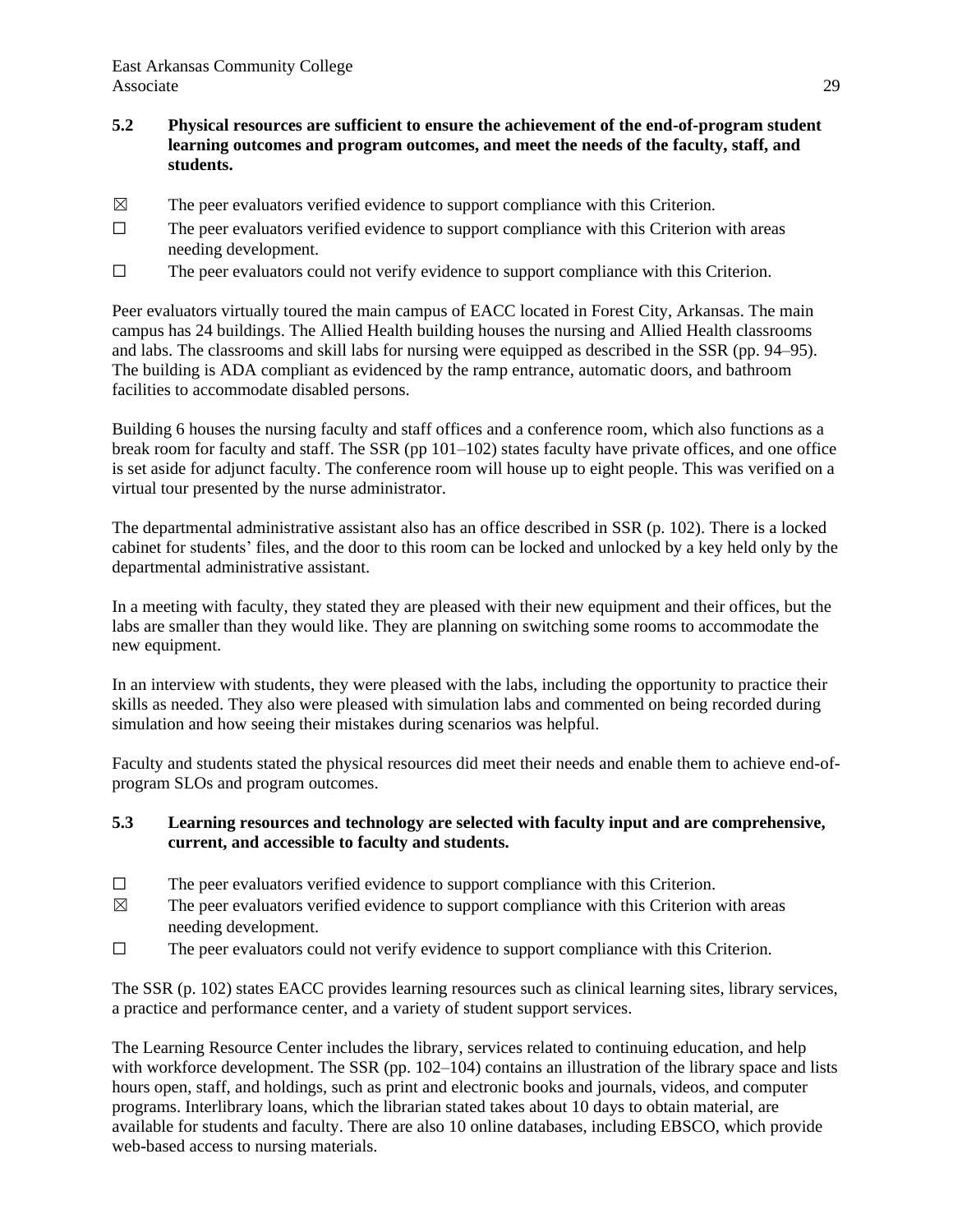- **5.2 Physical resources are sufficient to ensure the achievement of the end-of-program student learning outcomes and program outcomes, and meet the needs of the faculty, staff, and students.**
- $\boxtimes$  The peer evaluators verified evidence to support compliance with this Criterion.
- $\Box$  The peer evaluators verified evidence to support compliance with this Criterion with areas needing development.
- $\Box$  The peer evaluators could not verify evidence to support compliance with this Criterion.

Peer evaluators virtually toured the main campus of EACC located in Forest City, Arkansas. The main campus has 24 buildings. The Allied Health building houses the nursing and Allied Health classrooms and labs. The classrooms and skill labs for nursing were equipped as described in the SSR (pp. 94‒95). The building is ADA compliant as evidenced by the ramp entrance, automatic doors, and bathroom facilities to accommodate disabled persons.

Building 6 houses the nursing faculty and staff offices and a conference room, which also functions as a break room for faculty and staff. The SSR (pp 101–102) states faculty have private offices, and one office is set aside for adjunct faculty. The conference room will house up to eight people. This was verified on a virtual tour presented by the nurse administrator.

The departmental administrative assistant also has an office described in SSR (p. 102). There is a locked cabinet for students' files, and the door to this room can be locked and unlocked by a key held only by the departmental administrative assistant.

In a meeting with faculty, they stated they are pleased with their new equipment and their offices, but the labs are smaller than they would like. They are planning on switching some rooms to accommodate the new equipment.

In an interview with students, they were pleased with the labs, including the opportunity to practice their skills as needed. They also were pleased with simulation labs and commented on being recorded during simulation and how seeing their mistakes during scenarios was helpful.

Faculty and students stated the physical resources did meet their needs and enable them to achieve end-ofprogram SLOs and program outcomes.

### **5.3 Learning resources and technology are selected with faculty input and are comprehensive, current, and accessible to faculty and students.**

- $\Box$  The peer evaluators verified evidence to support compliance with this Criterion.
- $\boxtimes$  The peer evaluators verified evidence to support compliance with this Criterion with areas needing development.
- ☐ The peer evaluators could not verify evidence to support compliance with this Criterion.

The SSR (p. 102) states EACC provides learning resources such as clinical learning sites, library services, a practice and performance center, and a variety of student support services.

The Learning Resource Center includes the library, services related to continuing education, and help with workforce development. The SSR (pp.  $102-104$ ) contains an illustration of the library space and lists hours open, staff, and holdings, such as print and electronic books and journals, videos, and computer programs. Interlibrary loans, which the librarian stated takes about 10 days to obtain material, are available for students and faculty. There are also 10 online databases, including EBSCO, which provide web-based access to nursing materials.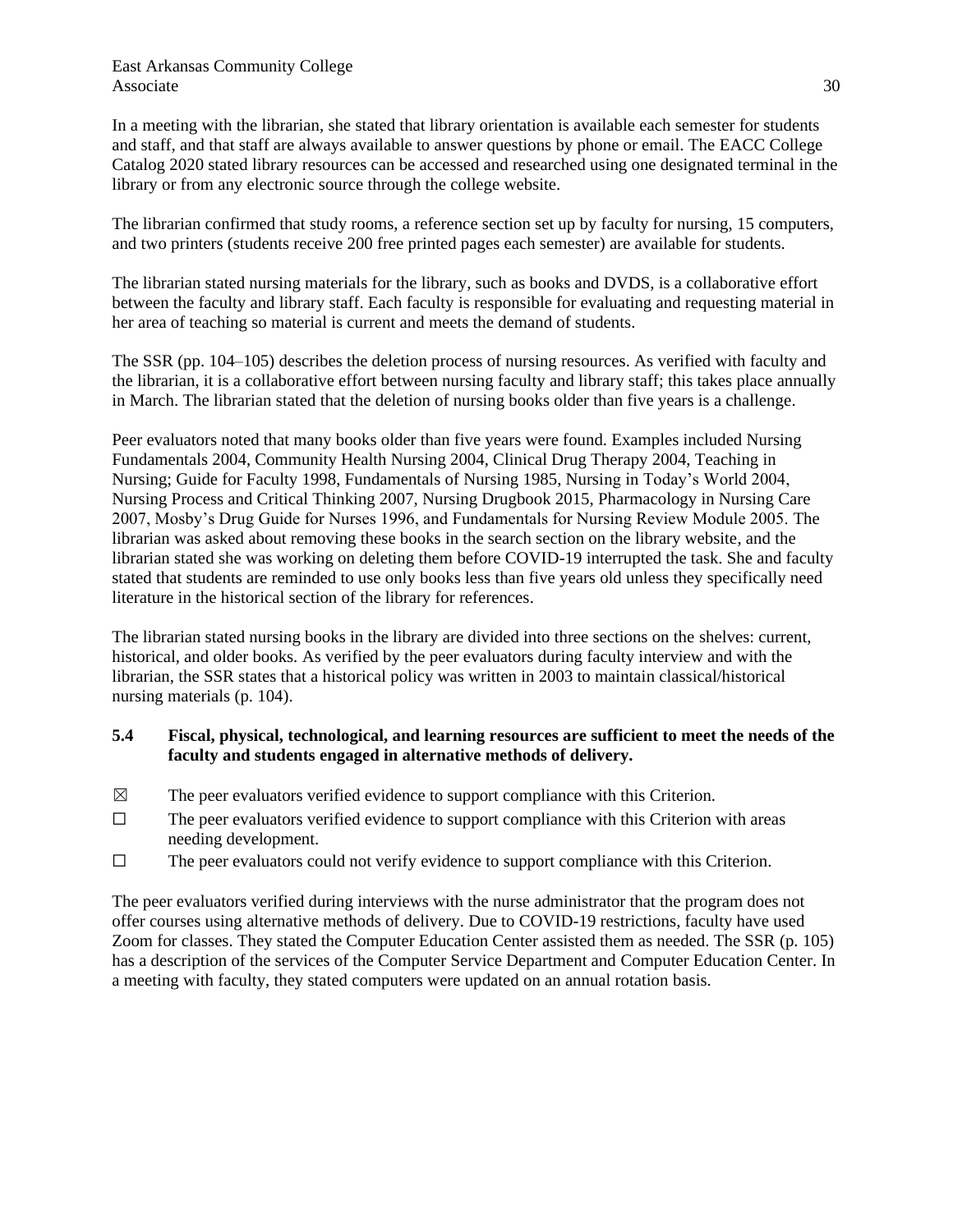In a meeting with the librarian, she stated that library orientation is available each semester for students and staff, and that staff are always available to answer questions by phone or email. The EACC College Catalog 2020 stated library resources can be accessed and researched using one designated terminal in the library or from any electronic source through the college website.

The librarian confirmed that study rooms, a reference section set up by faculty for nursing, 15 computers, and two printers (students receive 200 free printed pages each semester) are available for students.

The librarian stated nursing materials for the library, such as books and DVDS, is a collaborative effort between the faculty and library staff. Each faculty is responsible for evaluating and requesting material in her area of teaching so material is current and meets the demand of students.

The SSR (pp. 104–105) describes the deletion process of nursing resources. As verified with faculty and the librarian, it is a collaborative effort between nursing faculty and library staff; this takes place annually in March. The librarian stated that the deletion of nursing books older than five years is a challenge.

Peer evaluators noted that many books older than five years were found. Examples included Nursing Fundamentals 2004, Community Health Nursing 2004, Clinical Drug Therapy 2004, Teaching in Nursing; Guide for Faculty 1998, Fundamentals of Nursing 1985, Nursing in Today's World 2004, Nursing Process and Critical Thinking 2007, Nursing Drugbook 2015, Pharmacology in Nursing Care 2007, Mosby's Drug Guide for Nurses 1996, and Fundamentals for Nursing Review Module 2005. The librarian was asked about removing these books in the search section on the library website, and the librarian stated she was working on deleting them before COVID-19 interrupted the task. She and faculty stated that students are reminded to use only books less than five years old unless they specifically need literature in the historical section of the library for references.

The librarian stated nursing books in the library are divided into three sections on the shelves: current, historical, and older books. As verified by the peer evaluators during faculty interview and with the librarian, the SSR states that a historical policy was written in 2003 to maintain classical/historical nursing materials (p. 104).

## **5.4 Fiscal, physical, technological, and learning resources are sufficient to meet the needs of the faculty and students engaged in alternative methods of delivery.**

- $\boxtimes$  The peer evaluators verified evidence to support compliance with this Criterion.
- $\Box$  The peer evaluators verified evidence to support compliance with this Criterion with areas needing development.
- $\Box$  The peer evaluators could not verify evidence to support compliance with this Criterion.

The peer evaluators verified during interviews with the nurse administrator that the program does not offer courses using alternative methods of delivery. Due to COVID-19 restrictions, faculty have used Zoom for classes. They stated the Computer Education Center assisted them as needed. The SSR (p. 105) has a description of the services of the Computer Service Department and Computer Education Center. In a meeting with faculty, they stated computers were updated on an annual rotation basis.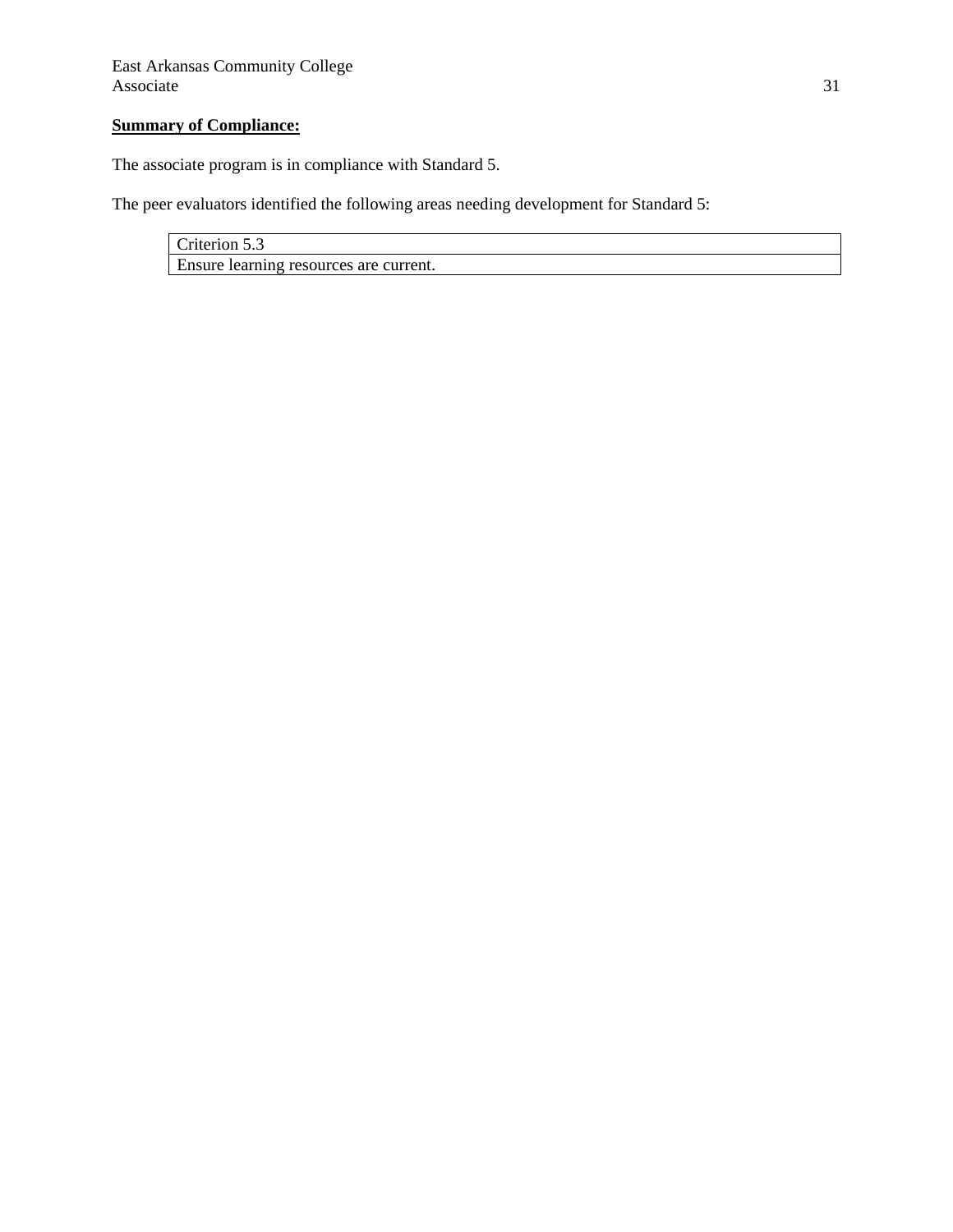# **Summary of Compliance:**

The associate program is in compliance with Standard 5.

The peer evaluators identified the following areas needing development for Standard 5:

Criterion 5.3 Ensure learning resources are current.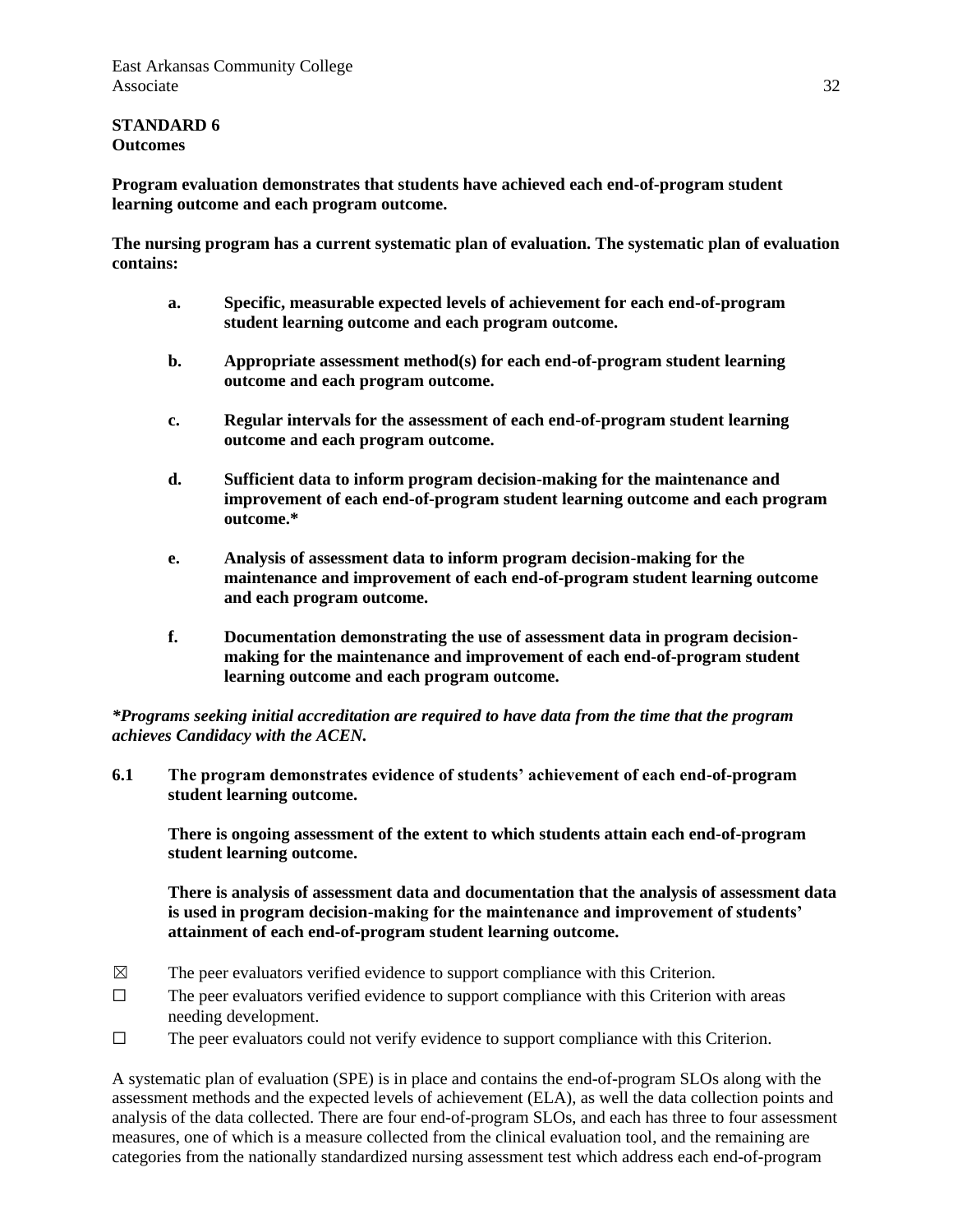#### **STANDARD 6 Outcomes**

**Program evaluation demonstrates that students have achieved each end-of-program student learning outcome and each program outcome.**

**The nursing program has a current systematic plan of evaluation. The systematic plan of evaluation contains:**

- **a. Specific, measurable expected levels of achievement for each end-of-program student learning outcome and each program outcome.**
- **b. Appropriate assessment method(s) for each end-of-program student learning outcome and each program outcome.**
- **c. Regular intervals for the assessment of each end-of-program student learning outcome and each program outcome.**
- **d. Sufficient data to inform program decision-making for the maintenance and improvement of each end-of-program student learning outcome and each program outcome.\***
- **e. Analysis of assessment data to inform program decision-making for the maintenance and improvement of each end-of-program student learning outcome and each program outcome.**
- **f. Documentation demonstrating the use of assessment data in program decisionmaking for the maintenance and improvement of each end-of-program student learning outcome and each program outcome.**

### *\*Programs seeking initial accreditation are required to have data from the time that the program achieves Candidacy with the ACEN.*

**6.1 The program demonstrates evidence of students' achievement of each end-of-program student learning outcome.**

**There is ongoing assessment of the extent to which students attain each end-of-program student learning outcome.**

**There is analysis of assessment data and documentation that the analysis of assessment data is used in program decision-making for the maintenance and improvement of students' attainment of each end-of-program student learning outcome.**

- $\boxtimes$  The peer evaluators verified evidence to support compliance with this Criterion.
- $\Box$  The peer evaluators verified evidence to support compliance with this Criterion with areas needing development.
- ☐ The peer evaluators could not verify evidence to support compliance with this Criterion.

A systematic plan of evaluation (SPE) is in place and contains the end-of-program SLOs along with the assessment methods and the expected levels of achievement (ELA), as well the data collection points and analysis of the data collected. There are four end-of-program SLOs, and each has three to four assessment measures, one of which is a measure collected from the clinical evaluation tool, and the remaining are categories from the nationally standardized nursing assessment test which address each end-of-program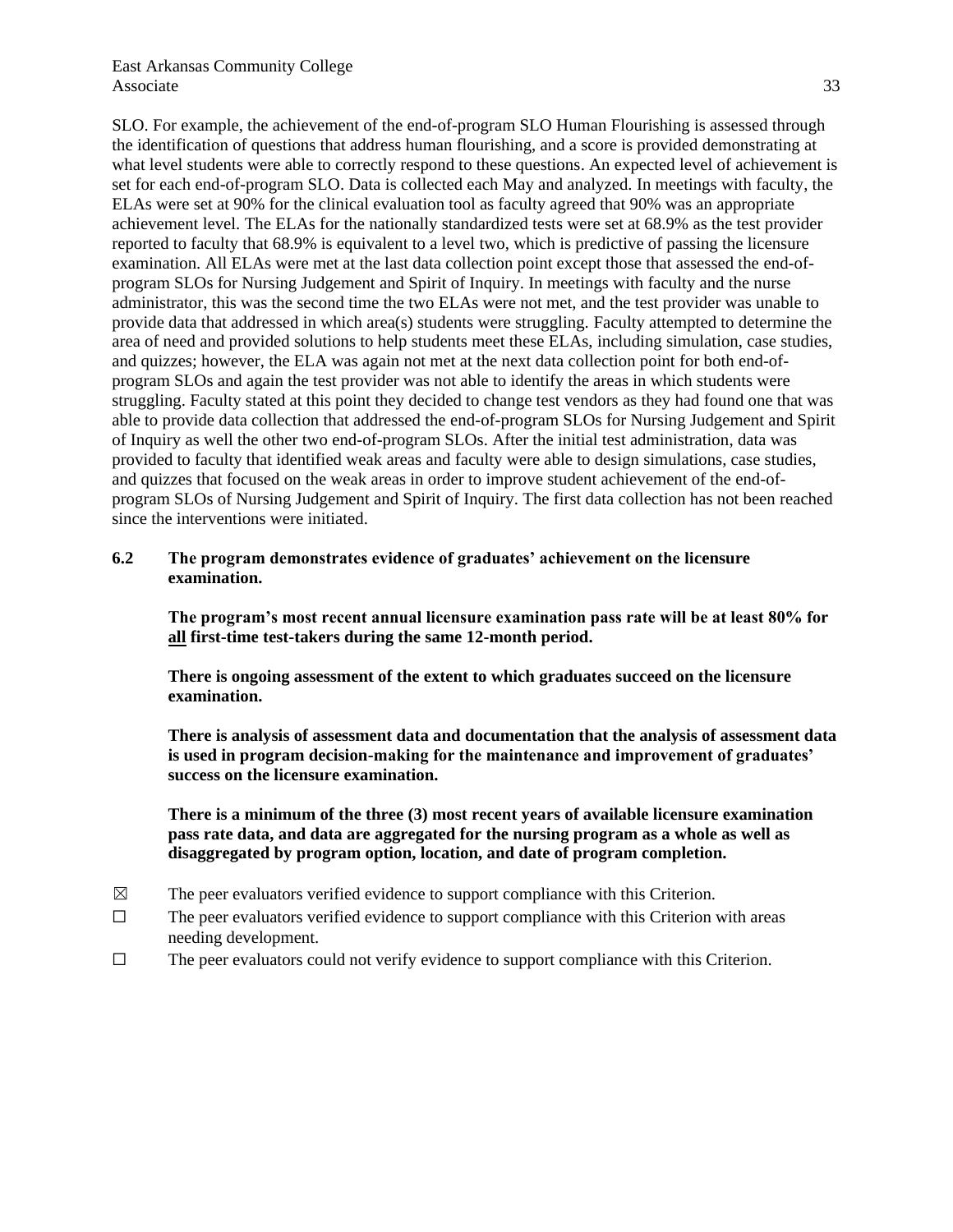SLO. For example, the achievement of the end-of-program SLO Human Flourishing is assessed through the identification of questions that address human flourishing, and a score is provided demonstrating at what level students were able to correctly respond to these questions. An expected level of achievement is set for each end-of-program SLO. Data is collected each May and analyzed. In meetings with faculty, the ELAs were set at 90% for the clinical evaluation tool as faculty agreed that 90% was an appropriate achievement level. The ELAs for the nationally standardized tests were set at 68.9% as the test provider reported to faculty that 68.9% is equivalent to a level two, which is predictive of passing the licensure examination. All ELAs were met at the last data collection point except those that assessed the end-ofprogram SLOs for Nursing Judgement and Spirit of Inquiry. In meetings with faculty and the nurse administrator, this was the second time the two ELAs were not met, and the test provider was unable to provide data that addressed in which area(s) students were struggling. Faculty attempted to determine the area of need and provided solutions to help students meet these ELAs, including simulation, case studies, and quizzes; however, the ELA was again not met at the next data collection point for both end-ofprogram SLOs and again the test provider was not able to identify the areas in which students were struggling. Faculty stated at this point they decided to change test vendors as they had found one that was able to provide data collection that addressed the end-of-program SLOs for Nursing Judgement and Spirit of Inquiry as well the other two end-of-program SLOs. After the initial test administration, data was provided to faculty that identified weak areas and faculty were able to design simulations, case studies, and quizzes that focused on the weak areas in order to improve student achievement of the end-ofprogram SLOs of Nursing Judgement and Spirit of Inquiry. The first data collection has not been reached since the interventions were initiated.

### **6.2 The program demonstrates evidence of graduates' achievement on the licensure examination.**

**The program's most recent annual licensure examination pass rate will be at least 80% for all first-time test-takers during the same 12-month period.**

**There is ongoing assessment of the extent to which graduates succeed on the licensure examination.**

**There is analysis of assessment data and documentation that the analysis of assessment data is used in program decision-making for the maintenance and improvement of graduates' success on the licensure examination.**

**There is a minimum of the three (3) most recent years of available licensure examination pass rate data, and data are aggregated for the nursing program as a whole as well as disaggregated by program option, location, and date of program completion.**

- $\boxtimes$  The peer evaluators verified evidence to support compliance with this Criterion.
- $\Box$  The peer evaluators verified evidence to support compliance with this Criterion with areas needing development.
- $\Box$  The peer evaluators could not verify evidence to support compliance with this Criterion.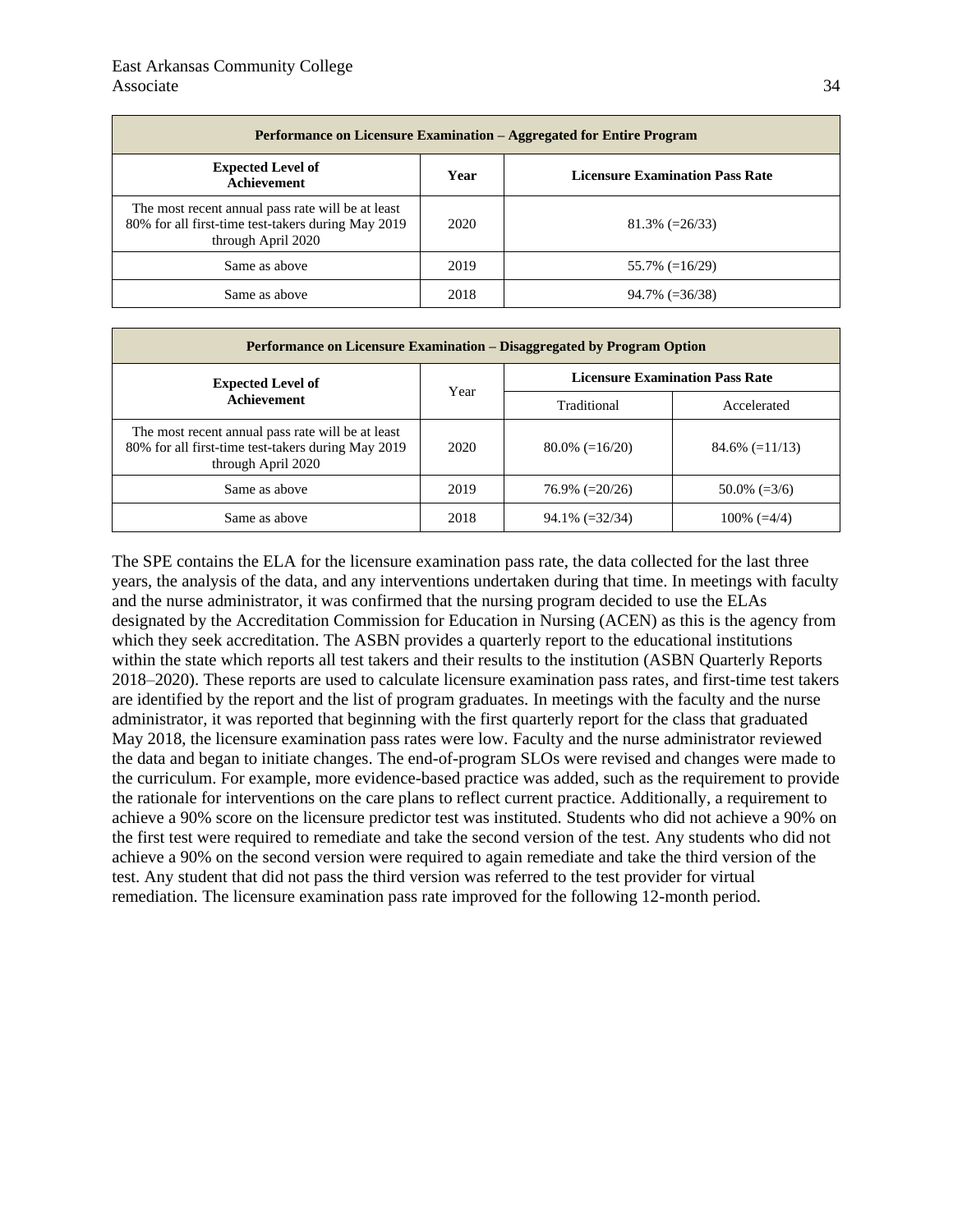| <b>Performance on Licensure Examination – Aggregated for Entire Program</b>                                                   |      |                                        |  |  |
|-------------------------------------------------------------------------------------------------------------------------------|------|----------------------------------------|--|--|
| <b>Expected Level of</b><br><b>Achievement</b>                                                                                | Year | <b>Licensure Examination Pass Rate</b> |  |  |
| The most recent annual pass rate will be at least<br>80% for all first-time test-takers during May 2019<br>through April 2020 | 2020 | $81.3\%$ (=26/33)                      |  |  |
| Same as above                                                                                                                 | 2019 | $55.7\%$ (=16/29)                      |  |  |
| Same as above                                                                                                                 | 2018 | $94.7\%$ (=36/38)                      |  |  |

| <b>Performance on Licensure Examination – Disaggregated by Program Option</b>                                                 |      |                                        |                   |  |
|-------------------------------------------------------------------------------------------------------------------------------|------|----------------------------------------|-------------------|--|
| <b>Expected Level of</b><br><b>Achievement</b>                                                                                | Year | <b>Licensure Examination Pass Rate</b> |                   |  |
|                                                                                                                               |      | Traditional                            | Accelerated       |  |
| The most recent annual pass rate will be at least<br>80% for all first-time test-takers during May 2019<br>through April 2020 | 2020 | $80.0\% (=16/20)$                      | $84.6\%$ (=11/13) |  |
| Same as above                                                                                                                 | 2019 | $76.9\%$ (=20/26)                      | $50.0\%$ (=3/6)   |  |
| Same as above                                                                                                                 | 2018 | $94.1\%$ (=32/34)                      | $100\% (=4/4)$    |  |

The SPE contains the ELA for the licensure examination pass rate, the data collected for the last three years, the analysis of the data, and any interventions undertaken during that time. In meetings with faculty and the nurse administrator, it was confirmed that the nursing program decided to use the ELAs designated by the Accreditation Commission for Education in Nursing (ACEN) as this is the agency from which they seek accreditation. The ASBN provides a quarterly report to the educational institutions within the state which reports all test takers and their results to the institution (ASBN Quarterly Reports 2018‒2020). These reports are used to calculate licensure examination pass rates, and first-time test takers are identified by the report and the list of program graduates. In meetings with the faculty and the nurse administrator, it was reported that beginning with the first quarterly report for the class that graduated May 2018, the licensure examination pass rates were low. Faculty and the nurse administrator reviewed the data and began to initiate changes. The end-of-program SLOs were revised and changes were made to the curriculum. For example, more evidence-based practice was added, such as the requirement to provide the rationale for interventions on the care plans to reflect current practice. Additionally, a requirement to achieve a 90% score on the licensure predictor test was instituted. Students who did not achieve a 90% on the first test were required to remediate and take the second version of the test. Any students who did not achieve a 90% on the second version were required to again remediate and take the third version of the test. Any student that did not pass the third version was referred to the test provider for virtual remediation. The licensure examination pass rate improved for the following 12-month period.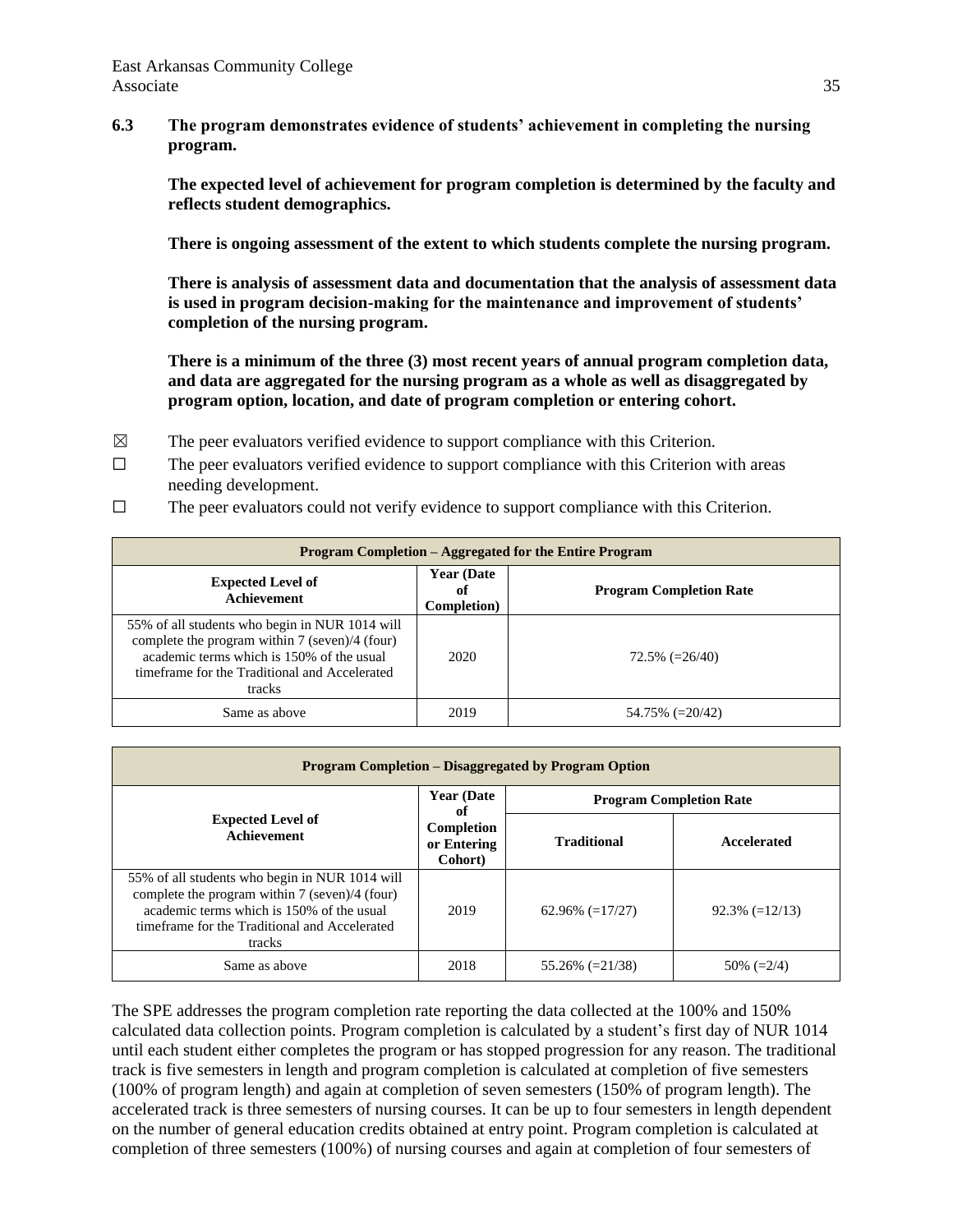**6.3 The program demonstrates evidence of students' achievement in completing the nursing program.**

**The expected level of achievement for program completion is determined by the faculty and reflects student demographics.**

**There is ongoing assessment of the extent to which students complete the nursing program.**

**There is analysis of assessment data and documentation that the analysis of assessment data is used in program decision-making for the maintenance and improvement of students' completion of the nursing program.**

**There is a minimum of the three (3) most recent years of annual program completion data, and data are aggregated for the nursing program as a whole as well as disaggregated by program option, location, and date of program completion or entering cohort.**

- $\boxtimes$  The peer evaluators verified evidence to support compliance with this Criterion.
- $\Box$  The peer evaluators verified evidence to support compliance with this Criterion with areas needing development.
- $\Box$  The peer evaluators could not verify evidence to support compliance with this Criterion.

| Program Completion – Aggregated for the Entire Program                                                                                                                                                   |                                         |                                |  |  |
|----------------------------------------------------------------------------------------------------------------------------------------------------------------------------------------------------------|-----------------------------------------|--------------------------------|--|--|
| <b>Expected Level of</b><br><b>Achievement</b>                                                                                                                                                           | <b>Year (Date)</b><br>оť<br>Completion) | <b>Program Completion Rate</b> |  |  |
| 55% of all students who begin in NUR 1014 will<br>complete the program within 7 (seven)/4 (four)<br>academic terms which is 150% of the usual<br>timeframe for the Traditional and Accelerated<br>tracks | 2020                                    | $72.5\%$ (=26/40)              |  |  |
| Same as above                                                                                                                                                                                            | 2019                                    | $54.75\%$ (=20/42)             |  |  |

| Program Completion – Disaggregated by Program Option                                                                                                                                                     |                                                                  |                                |                   |  |
|----------------------------------------------------------------------------------------------------------------------------------------------------------------------------------------------------------|------------------------------------------------------------------|--------------------------------|-------------------|--|
| <b>Expected Level of</b><br>Achievement                                                                                                                                                                  | <b>Year (Date)</b><br>оf<br>Completion<br>or Entering<br>Cohort) | <b>Program Completion Rate</b> |                   |  |
|                                                                                                                                                                                                          |                                                                  | <b>Traditional</b>             | Accelerated       |  |
| 55% of all students who begin in NUR 1014 will<br>complete the program within 7 (seven)/4 (four)<br>academic terms which is 150% of the usual<br>timeframe for the Traditional and Accelerated<br>tracks | 2019                                                             | $62.96\%$ (=17/27)             | $92.3\%$ (=12/13) |  |
| Same as above                                                                                                                                                                                            | 2018                                                             | $55.26\%$ (=21/38)             | $50\% (=2/4)$     |  |

The SPE addresses the program completion rate reporting the data collected at the 100% and 150% calculated data collection points. Program completion is calculated by a student's first day of NUR 1014 until each student either completes the program or has stopped progression for any reason. The traditional track is five semesters in length and program completion is calculated at completion of five semesters (100% of program length) and again at completion of seven semesters (150% of program length). The accelerated track is three semesters of nursing courses. It can be up to four semesters in length dependent on the number of general education credits obtained at entry point. Program completion is calculated at completion of three semesters (100%) of nursing courses and again at completion of four semesters of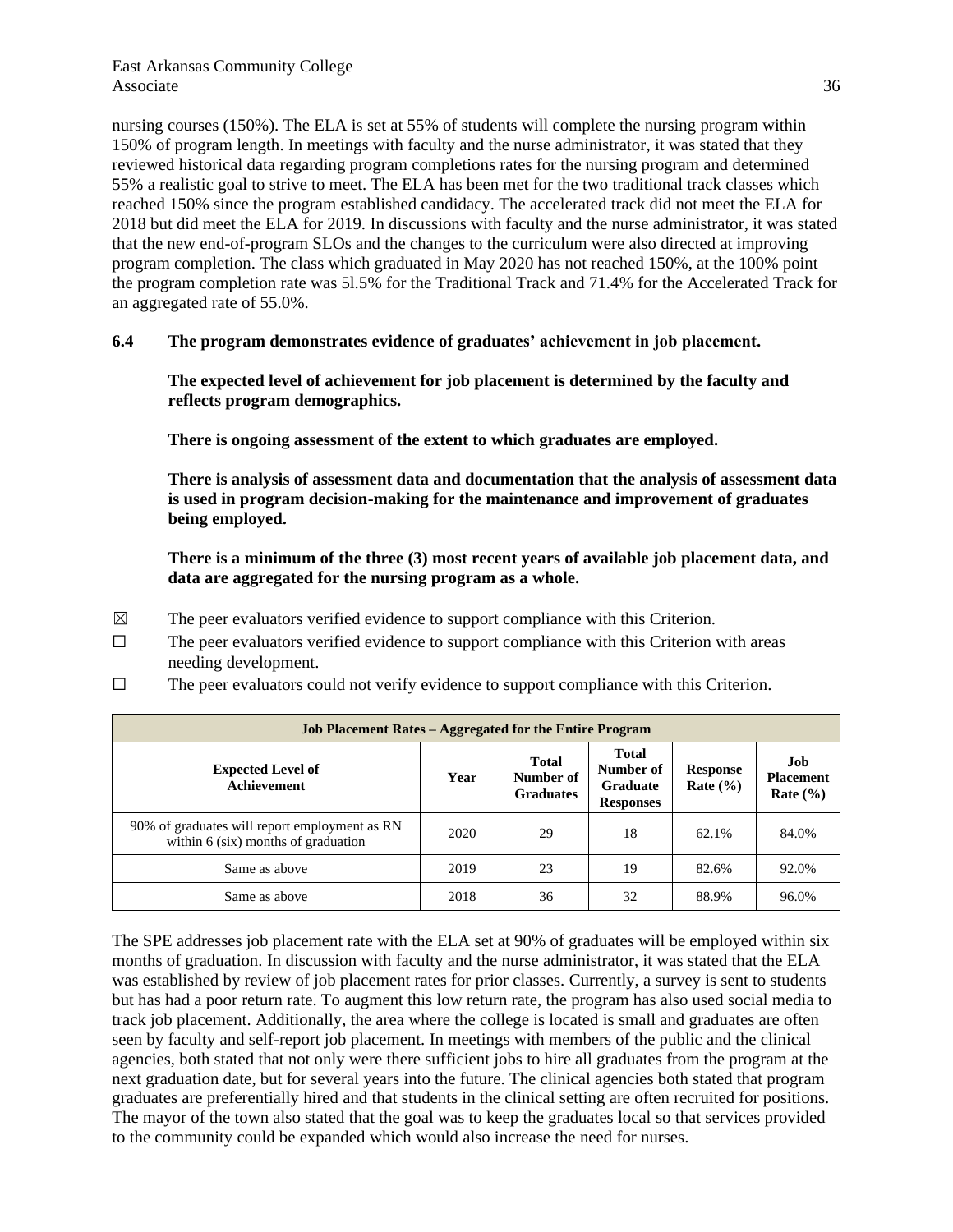nursing courses (150%). The ELA is set at 55% of students will complete the nursing program within 150% of program length. In meetings with faculty and the nurse administrator, it was stated that they reviewed historical data regarding program completions rates for the nursing program and determined 55% a realistic goal to strive to meet. The ELA has been met for the two traditional track classes which reached 150% since the program established candidacy. The accelerated track did not meet the ELA for 2018 but did meet the ELA for 2019. In discussions with faculty and the nurse administrator, it was stated that the new end-of-program SLOs and the changes to the curriculum were also directed at improving program completion. The class which graduated in May 2020 has not reached 150%, at the 100% point the program completion rate was 5l.5% for the Traditional Track and 71.4% for the Accelerated Track for an aggregated rate of 55.0%.

#### **6.4 The program demonstrates evidence of graduates' achievement in job placement.**

**The expected level of achievement for job placement is determined by the faculty and reflects program demographics.**

**There is ongoing assessment of the extent to which graduates are employed.**

**There is analysis of assessment data and documentation that the analysis of assessment data is used in program decision-making for the maintenance and improvement of graduates being employed.**

**There is a minimum of the three (3) most recent years of available job placement data, and data are aggregated for the nursing program as a whole.**

- $\boxtimes$  The peer evaluators verified evidence to support compliance with this Criterion.
- ☐ The peer evaluators verified evidence to support compliance with this Criterion with areas needing development.
- $\Box$  The peer evaluators could not verify evidence to support compliance with this Criterion.

| <b>Job Placement Rates – Aggregated for the Entire Program</b>                         |      |                                               |                                                                  |                                 |                                         |
|----------------------------------------------------------------------------------------|------|-----------------------------------------------|------------------------------------------------------------------|---------------------------------|-----------------------------------------|
| <b>Expected Level of</b><br><b>Achievement</b>                                         | Year | <b>Total</b><br>Number of<br><b>Graduates</b> | <b>Total</b><br>Number of<br><b>Graduate</b><br><b>Responses</b> | <b>Response</b><br>Rate $(\% )$ | Job<br><b>Placement</b><br>Rate $(\% )$ |
| 90% of graduates will report employment as RN<br>within $6$ (six) months of graduation | 2020 | 29                                            | 18                                                               | 62.1%                           | 84.0%                                   |
| Same as above                                                                          | 2019 | 23                                            | 19                                                               | 82.6%                           | 92.0%                                   |
| Same as above                                                                          | 2018 | 36                                            | 32                                                               | 88.9%                           | 96.0%                                   |

The SPE addresses job placement rate with the ELA set at 90% of graduates will be employed within six months of graduation. In discussion with faculty and the nurse administrator, it was stated that the ELA was established by review of job placement rates for prior classes. Currently, a survey is sent to students but has had a poor return rate. To augment this low return rate, the program has also used social media to track job placement. Additionally, the area where the college is located is small and graduates are often seen by faculty and self-report job placement. In meetings with members of the public and the clinical agencies, both stated that not only were there sufficient jobs to hire all graduates from the program at the next graduation date, but for several years into the future. The clinical agencies both stated that program graduates are preferentially hired and that students in the clinical setting are often recruited for positions. The mayor of the town also stated that the goal was to keep the graduates local so that services provided to the community could be expanded which would also increase the need for nurses.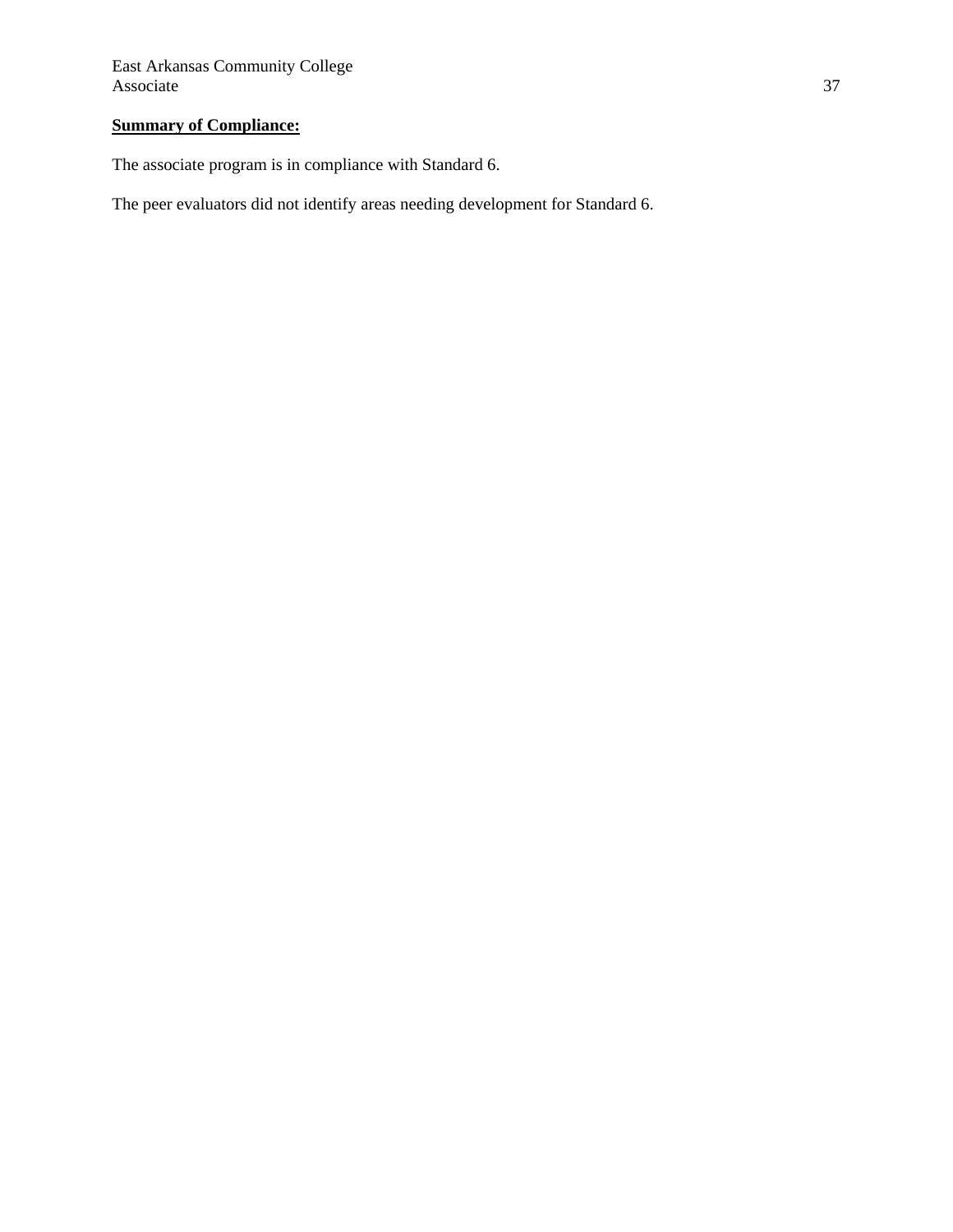# **Summary of Compliance:**

The associate program is in compliance with Standard 6.

The peer evaluators did not identify areas needing development for Standard 6.